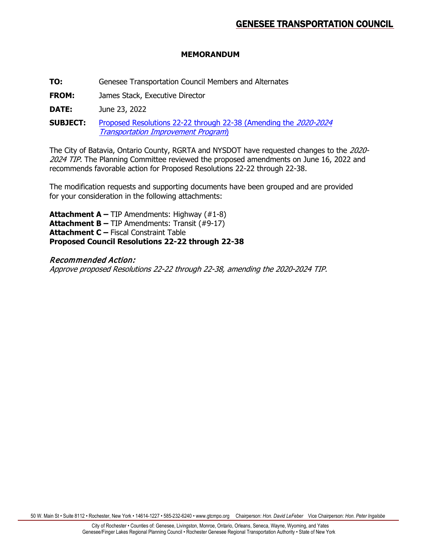# **MEMORANDUM**

**TO:** Genesee Transportation Council Members and Alternates

**FROM:** James Stack, Executive Director

**DATE:** June 23, 2022

**SUBJECT:** [Proposed Resolutions 22-22](https://www.gtcmpo.org/sites/default/files/pdf/2022/gtc_june2022_item6e_tip_amendments.pdf) through 22-38 (Amending the 2020-2024 [Transportation Improvement Program](https://www.gtcmpo.org/sites/default/files/pdf/2022/gtc_june2022_item6e_tip_amendments.pdf))

The City of Batavia, Ontario County, RGRTA and NYSDOT have requested changes to the 2020- 2024 TIP. The Planning Committee reviewed the proposed amendments on June 16, 2022 and recommends favorable action for Proposed Resolutions 22-22 through 22-38.

The modification requests and supporting documents have been grouped and are provided for your consideration in the following attachments:

**Attachment A –** TIP Amendments: Highway (#1-8) **Attachment B –** TIP Amendments: Transit (#9-17) **Attachment C –** Fiscal Constraint Table **Proposed Council Resolutions 22-22 through 22-38**

# Recommended Action:

Approve proposed Resolutions 22-22 through 22-38, amending the 2020-2024 TIP.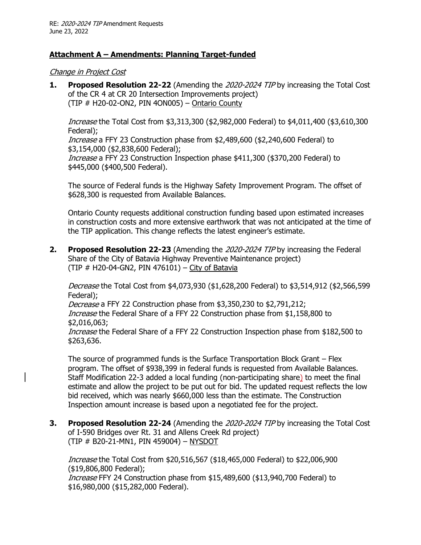# **Attachment A – Amendments: Planning Target-funded**

Change in Project Cost

**1. Proposed Resolution 22-22** (Amending the 2020-2024 TIP by increasing the Total Cost of the CR 4 at CR 20 Intersection Improvements project) (TIP  $#$  H20-02-ON2, PIN 4ON005) – Ontario County

Increase the Total Cost from \$3,313,300 (\$2,982,000 Federal) to \$4,011,400 (\$3,610,300 Federal);

Increase a FFY 23 Construction phase from \$2,489,600 (\$2,240,600 Federal) to \$3,154,000 (\$2,838,600 Federal);

Increase a FFY 23 Construction Inspection phase \$411,300 (\$370,200 Federal) to \$445,000 (\$400,500 Federal).

The source of Federal funds is the Highway Safety Improvement Program. The offset of \$628,300 is requested from Available Balances.

Ontario County requests additional construction funding based upon estimated increases in construction costs and more extensive earthwork that was not anticipated at the time of the TIP application. This change reflects the latest engineer's estimate.

**2. Proposed Resolution 22-23** (Amending the 2020-2024 TIP by increasing the Federal Share of the City of Batavia Highway Preventive Maintenance project) (TIP  $#$  H20-04-GN2, PIN 476101) – City of Batavia

Decrease the Total Cost from \$4,073,930 (\$1,628,200 Federal) to \$3,514,912 (\$2,566,599 Federal);

Decrease a FFY 22 Construction phase from \$3,350,230 to \$2,791,212; Increase the Federal Share of a FFY 22 Construction phase from \$1,158,800 to

\$2,016,063; Increase the Federal Share of a FFY 22 Construction Inspection phase from \$182,500 to \$263,636.

The source of programmed funds is the Surface Transportation Block Grant – Flex program. The offset of \$938,399 in federal funds is requested from Available Balances. Staff Modification 22-3 added a local funding (non-participating share) to meet the final estimate and allow the project to be put out for bid. The updated request reflects the low bid received, which was nearly \$660,000 less than the estimate. The Construction Inspection amount increase is based upon a negotiated fee for the project.

**3. Proposed Resolution 22-24** (Amending the 2020-2024 TIP by increasing the Total Cost of I-590 Bridges over Rt. 31 and Allens Creek Rd project) (TIP # B20-21-MN1, PIN 459004) – NYSDOT

Increase the Total Cost from \$20,516,567 (\$18,465,000 Federal) to \$22,006,900 (\$19,806,800 Federal); Increase FFY 24 Construction phase from \$15,489,600 (\$13,940,700 Federal) to \$16,980,000 (\$15,282,000 Federal).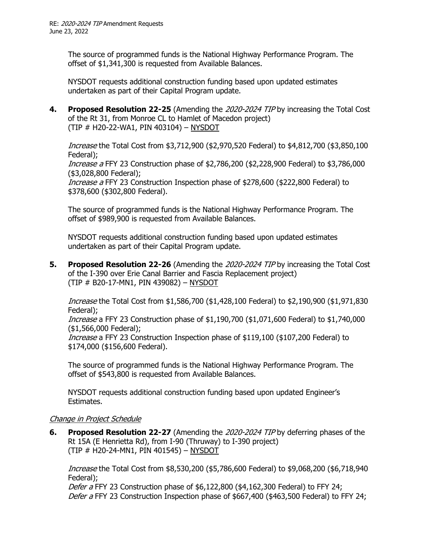The source of programmed funds is the National Highway Performance Program. The offset of \$1,341,300 is requested from Available Balances.

NYSDOT requests additional construction funding based upon updated estimates undertaken as part of their Capital Program update.

**4. Proposed Resolution 22-25** (Amending the 2020-2024 TIP by increasing the Total Cost of the Rt 31, from Monroe CL to Hamlet of Macedon project) (TIP # H20-22-WA1, PIN 403104) – NYSDOT

Increase the Total Cost from \$3,712,900 (\$2,970,520 Federal) to \$4,812,700 (\$3,850,100 Federal);

Increase a FFY 23 Construction phase of \$2,786,200 (\$2,228,900 Federal) to \$3,786,000 (\$3,028,800 Federal);

Increase a FFY 23 Construction Inspection phase of \$278,600 (\$222,800 Federal) to \$378,600 (\$302,800 Federal).

The source of programmed funds is the National Highway Performance Program. The offset of \$989,900 is requested from Available Balances.

NYSDOT requests additional construction funding based upon updated estimates undertaken as part of their Capital Program update.

**5. Proposed Resolution 22-26** (Amending the 2020-2024 TIP by increasing the Total Cost of the I-390 over Erie Canal Barrier and Fascia Replacement project) (TIP # B20-17-MN1, PIN 439082) – NYSDOT

Increase the Total Cost from \$1,586,700 (\$1,428,100 Federal) to \$2,190,900 (\$1,971,830 Federal);

Increase a FFY 23 Construction phase of \$1,190,700 (\$1,071,600 Federal) to \$1,740,000 (\$1,566,000 Federal);

Increase a FFY 23 Construction Inspection phase of \$119,100 (\$107,200 Federal) to \$174,000 (\$156,600 Federal).

The source of programmed funds is the National Highway Performance Program. The offset of \$543,800 is requested from Available Balances.

NYSDOT requests additional construction funding based upon updated Engineer's Estimates.

# Change in Project Schedule

**6. Proposed Resolution 22-27** (Amending the 2020-2024 TIP by deferring phases of the Rt 15A (E Henrietta Rd), from I-90 (Thruway) to I-390 project) (TIP # H20-24-MN1, PIN 401545) – NYSDOT

Increase the Total Cost from \$8,530,200 (\$5,786,600 Federal) to \$9,068,200 (\$6,718,940 Federal);

*Defer a* FFY 23 Construction phase of  $$6,122,800$   $$4,162,300$  Federal) to FFY 24; Defer a FFY 23 Construction Inspection phase of \$667,400 (\$463,500 Federal) to FFY 24;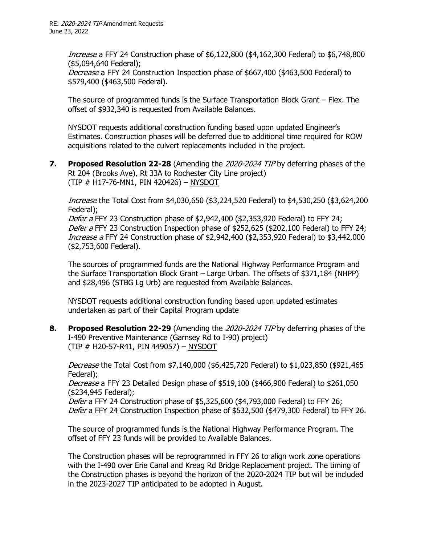Increase a FFY 24 Construction phase of \$6,122,800 (\$4,162,300 Federal) to \$6,748,800 (\$5,094,640 Federal);

Decrease a FFY 24 Construction Inspection phase of \$667,400 (\$463,500 Federal) to \$579,400 (\$463,500 Federal).

The source of programmed funds is the Surface Transportation Block Grant – Flex. The offset of \$932,340 is requested from Available Balances.

NYSDOT requests additional construction funding based upon updated Engineer's Estimates. Construction phases will be deferred due to additional time required for ROW acquisitions related to the culvert replacements included in the project.

**7. Proposed Resolution 22-28** (Amending the 2020-2024 TIP by deferring phases of the Rt 204 (Brooks Ave), Rt 33A to Rochester City Line project) (TIP # H17-76-MN1, PIN 420426) – NYSDOT

Increase the Total Cost from \$4,030,650 (\$3,224,520 Federal) to \$4,530,250 (\$3,624,200 Federal);

Defer a FFY 23 Construction phase of \$2,942,400 (\$2,353,920 Federal) to FFY 24; Defer a FFY 23 Construction Inspection phase of \$252,625 (\$202,100 Federal) to FFY 24; Increase a FFY 24 Construction phase of \$2,942,400 (\$2,353,920 Federal) to \$3,442,000 (\$2,753,600 Federal).

The sources of programmed funds are the National Highway Performance Program and the Surface Transportation Block Grant – Large Urban. The offsets of \$371,184 (NHPP) and \$28,496 (STBG Lg Urb) are requested from Available Balances.

NYSDOT requests additional construction funding based upon updated estimates undertaken as part of their Capital Program update

**8. Proposed Resolution 22-29** (Amending the 2020-2024 TIP by deferring phases of the I-490 Preventive Maintenance (Garnsey Rd to I-90) project) (TIP # H20-57-R41, PIN 449057) – NYSDOT

Decrease the Total Cost from \$7,140,000 (\$6,425,720 Federal) to \$1,023,850 (\$921,465 Federal);

Decrease a FFY 23 Detailed Design phase of \$519,100 (\$466,900 Federal) to \$261,050 (\$234,945 Federal);

Defer a FFY 24 Construction phase of \$5,325,600 (\$4,793,000 Federal) to FFY 26; Defer a FFY 24 Construction Inspection phase of \$532,500 (\$479,300 Federal) to FFY 26.

The source of programmed funds is the National Highway Performance Program. The offset of FFY 23 funds will be provided to Available Balances.

The Construction phases will be reprogrammed in FFY 26 to align work zone operations with the I-490 over Erie Canal and Kreag Rd Bridge Replacement project. The timing of the Construction phases is beyond the horizon of the 2020-2024 TIP but will be included in the 2023-2027 TIP anticipated to be adopted in August.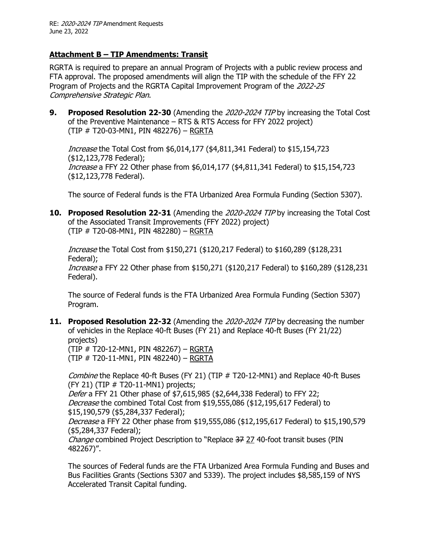# **Attachment B – TIP Amendments: Transit**

RGRTA is required to prepare an annual Program of Projects with a public review process and FTA approval. The proposed amendments will align the TIP with the schedule of the FFY 22 Program of Projects and the RGRTA Capital Improvement Program of the 2022-25 Comprehensive Strategic Plan.

**9. Proposed Resolution 22-30** (Amending the 2020-2024 TIP by increasing the Total Cost of the Preventive Maintenance – RTS & RTS Access for FFY 2022 project) (TIP # T20-03-MN1, PIN 482276) – RGRTA

Increase the Total Cost from \$6,014,177 (\$4,811,341 Federal) to \$15,154,723 (\$12,123,778 Federal); Increase a FFY 22 Other phase from \$6,014,177 (\$4,811,341 Federal) to \$15,154,723 (\$12,123,778 Federal).

The source of Federal funds is the FTA Urbanized Area Formula Funding (Section 5307).

**10. Proposed Resolution 22-31** (Amending the 2020-2024 TIP by increasing the Total Cost of the Associated Transit Improvements (FFY 2022) project) (TIP # T20-08-MN1, PIN 482280) – RGRTA

Increase the Total Cost from \$150,271 (\$120,217 Federal) to \$160,289 (\$128,231 Federal); Increase a FFY 22 Other phase from \$150,271 (\$120,217 Federal) to \$160,289 (\$128,231 Federal).

The source of Federal funds is the FTA Urbanized Area Formula Funding (Section 5307) Program.

**11. Proposed Resolution 22-32** (Amending the 2020-2024 TIP by decreasing the number of vehicles in the Replace 40-ft Buses (FY 21) and Replace 40-ft Buses (FY 21/22) projects)

(TIP # T20-12-MN1, PIN 482267) – RGRTA (TIP # T20-11-MN1, PIN 482240) – RGRTA

Combine the Replace 40-ft Buses (FY 21) (TIP # T20-12-MN1) and Replace 40-ft Buses  $(FY 21)$  (TIP  $#T20-11-MN1$ ) projects;

Defer a FFY 21 Other phase of \$7,615,985 (\$2,644,338 Federal) to FFY 22; Decrease the combined Total Cost from \$19,555,086 (\$12,195,617 Federal) to \$15,190,579 (\$5,284,337 Federal);

Decrease a FFY 22 Other phase from \$19,555,086 (\$12,195,617 Federal) to \$15,190,579 (\$5,284,337 Federal);

Change combined Project Description to "Replace 37 27 40-foot transit buses (PIN 482267)".

The sources of Federal funds are the FTA Urbanized Area Formula Funding and Buses and Bus Facilities Grants (Sections 5307 and 5339). The project includes \$8,585,159 of NYS Accelerated Transit Capital funding.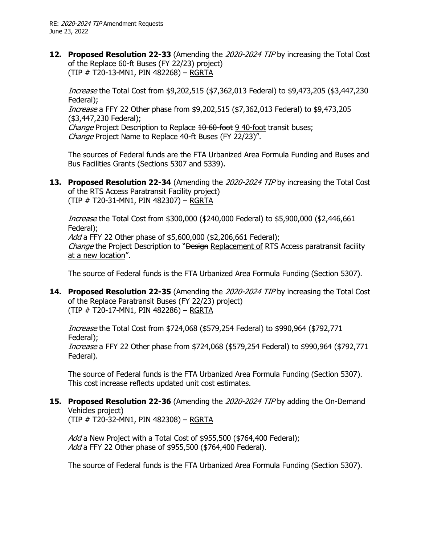**12. Proposed Resolution 22-33** (Amending the 2020-2024 TIP by increasing the Total Cost of the Replace 60-ft Buses (FY 22/23) project) (TIP # T20-13-MN1, PIN 482268) – RGRTA

Increase the Total Cost from \$9,202,515 (\$7,362,013 Federal) to \$9,473,205 (\$3,447,230 Federal); Increase a FFY 22 Other phase from \$9,202,515 (\$7,362,013 Federal) to \$9,473,205 (\$3,447,230 Federal); Change Project Description to Replace 10 60-foot 9 40-foot transit buses; Change Project Name to Replace 40-ft Buses (FY 22/23)".

The sources of Federal funds are the FTA Urbanized Area Formula Funding and Buses and Bus Facilities Grants (Sections 5307 and 5339).

**13. Proposed Resolution 22-34** (Amending the 2020-2024 TIP by increasing the Total Cost of the RTS Access Paratransit Facility project) (TIP # T20-31-MN1, PIN 482307) – RGRTA

Increase the Total Cost from \$300,000 (\$240,000 Federal) to \$5,900,000 (\$2,446,661 Federal); Add a FFY 22 Other phase of \$5,600,000 (\$2,206,661 Federal);

Change the Project Description to "Design Replacement of RTS Access paratransit facility at a new location".

The source of Federal funds is the FTA Urbanized Area Formula Funding (Section 5307).

**14. Proposed Resolution 22-35** (Amending the 2020-2024 TIP by increasing the Total Cost of the Replace Paratransit Buses (FY 22/23) project) (TIP # T20-17-MN1, PIN 482286) – RGRTA

Increase the Total Cost from \$724,068 (\$579,254 Federal) to \$990,964 (\$792,771 Federal); Increase a FFY 22 Other phase from \$724,068 (\$579,254 Federal) to \$990,964 (\$792,771 Federal).

The source of Federal funds is the FTA Urbanized Area Formula Funding (Section 5307). This cost increase reflects updated unit cost estimates.

# **15. Proposed Resolution 22-36** (Amending the 2020-2024 TIP by adding the On-Demand Vehicles project)

(TIP # T20-32-MN1, PIN 482308) – RGRTA

Add a New Project with a Total Cost of \$955,500 (\$764,400 Federal); Add a FFY 22 Other phase of \$955,500 (\$764,400 Federal).

The source of Federal funds is the FTA Urbanized Area Formula Funding (Section 5307).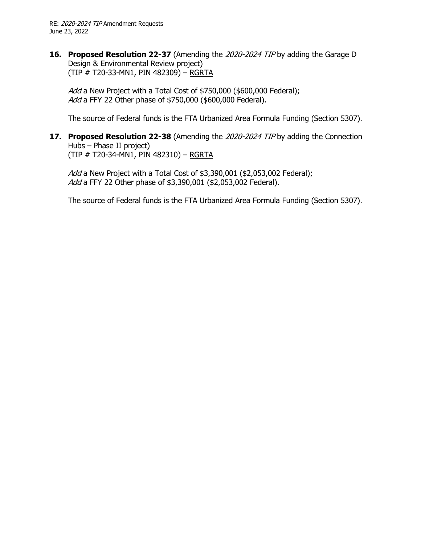**16. Proposed Resolution 22-37** (Amending the 2020-2024 TIP by adding the Garage D Design & Environmental Review project) (TIP # T20-33-MN1, PIN 482309) – RGRTA

Add a New Project with a Total Cost of \$750,000 (\$600,000 Federal); Add a FFY 22 Other phase of \$750,000 (\$600,000 Federal).

The source of Federal funds is the FTA Urbanized Area Formula Funding (Section 5307).

**17. Proposed Resolution 22-38** (Amending the 2020-2024 TIP by adding the Connection Hubs – Phase II project) (TIP # T20-34-MN1, PIN 482310) – RGRTA

Add a New Project with a Total Cost of \$3,390,001 (\$2,053,002 Federal); Add a FFY 22 Other phase of \$3,390,001 (\$2,053,002 Federal).

The source of Federal funds is the FTA Urbanized Area Formula Funding (Section 5307).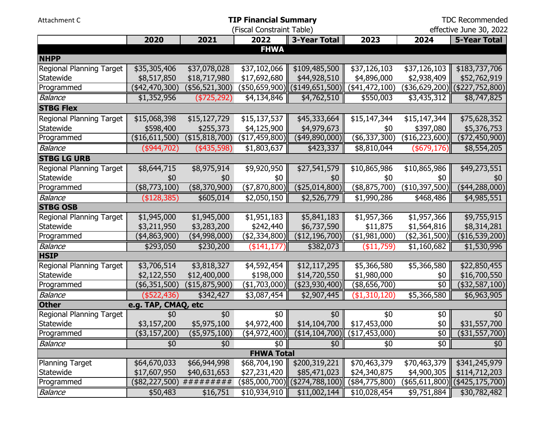| Attachment C             |                     | <b>TDC Recommended</b>    |                            |                                 |                       |                            |                                  |
|--------------------------|---------------------|---------------------------|----------------------------|---------------------------------|-----------------------|----------------------------|----------------------------------|
|                          |                     |                           | (Fiscal Constraint Table)  |                                 |                       |                            | effective June 30, 2022          |
|                          | 2020                | 2021                      | 2022                       | 3-Year Total                    | 2023                  | 2024                       | <b>5-Year Total</b>              |
|                          |                     |                           | <b>FHWA</b>                |                                 |                       |                            |                                  |
| <b>NHPP</b>              |                     |                           |                            |                                 |                       |                            |                                  |
| Regional Planning Target | \$35,305,406        | \$37,078,028              | \$37,102,066               | \$109,485,500                   | \$37,126,103          | \$37,126,103               | \$183,737,706                    |
| Statewide                | \$8,517,850         | \$18,717,980              | \$17,692,680               | \$44,928,510                    | \$4,896,000           | \$2,938,409                | \$52,762,919                     |
| Programmed               | (42, 470, 300)      | (\$56,521,300)            |                            | (\$50,659,900)  (\$149,651,500) | (\$41,472,100)        | (\$36,629,200)             | (\$227,752,800)                  |
| <b>Balance</b>           | \$1,352,956         | (\$725,292)               | \$4,134,846                | \$4,762,510                     | $\overline{$}550,003$ | \$3,435,312                | \$8,747,825                      |
| <b>STBG Flex</b>         |                     |                           |                            |                                 |                       |                            |                                  |
| Regional Planning Target | \$15,068,398        | \$15,127,729              | \$15,137,537               | \$45,333,664                    | \$15,147,344          | \$15,147,344               | \$75,628,352                     |
| Statewide                | \$598,400           | \$255,373                 | \$4,125,900                | \$4,979,673                     | \$0                   | \$397,080                  | \$5,376,753                      |
| Programmed               | ( \$16,611,500)     | (\$15,818,700)            | (\$17,459,800)∥            | $(*49,890,000)$                 | $(*6,337,300)$        | (\$16,223,600)             | $(*72,450,900)$                  |
| <b>Balance</b>           | (\$944,702)         | (435,598)                 | \$1,803,637                | \$423,337                       | \$8,810,044           | $($ \$679,176) $\parallel$ | \$8,554,205                      |
| <b>STBG LG URB</b>       |                     |                           |                            |                                 |                       |                            |                                  |
| Regional Planning Target | \$8,644,715         | \$8,975,914               | \$9,920,950                | \$27,541,579                    | \$10,865,986          | \$10,865,986               | \$49,273,551                     |
| Statewide                | \$0                 | \$0                       | \$0                        | \$0                             | \$0                   | \$0                        | \$0                              |
| Programmed               | (\$8,773,100)       | $(*8,370,900)$            | (\$7,870,800)              | (\$25,014,800)                  | $(*8,875,700)$        | ( \$10,397,500)            | $(*44,288,000)$                  |
| <b>Balance</b>           | ( \$128, 385)       | \$605,014                 | \$2,050,150                | \$2,526,779                     | \$1,990,286           | \$468,486                  | \$4,985,551                      |
| <b>STBG OSB</b>          |                     |                           |                            |                                 |                       |                            |                                  |
| Regional Planning Target | \$1,945,000         | \$1,945,000               | \$1,951,183                | \$5,841,183                     | \$1,957,366           | \$1,957,366                | \$9,755,915                      |
| Statewide                | \$3,211,950         | \$3,283,200               | \$242,440                  | \$6,737,590                     | \$11,875              | \$1,564,816                | \$8,314,281                      |
| Programmed               | (\$4,863,900)       | (\$4,998,000)             | (\$2,334,800)              | $($ \$12,196,700) $ $           | (\$1,981,000)         | (\$2,361,500)              | (\$16,539,200)                   |
| <b>Balance</b>           | \$293,050           | \$230,200                 | $($ \$141,177) $\parallel$ | \$382,073                       | ( \$11,759)           | \$1,160,682                | \$1,530,996                      |
| <b>HSIP</b>              |                     |                           |                            |                                 |                       |                            |                                  |
| Regional Planning Target | \$3,706,514         | \$3,818,327               | \$4,592,454                | \$12,117,295                    | \$5,366,580           | \$5,366,580                | \$22,850,455                     |
| Statewide                | \$2,122,550         | \$12,400,000              | \$198,000                  | \$14,720,550                    | \$1,980,000           | \$0                        | \$16,700,550                     |
| Programmed               | (\$6,351,500)       | (\$15,875,900)            | $(\$1,703,000)$            | ( \$23,930,400)                 | (\$8,656,700)         | \$0                        | $(*32,587,100)$                  |
| Balance                  | $($ \$522,436)      | \$342,427                 | \$3,087,454                | \$2,907,445                     | (\$1,310,120)         | \$5,366,580                | \$6,963,905                      |
| <b>Other</b>             | e.g. TAP, CMAQ, etc |                           |                            |                                 |                       |                            |                                  |
| Regional Planning Target | \$0                 | \$0                       | \$0                        | \$0                             | \$0                   | \$0                        | \$0                              |
| Statewide                | \$3,157,200         | \$5,975,100               | \$4,972,400                | \$14,104,700                    | \$17,453,000          | \$0                        | \$31,557,700                     |
| Programmed               | (\$3,157,200)       | $($ \$5,975,100)          | (\$4,972,400)              | (\$14,104,700)                  | (\$17,453,000)        | \$0                        | $($ \$31,557,700)                |
| Balance                  | \$0                 | \$0                       | \$0                        | \$0                             | \$0                   | \$0                        | \$0                              |
|                          |                     |                           | <b>FHWA Total</b>          |                                 |                       |                            |                                  |
| <b>Planning Target</b>   | \$64,670,033        | \$66,944,998              | \$68,704,190               | \$200,319,221                   | \$70,463,379          | \$70,463,379 ∥             | \$341,245,979                    |
| Statewide                | \$17,607,950        | \$40,631,653              | \$27,231,420               | \$85,471,023                    | \$24,340,875          | \$4,900,305                | \$114,712,203                    |
| Programmed               |                     | $($82,227,500)$ ######### |                            | (\$85,000,700)  (\$274,788,100) | $(\$84,775,800)$      |                            | $(\$65,611,800)$ (\$425,175,700) |
| Balance                  | \$50,483            | \$16,751                  | \$10,934,910               | \$11,002,144                    | \$10,028,454          | \$9,751,884                | \$30,782,482                     |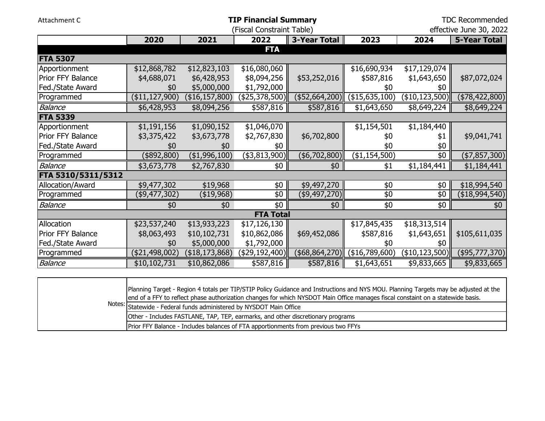| Attachment C       |                   | <b>TDC Recommended</b> |                           |                     |                 |                       |                         |
|--------------------|-------------------|------------------------|---------------------------|---------------------|-----------------|-----------------------|-------------------------|
|                    |                   |                        | (Fiscal Constraint Table) |                     |                 |                       | effective June 30, 2022 |
|                    | 2020              | 2021                   | 2022                      | <b>3-Year Total</b> | 2023            | 2024                  | <b>5-Year Total</b>     |
|                    |                   |                        | <b>FTA</b>                |                     |                 |                       |                         |
| <b>FTA 5307</b>    |                   |                        |                           |                     |                 |                       |                         |
| Apportionment      | \$12,868,782      | \$12,823,103           | \$16,080,060              |                     | \$16,690,934    | \$17,129,074          |                         |
| Prior FFY Balance  | \$4,688,071       | \$6,428,953            | \$8,094,256               | \$53,252,016        | \$587,816       | \$1,643,650           | \$87,072,024            |
| Fed./State Award   | \$0               | \$5,000,000            | \$1,792,000               |                     | \$0             | \$0                   |                         |
| Programmed         | (\$11,127,900)    | (\$16, 157, 800)       | (\$25,378,500)            | $(*52,664,200)$     | (\$15,635,100)  | (\$10, 123, 500)      | $(*78,422,800)$         |
| <b>Balance</b>     | \$6,428,953       | \$8,094,256            | \$587,816                 | \$587,816           | \$1,643,650     | \$8,649,224           | \$8,649,224             |
| <b>FTA 5339</b>    |                   |                        |                           |                     |                 |                       |                         |
| Apportionment      | \$1,191,156       | \$1,090,152            | \$1,046,070               |                     | \$1,154,501     | \$1,184,440           |                         |
| Prior FFY Balance  | \$3,375,422       | \$3,673,778            | \$2,767,830               | \$6,702,800         | \$0             | \$1                   | \$9,041,741             |
| Fed./State Award   | \$0               | \$0                    | \$0                       |                     | \$0             | \$0                   |                         |
| Programmed         | $(*892,800)$      | (\$1,996,100)          | $($ \$3,813,900) $ $      | $(*6,702,800)$      | (\$1,154,500)   | \$0                   | $(*7,857,300)$          |
| <b>Balance</b>     | \$3,673,778       | \$2,767,830            | \$0                       | \$0                 | \$1             | \$1,184,441           | \$1,184,441             |
| FTA 5310/5311/5312 |                   |                        |                           |                     |                 |                       |                         |
| Allocation/Award   | \$9,477,302       | \$19,968               | \$0                       | \$9,497,270         | \$0             | \$0                   | \$18,994,540            |
| Programmed         | (\$9,477,302)     | (\$19,968)             | \$0                       | (\$9,497,270)       | \$0             | \$0                   | $(*18,994,540)$         |
| <b>Balance</b>     | \$0               | \$0                    | $\overline{50}$           | $\overline{60}$     | $\overline{60}$ | $\sqrt{6}$            | \$0                     |
|                    |                   |                        | <b>FTA Total</b>          |                     |                 |                       |                         |
| Allocation         | \$23,537,240      | \$13,933,223           | \$17,126,130              |                     | \$17,845,435    | \$18,313,514          |                         |
| Prior FFY Balance  | \$8,063,493       | \$10,102,731           | \$10,862,086              | \$69,452,086        | \$587,816       | \$1,643,651           | \$105,611,035           |
| Fed./State Award   | \$0               | \$5,000,000            | \$1,792,000               |                     | \$0             | \$0                   |                         |
| Programmed         | $($ \$21,498,002) | (\$18,173,868)         | (\$29,192,400)            | $($ \$68,864,270)   | (\$16,789,600)  | $($ \$10,123,500) $ $ | $($ \$95,777,370)       |
| Balance            | \$10,102,731      | \$10,862,086           | \$587,816                 | \$587,816           | \$1,643,651     | \$9,833,665           | \$9,833,665             |

| Planning Target - Region 4 totals per TIP/STIP Policy Guidance and Instructions and NYS MOU. Planning Targets may be adjusted at the<br>end of a FFY to reflect phase authorization changes for which NYSDOT Main Office manages fiscal constaint on a statewide basis. |
|-------------------------------------------------------------------------------------------------------------------------------------------------------------------------------------------------------------------------------------------------------------------------|
| Notes: Statewide - Federal funds administered by NYSDOT Main Office                                                                                                                                                                                                     |
| Other - Includes FASTLANE, TAP, TEP, earmarks, and other discretionary programs                                                                                                                                                                                         |
| Prior FFY Balance - Includes balances of FTA apportionments from previous two FFYs                                                                                                                                                                                      |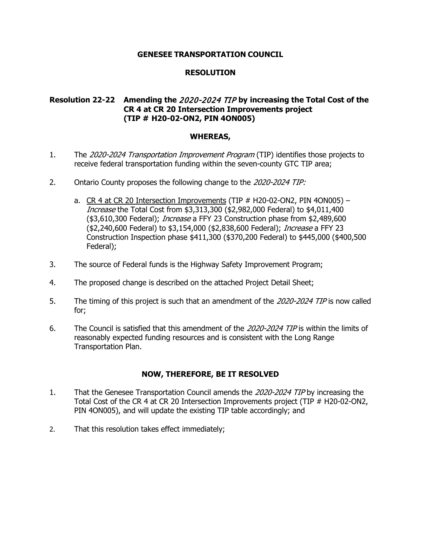# **RESOLUTION**

# **Resolution 22-22 Amending the** 2020-2024 TIP **by increasing the Total Cost of the CR 4 at CR 20 Intersection Improvements project (TIP # H20-02-ON2, PIN 4ON005)**

### **WHEREAS,**

- 1. The 2020-2024 Transportation Improvement Program (TIP) identifies those projects to receive federal transportation funding within the seven-county GTC TIP area;
- 2. Ontario County proposes the following change to the 2020-2024 TIP:
	- a.  $CR$  4 at CR 20 Intersection Improvements (TIP  $#$  H20-02-ON2, PIN 40N005) Increase the Total Cost from \$3,313,300 (\$2,982,000 Federal) to \$4,011,400 (\$3,610,300 Federal); *Increase* a FFY 23 Construction phase from \$2,489,600 (\$2,240,600 Federal) to \$3,154,000 (\$2,838,600 Federal); Increase a FFY 23 Construction Inspection phase \$411,300 (\$370,200 Federal) to \$445,000 (\$400,500 Federal);
- 3. The source of Federal funds is the Highway Safety Improvement Program;
- 4. The proposed change is described on the attached Project Detail Sheet;
- 5. The timing of this project is such that an amendment of the 2020-2024 TIP is now called for;
- 6. The Council is satisfied that this amendment of the 2020-2024 TIP is within the limits of reasonably expected funding resources and is consistent with the Long Range Transportation Plan.

- 1. That the Genesee Transportation Council amends the 2020-2024 TIP by increasing the Total Cost of the CR 4 at CR 20 Intersection Improvements project (TIP # H20-02-ON2, PIN 4ON005), and will update the existing TIP table accordingly; and
- 2. That this resolution takes effect immediately;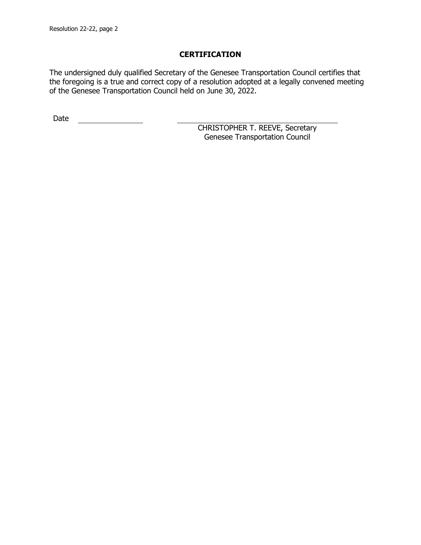The undersigned duly qualified Secretary of the Genesee Transportation Council certifies that the foregoing is a true and correct copy of a resolution adopted at a legally convened meeting of the Genesee Transportation Council held on June 30, 2022.

Date <u>\_\_\_\_\_\_\_\_\_\_\_\_\_\_</u>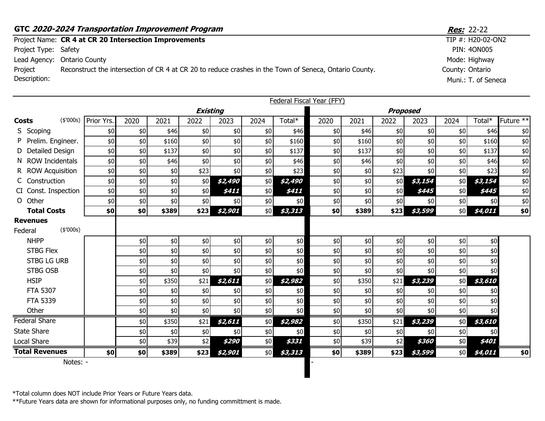|                         | GTC 2020-2024 Transportation Improvement Program                                                       | <b>Res:</b> 22-22                      |
|-------------------------|--------------------------------------------------------------------------------------------------------|----------------------------------------|
|                         | Project Name: CR 4 at CR 20 Intersection Improvements                                                  | TIP #: H20-02-ON2                      |
| Project Type: Safety    |                                                                                                        | PIN: 40N005                            |
|                         | Lead Agency: Ontario County                                                                            | Mode: Highway                          |
| Project<br>Description: | Reconstruct the intersection of CR 4 at CR 20 to reduce crashes in the Town of Seneca, Ontario County. | County: Ontario<br>Muni.: T. of Seneca |
|                         |                                                                                                        |                                        |

|                            |           |            |      |       |                 |         |       |         | Federal Fiscal Year (FFY) |       |      |         |      |         |                      |
|----------------------------|-----------|------------|------|-------|-----------------|---------|-------|---------|---------------------------|-------|------|---------|------|---------|----------------------|
|                            |           |            |      |       | <b>Existing</b> |         |       |         | <b>Proposed</b>           |       |      |         |      |         |                      |
| <b>Costs</b>               | (\$'000s) | Prior Yrs. | 2020 | 2021  | 2022            | 2023    | 2024  | Total*  | 2020                      | 2021  | 2022 | 2023    | 2024 | Total*  | Future <sup>**</sup> |
| S Scoping                  |           | \$0        | \$0  | \$46  | \$0             | \$0     | \$0   | \$46    | \$0                       | \$46  | \$0  | \$0     | \$0  | \$46    | \$0                  |
| P Prelim. Engineer.        |           | \$0        | \$0  | \$160 | \$0             | \$0     | \$0   | \$160   | \$0                       | \$160 | \$0  | \$0     | \$0  | \$160   | \$0                  |
| D Detailed Design          |           | \$0        | \$0  | \$137 | \$0             | \$0     | \$0   | \$137   | \$0                       | \$137 | \$0  | \$0     | \$0  | \$137   | \$0                  |
| N ROW Incidentals          |           | \$0        | \$0  | \$46  | \$0             | \$0     | \$0   | \$46    | \$0                       | \$46  | \$0  | $$0$$   | \$0  | \$46    | \$0                  |
| R ROW Acquisition          |           | \$0        | \$0  | \$0   | \$23            | \$0     | \$0   | \$23    | \$0                       | \$0   | \$23 | \$0     | \$0  | \$23    | $\$0$                |
| C Construction             |           | \$0        | \$0  | \$0   | \$0             | \$2,490 | \$0   | \$2,490 | \$0                       | \$0   | \$0  | \$3,154 | \$0  | \$3,154 | \$0                  |
| CI Const. Inspection       |           | \$0        | \$0  | \$0   | \$0             | \$411   | \$0   | \$411   | \$0                       | \$0   | \$0  | \$445   | \$0  | \$445   | \$0                  |
| O Other                    |           | \$0        | $$0$ | \$0   | \$0             | \$0     | \$0   | \$0     | \$0                       | \$0   | \$0  | \$0     | \$0  | \$0     | $\$0$                |
| <b>Total Costs</b>         |           | \$0        | \$0  | \$389 | \$23            | \$2,901 | \$0   | \$3,313 | \$0                       | \$389 | \$23 | \$3,599 | \$0  | \$4,011 | \$0                  |
| <b>Revenues</b><br>Federal | (\$'000s) |            |      |       |                 |         |       |         |                           |       |      |         |      |         |                      |
| <b>NHPP</b>                |           |            | \$0  | \$0   | \$0             | \$0     | \$0   | $$0$$   | $$0$$                     | \$0   | \$0  | \$0     | \$0  | \$0     |                      |
| <b>STBG Flex</b>           |           |            | \$0  | \$0   | \$0             | \$0     | \$0   | \$0\$   | \$0                       | \$0   | \$0  | \$0     | \$0  | \$0     |                      |
| <b>STBG LG URB</b>         |           |            | \$0  | \$0   | \$0             | \$0     | \$0   | \$0     | \$0                       | \$0   | \$0  | \$0     | \$0  | \$0     |                      |
| <b>STBG OSB</b>            |           |            | \$0  | \$0   | \$0             | \$0     | \$0\$ | \$0     | \$0                       | \$0   | \$0  | \$0     | \$0  | \$0     |                      |
| <b>HSIP</b>                |           |            | \$0  | \$350 | \$21            | \$2,611 | \$0   | \$2,982 | \$0                       | \$350 | \$21 | \$3,239 | \$0  | \$3,610 |                      |
| <b>FTA 5307</b>            |           |            | \$0  | \$0   | \$0             | \$0     | $$0$$ | \$0     | $$0$$                     | \$0   | \$0  | \$0     | \$0  | \$0     |                      |
| <b>FTA 5339</b>            |           |            | \$0  | \$0   | \$0             | \$0     | \$0   | \$0     | \$0                       | \$0   | \$0  | \$0     | \$0  | \$0     |                      |
| Other                      |           |            | \$0  | \$0   | \$0             | \$0     | \$0   | \$0     | \$0                       | \$0   | \$0  | \$0     | \$0  | \$0     |                      |
| <b>Federal Share</b>       |           |            | \$0  | \$350 | \$21            | \$2,611 | \$0   | \$2,982 | \$0                       | \$350 | \$21 | \$3,239 | \$0  | \$3,610 |                      |
| <b>State Share</b>         |           |            | \$0  | \$0   | \$0             | \$0     | \$0   | \$0     | \$0                       | \$0   | \$0  | \$0     | \$0  | \$0     |                      |
| Local Share                |           |            | \$0  | \$39  | \$2             | \$290   | \$0   | \$331   | \$0                       | \$39  | \$2  | \$360   | \$0  | \$401   |                      |
| <b>Total Revenues</b>      |           | \$0        | \$0  | \$389 | \$23            | \$2,901 | \$0   | \$3,313 | \$0                       | \$389 | \$23 | \$3,599 | \$0  | \$4,011 | \$0                  |
|                            | Notes: -  |            |      |       |                 |         |       |         |                           |       |      |         |      |         |                      |

\*Total column does NOT include Prior Years or Future Years data.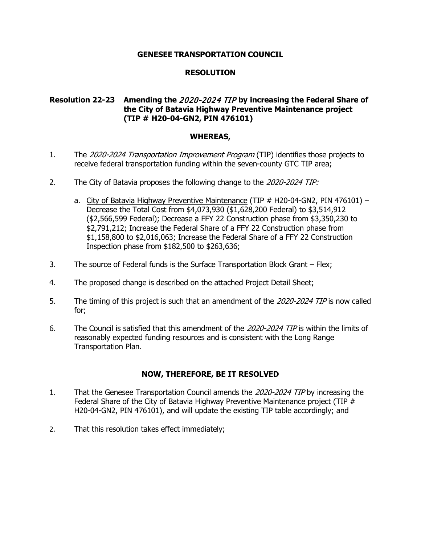# **RESOLUTION**

# **Resolution 22-23 Amending the** 2020-2024 TIP **by increasing the Federal Share of the City of Batavia Highway Preventive Maintenance project (TIP # H20-04-GN2, PIN 476101)**

### **WHEREAS,**

- 1. The 2020-2024 Transportation Improvement Program (TIP) identifies those projects to receive federal transportation funding within the seven-county GTC TIP area;
- 2. The City of Batavia proposes the following change to the 2020-2024 TIP:
	- a. City of Batavia Highway Preventive Maintenance (TIP # H20-04-GN2, PIN 476101) -Decrease the Total Cost from \$4,073,930 (\$1,628,200 Federal) to \$3,514,912 (\$2,566,599 Federal); Decrease a FFY 22 Construction phase from \$3,350,230 to \$2,791,212; Increase the Federal Share of a FFY 22 Construction phase from \$1,158,800 to \$2,016,063; Increase the Federal Share of a FFY 22 Construction Inspection phase from \$182,500 to \$263,636;
- 3. The source of Federal funds is the Surface Transportation Block Grant Flex;
- 4. The proposed change is described on the attached Project Detail Sheet;
- 5. The timing of this project is such that an amendment of the 2020-2024 TIP is now called for;
- 6. The Council is satisfied that this amendment of the 2020-2024 TIP is within the limits of reasonably expected funding resources and is consistent with the Long Range Transportation Plan.

- 1. That the Genesee Transportation Council amends the 2020-2024 TIP by increasing the Federal Share of the City of Batavia Highway Preventive Maintenance project (TIP # H20-04-GN2, PIN 476101), and will update the existing TIP table accordingly; and
- 2. That this resolution takes effect immediately;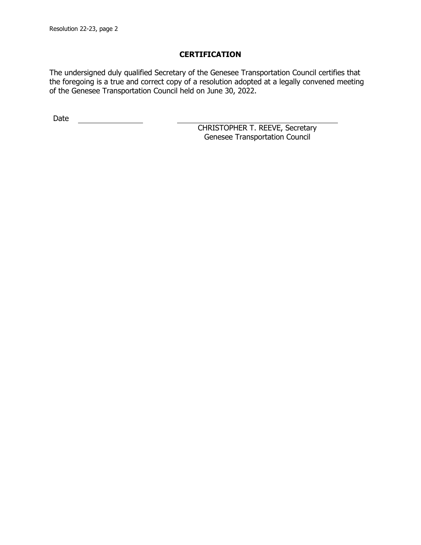The undersigned duly qualified Secretary of the Genesee Transportation Council certifies that the foregoing is a true and correct copy of a resolution adopted at a legally convened meeting of the Genesee Transportation Council held on June 30, 2022.

Date <u>\_\_\_\_\_\_\_\_\_\_\_\_\_\_</u>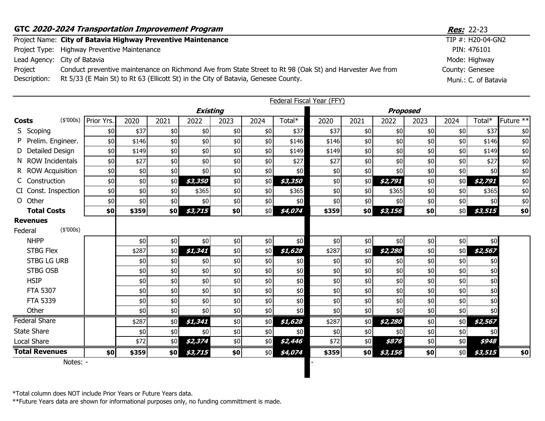| GTC 2020-2024 Transportation Improvement Program | <b>Res:</b> 22-23                                                                                                                                                                               |                                         |
|--------------------------------------------------|-------------------------------------------------------------------------------------------------------------------------------------------------------------------------------------------------|-----------------------------------------|
|                                                  | Project Name: City of Batavia Highway Preventive Maintenance                                                                                                                                    | TIP #: H20-04-GN2                       |
|                                                  | Project Type: Highway Preventive Maintenance                                                                                                                                                    | PIN: 476101                             |
|                                                  | Lead Agency: City of Batavia                                                                                                                                                                    | Mode: Highway                           |
| Project<br>Description:                          | Conduct preventive maintenance on Richmond Ave from State Street to Rt 98 (Oak St) and Harvester Ave from<br>Rt 5/33 (E Main St) to Rt 63 (Ellicott St) in the City of Batavia, Genesee County. | County: Genesee<br>Muni.: C. of Batavia |

|                                         |            |       |      |                 |       |      |         | <b>Federal Fiscal Year (FFY)</b> |      |         |       |      |         |                      |
|-----------------------------------------|------------|-------|------|-----------------|-------|------|---------|----------------------------------|------|---------|-------|------|---------|----------------------|
|                                         |            |       |      | <b>Existing</b> |       |      |         | <b>Proposed</b>                  |      |         |       |      |         |                      |
| (\$'000s)<br>Costs                      | Prior Yrs. | 2020  | 2021 | 2022            | 2023  | 2024 | Total*  | 2020                             | 2021 | 2022    | 2023  | 2024 | Total*  | Future <sup>**</sup> |
| S Scoping                               | \$0        | \$37  | \$0  | \$0             | \$0   | \$0  | \$37    | \$37                             | \$0  | \$0     | \$0   | \$0  | \$37    | \$0                  |
| Prelim. Engineer.                       | \$0        | \$146 | \$0  | \$0             | \$0   | \$0  | \$146   | \$146                            | \$0  | \$0     | $$0$$ | \$0  | \$146   | \$0                  |
| Detailed Design                         | \$0        | \$149 | \$0  | \$0             | $$0$$ | \$0  | \$149   | \$149                            | \$0  | \$0     | $$0$$ | \$0  | \$149   | \$0                  |
| N ROW Incidentals                       | \$0        | \$27  | \$0  | \$0             | \$0   | \$0  | \$27    | \$27                             | \$0  | \$0     | \$0   | \$0  | \$27    | \$0                  |
| R ROW Acquisition                       | \$0        | \$0   | \$0  | \$0             | \$0   | \$0  | \$0     | \$0                              | \$0  | \$0     | \$0   | \$0  | \$0     | \$0                  |
| C Construction                          | \$0        | \$0   | \$0  | \$3,350         | $$0$$ | \$0  | \$3,350 | \$0                              | \$0  | \$2,791 | \$0   | \$0  | \$2,791 | \$0                  |
| CI Const. Inspection                    | \$0        | \$0   | \$0  | \$365           | $$0$$ | \$0  | \$365   | \$0                              | \$0  | \$365   | \$0   | \$0  | \$365   | \$0                  |
| $\Omega$<br>Other                       | \$0        | \$0   | \$0  | \$0             | $\$0$ | \$0  | \$0     | \$0                              | \$0  | \$0     | $$0$$ | \$0  | \$0     | \$0                  |
| <b>Total Costs</b>                      | \$0        | \$359 | \$0  | \$3,715         | \$0   | \$0  | \$4,074 | \$359                            | \$0  | \$3,156 | \$0   | \$0  | \$3,515 | \$0                  |
| <b>Revenues</b><br>(\$'000s)<br>Federal |            |       |      |                 |       |      |         |                                  |      |         |       |      |         |                      |
| <b>NHPP</b>                             |            | \$0   | \$0  | \$0             | $$0$$ | \$0  | \$0     | \$0                              | \$0  | \$0     | $$0$$ | \$0  | \$0     |                      |
| <b>STBG Flex</b>                        |            | \$287 | \$0  | \$1,341         | \$0   | \$0  | \$1,628 | \$287                            | \$0  | \$2,280 | \$0   | \$0  | \$2,567 |                      |
| <b>STBG LG URB</b>                      |            | \$0   | \$0  | \$0             | $$0$$ | \$0  | \$0     | \$0                              | \$0  | \$0     | $$0$$ | \$0  | \$0     |                      |
| <b>STBG OSB</b>                         |            | \$0   | \$0  | \$0             | $$0$$ | \$0  | \$0     | \$0                              | \$0  | \$0     | $$0$$ | \$0  | \$0     |                      |
| <b>HSIP</b>                             |            | \$0   | \$0  | \$0             | \$0   | \$0  | \$0     | \$0                              | \$0  | \$0     | $$0$$ | \$0  | \$0     |                      |
| <b>FTA 5307</b>                         |            | \$0   | \$0  | \$0             | $$0$$ | \$0  | \$0     | \$0                              | \$0  | \$0     | $$0$$ | \$0  | \$0     |                      |
| <b>FTA 5339</b>                         |            | \$0   | \$0  | \$0             | \$0   | \$0  | \$0     | \$0                              | \$0  | \$0     | \$0   | \$0  | \$0     |                      |
| Other                                   |            | \$0   | \$0  | \$0             | \$0   | \$0  | \$0     | \$0                              | \$0  | \$0     | \$0   | \$0  | \$0     |                      |
| <b>Federal Share</b>                    |            | \$287 | \$0  | \$1,341         | \$0   | \$0  | \$1,628 | \$287                            | \$0  | \$2,280 | \$0   | \$0  | \$2,567 |                      |
| <b>State Share</b>                      |            | \$0   | \$0  | \$0             | $\$0$ | \$0  | \$0     | \$0                              | \$0  | \$0     | $$0$$ | \$0  | \$0     |                      |
| Local Share                             |            | \$72  | \$0  | \$2,374         | $$0$$ | \$0  | \$2,446 | \$72                             | \$0  | \$876   | \$0\$ | \$0  | \$948   |                      |
| <b>Total Revenues</b>                   | \$0        | \$359 | \$0  | \$3,715         | \$0   | \$0  | \$4,074 | \$359                            | \$0  | \$3,156 | \$0   | \$0  | \$3,515 | \$0                  |
| Notes: -                                |            |       |      |                 |       |      |         |                                  |      |         |       |      |         |                      |

\*Total column does NOT include Prior Years or Future Years data.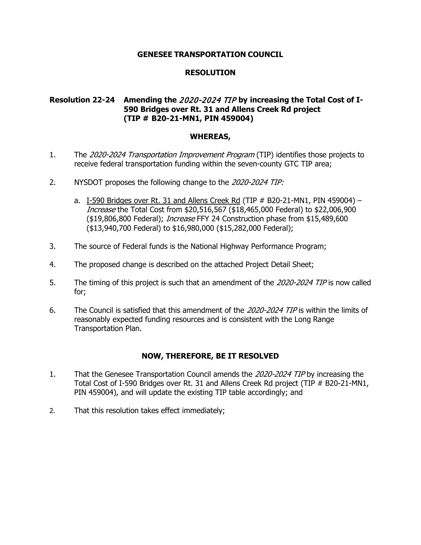## **RESOLUTION**

# **Resolution 22-24 Amending the** 2020-2024 TIP **by increasing the Total Cost of I-590 Bridges over Rt. 31 and Allens Creek Rd project (TIP # B20-21-MN1, PIN 459004)**

### **WHEREAS,**

- 1. The 2020-2024 Transportation Improvement Program (TIP) identifies those projects to receive federal transportation funding within the seven-county GTC TIP area;
- 2. NYSDOT proposes the following change to the 2020-2024 TIP:
	- a. I-590 Bridges over Rt. 31 and Allens Creek Rd (TIP  $#$  B20-21-MN1, PIN 459004) Increase the Total Cost from \$20,516,567 (\$18,465,000 Federal) to \$22,006,900 (\$19,806,800 Federal); *Increase* FFY 24 Construction phase from \$15,489,600 (\$13,940,700 Federal) to \$16,980,000 (\$15,282,000 Federal);
- 3. The source of Federal funds is the National Highway Performance Program;
- 4. The proposed change is described on the attached Project Detail Sheet;
- 5. The timing of this project is such that an amendment of the 2020-2024 TIP is now called for;
- 6. The Council is satisfied that this amendment of the 2020-2024 TIP is within the limits of reasonably expected funding resources and is consistent with the Long Range Transportation Plan.

- 1. That the Genesee Transportation Council amends the 2020-2024 TIP by increasing the Total Cost of I-590 Bridges over Rt. 31 and Allens Creek Rd project (TIP # B20-21-MN1, PIN 459004), and will update the existing TIP table accordingly; and
- 2. That this resolution takes effect immediately;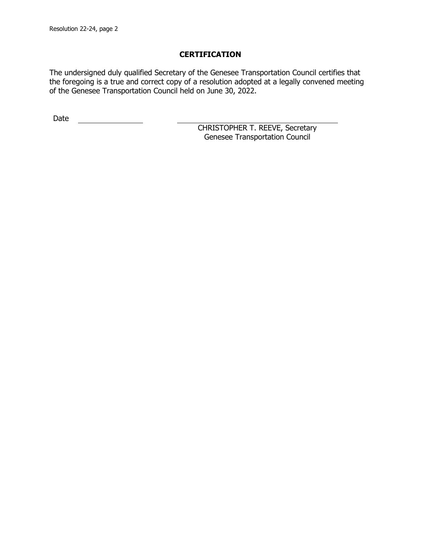The undersigned duly qualified Secretary of the Genesee Transportation Council certifies that the foregoing is a true and correct copy of a resolution adopted at a legally convened meeting of the Genesee Transportation Council held on June 30, 2022.

Date <u>\_\_\_\_\_\_\_\_\_\_\_\_\_\_</u>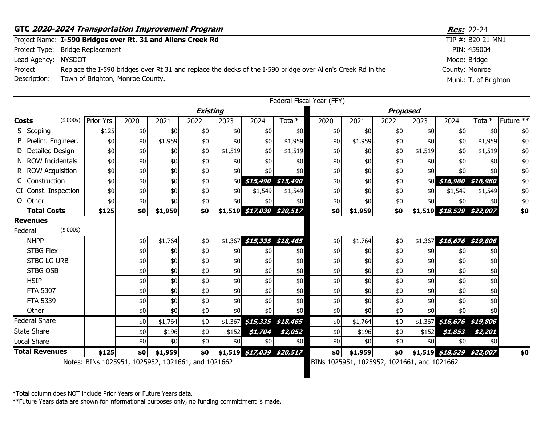|                     | GTC 2020-2024 Transportation Improvement Program                                                            | <b>Res:</b> 22-24     |  |  |  |
|---------------------|-------------------------------------------------------------------------------------------------------------|-----------------------|--|--|--|
|                     | Project Name: I-590 Bridges over Rt. 31 and Allens Creek Rd                                                 | TIP #: B20-21-MN1     |  |  |  |
|                     | Project Type: Bridge Replacement                                                                            | PIN: 459004           |  |  |  |
| Lead Agency: NYSDOT |                                                                                                             | Mode: Bridge          |  |  |  |
| Project             | Replace the I-590 bridges over Rt 31 and replace the decks of the I-590 bridge over Allen's Creek Rd in the | County: Monroe        |  |  |  |
| Description:        | Town of Brighton, Monroe County.                                                                            | Muni.: T. of Brighton |  |  |  |

|                       |           |                                                 |      |         |                 |         |                            |                   | Federal Fiscal Year (FFY)                |         |      |         |                            |                            |                      |
|-----------------------|-----------|-------------------------------------------------|------|---------|-----------------|---------|----------------------------|-------------------|------------------------------------------|---------|------|---------|----------------------------|----------------------------|----------------------|
|                       |           |                                                 |      |         | <b>Existing</b> |         |                            |                   | <b>Proposed</b>                          |         |      |         |                            |                            |                      |
| <b>Costs</b>          |           | (\$'000s) Prior Yrs.                            | 2020 | 2021    | 2022            | 2023    | 2024                       | Total*            | 2020                                     | 2021    | 2022 | 2023    | 2024                       | Total*                     | Future <sup>**</sup> |
| S Scoping             |           | \$125                                           | \$0  | \$0     | \$0             | \$0     | \$0                        | \$0               | \$0                                      | \$0     | \$0  | \$0     | \$0                        | \$0                        | \$0                  |
| P Prelim. Engineer.   |           | \$0                                             | \$0  | \$1,959 | \$0             | \$0     | \$0                        | \$1,959           | \$0                                      | \$1,959 | \$0  | \$0     | \$0                        | \$1,959                    | \$0                  |
| D Detailed Design     |           | \$0                                             | \$0  | \$0     | \$0             | \$1,519 | \$0                        | \$1,519           | \$0                                      | \$0     | \$0  | \$1,519 | \$0                        | \$1,519                    | \$0                  |
| N ROW Incidentals     |           | \$0                                             | \$0  | \$0     | \$0             | \$0     | \$0                        | \$0               | \$0                                      | \$0     | \$0  | \$0     | \$0                        | \$0                        | \$0                  |
| R ROW Acquisition     |           | \$0                                             | \$0  | \$0     | \$0             | \$0     | \$0                        | \$0               | \$0                                      | \$0     | \$0  | \$0     | \$0                        | \$0                        | \$0                  |
| C Construction        |           | \$0                                             | \$0  | \$0     | \$0             |         | \$0 \$15,490 \$15,490      |                   | \$0                                      | \$0     | \$0  |         |                            | \$0 \$16,980 \$16,980      | \$0                  |
| CI Const. Inspection  |           | \$0                                             | \$0  | \$0     | \$0             | \$0     | \$1,549                    | \$1,549           | \$0                                      | \$0     | \$0  | \$0     | \$1,549                    | \$1,549                    | \$0                  |
| O Other               |           | \$0                                             | \$0  | \$0     | \$0             | \$0     | \$0                        | \$0               | \$0                                      | \$0     | \$0  | \$0     | \$0                        | \$0                        | \$0                  |
| <b>Total Costs</b>    |           | \$125                                           | \$0  | \$1,959 | \$0             |         | \$1,519 \$17,039 \$20,517  |                   | \$0                                      | \$1,959 | \$0  |         |                            | \$1,519 \$18,529 \$22,007  | \$0                  |
| <b>Revenues</b>       |           |                                                 |      |         |                 |         |                            |                   |                                          |         |      |         |                            |                            |                      |
| Federal               | (\$'000s) |                                                 |      |         |                 |         |                            |                   |                                          |         |      |         |                            |                            |                      |
| <b>NHPP</b>           |           |                                                 | \$0  | \$1,764 | \$0             | \$1,367 |                            | \$15,335 \$18,465 | \$0                                      | \$1,764 | \$0  |         |                            | $$1,367$ \$16,676 \$19,806 |                      |
| <b>STBG Flex</b>      |           |                                                 | \$0  | \$0     | \$0             | \$0     | \$0                        | \$0               | \$0                                      | \$0     | \$0  | \$0     | \$0                        | \$0                        |                      |
| <b>STBG LG URB</b>    |           |                                                 | \$0  | \$0     | \$0             | \$0     | \$0                        | \$0               | \$0                                      | \$0     | \$0  | \$0     | \$0                        | \$0                        |                      |
| STBG OSB              |           |                                                 | \$0  | \$0     | \$0             | \$0     | \$0                        | \$0               | \$0                                      | \$0     | \$0  | \$0     | \$0                        | \$0                        |                      |
| <b>HSIP</b>           |           |                                                 | \$0  | \$0     | \$0             | \$0     | \$0                        | \$0               | \$0                                      | \$0     | \$0  | \$0     | \$0                        | \$0                        |                      |
| <b>FTA 5307</b>       |           |                                                 | \$0  | \$0     | \$0             | \$0     | \$0                        | \$0               | \$0                                      | \$0     | \$0  | \$0     | \$0                        | \$0                        |                      |
| FTA 5339              |           |                                                 | \$0  | \$0     | \$0             | \$0     | \$0                        | \$0               | \$0                                      | \$0     | \$0  | \$0     | \$0                        | \$0                        |                      |
| Other                 |           |                                                 | \$0  | \$0     | \$0             | \$0     | \$0                        | \$0\$             | \$0                                      | \$0     | \$0  | \$0     | \$0                        | \$0                        |                      |
| <b>Federal Share</b>  |           |                                                 | \$0  | \$1,764 | \$0             |         | $$1,367$ \$15,335 \$18,465 |                   | \$0                                      | \$1,764 | \$0  |         | $$1,367$ \$16,676 \$19,806 |                            |                      |
| <b>State Share</b>    |           |                                                 | \$0  | \$196   | \$0             | \$152   | \$1,704                    | \$2,052           | \$0                                      | \$196   | \$0  | \$152   | \$1,853                    | \$2,201                    |                      |
| Local Share           |           |                                                 | \$0  | \$0     | \$0             | \$0     | \$0                        | \$0               | \$0                                      | \$0     | \$0  | \$0     | \$0                        | \$0                        |                      |
| <b>Total Revenues</b> |           | \$125                                           | \$0  | \$1,959 | \$0             |         | \$1,519 \$17,039 \$20,517  |                   | \$0                                      | \$1,959 | \$0  |         | \$1,519 \$18,529 \$22,007  |                            | \$0                  |
|                       |           | Notor: RING 1025051 1025052 1021661 and 1021662 |      |         |                 |         |                            |                   | RING 1025051 1025052 1021661 and 1021662 |         |      |         |                            |                            |                      |

Notes: BINs 1025951, 1025952, 1021661, and 1021662 BINs 1025951, 1025952, 1021661, and 1021662

\*Total column does NOT include Prior Years or Future Years data.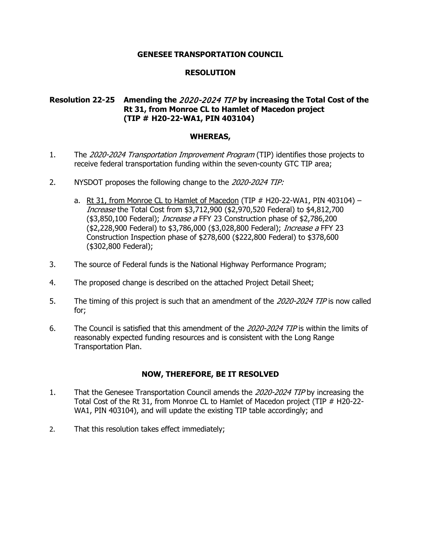# **RESOLUTION**

# **Resolution 22-25 Amending the** 2020-2024 TIP **by increasing the Total Cost of the Rt 31, from Monroe CL to Hamlet of Macedon project (TIP # H20-22-WA1, PIN 403104)**

### **WHEREAS,**

- 1. The 2020-2024 Transportation Improvement Program (TIP) identifies those projects to receive federal transportation funding within the seven-county GTC TIP area;
- 2. NYSDOT proposes the following change to the 2020-2024 TIP:
	- a. Rt 31, from Monroe CL to Hamlet of Macedon (TIP  $#$  H20-22-WA1, PIN 403104) Increase the Total Cost from \$3,712,900 (\$2,970,520 Federal) to \$4,812,700 (\$3,850,100 Federal); *Increase a* FFY 23 Construction phase of \$2,786,200 (\$2,228,900 Federal) to \$3,786,000 (\$3,028,800 Federal); *Increase a* FFY 23 Construction Inspection phase of \$278,600 (\$222,800 Federal) to \$378,600 (\$302,800 Federal);
- 3. The source of Federal funds is the National Highway Performance Program;
- 4. The proposed change is described on the attached Project Detail Sheet;
- 5. The timing of this project is such that an amendment of the 2020-2024 TIP is now called for;
- 6. The Council is satisfied that this amendment of the 2020-2024 TIP is within the limits of reasonably expected funding resources and is consistent with the Long Range Transportation Plan.

- 1. That the Genesee Transportation Council amends the 2020-2024 TIP by increasing the Total Cost of the Rt 31, from Monroe CL to Hamlet of Macedon project (TIP # H20-22- WA1, PIN 403104), and will update the existing TIP table accordingly; and
- 2. That this resolution takes effect immediately;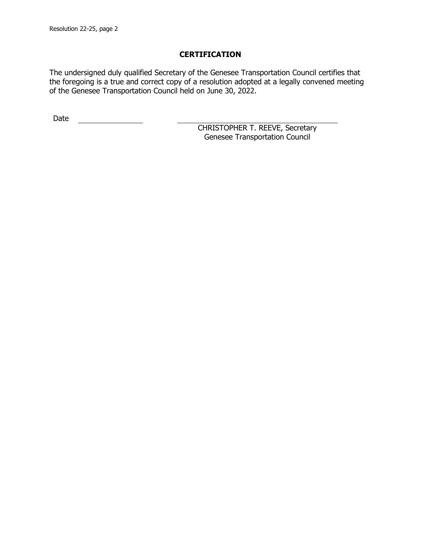The undersigned duly qualified Secretary of the Genesee Transportation Council certifies that the foregoing is a true and correct copy of a resolution adopted at a legally convened meeting of the Genesee Transportation Council held on June 30, 2022.

Date <u>\_\_\_\_\_\_\_\_\_\_\_\_\_\_</u>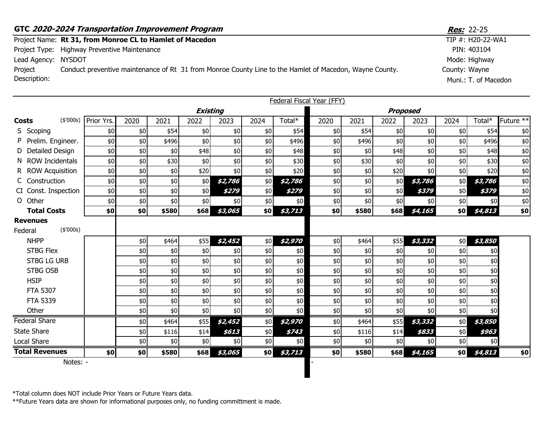|                     | GTC 2020-2024 Transportation Improvement Program                                                        | <b>Res:</b> 22-25     |
|---------------------|---------------------------------------------------------------------------------------------------------|-----------------------|
|                     | Project Name: Rt 31, from Monroe CL to Hamlet of Macedon                                                | TIP $\#$ : H20-22-WA1 |
|                     | Project Type: Highway Preventive Maintenance                                                            | PIN: 403104           |
| Lead Agency: NYSDOT |                                                                                                         | Mode: Highway         |
| Project             | Conduct preventive maintenance of Rt 31 from Monroe County Line to the Hamlet of Macedon, Wayne County. | County: Wayne         |
| Description:        |                                                                                                         | Muni.: T. of Macedon  |

|                                         |            |      |       |       |                 |       |         | Federal Fiscal Year (FFY) |       |       |         |      |         |           |
|-----------------------------------------|------------|------|-------|-------|-----------------|-------|---------|---------------------------|-------|-------|---------|------|---------|-----------|
|                                         |            |      |       |       | <b>Existing</b> |       |         | <b>Proposed</b>           |       |       |         |      |         |           |
| (\$'000s)<br><b>Costs</b>               | Prior Yrs. | 2020 | 2021  | 2022  | 2023            | 2024  | Total*  | 2020                      | 2021  | 2022  | 2023    | 2024 | Total*  | Future ** |
| S Scoping                               | \$0        | \$0  | \$54  | \$0   | \$0             | \$0   | \$54    | \$0                       | \$54  | \$0   | \$0     | \$0  | \$54    | \$0       |
| Prelim. Engineer.                       | \$0        | \$0  | \$496 | \$0   | \$0             | \$0   | \$496   | \$0                       | \$496 | \$0   | \$0     | \$0  | \$496   | \$0       |
| Detailed Design                         | \$0        | \$0  | \$0   | \$48  | \$0             | \$0   | \$48]   | \$0                       | \$0   | \$48  | \$0     | \$0  | \$48    | \$0       |
| <b>ROW Incidentals</b>                  | \$0        | \$0  | \$30  | \$0   | \$0             | \$0   | \$30    | \$0                       | \$30  | \$0   | \$0     | \$0  | \$30    | \$0       |
| R ROW Acquisition                       | \$0        | \$0  | \$0   | \$20  | \$0             | \$0   | \$20    | \$0                       | \$0   | \$20] | \$0     | \$0  | \$20    | \$0       |
| C Construction                          | \$0        | \$0  | \$0   | \$0   | \$2,786         | \$0   | \$2,786 | \$0                       | \$0   | \$0   | \$3,786 | \$0  | \$3,786 | \$0       |
| CI Const. Inspection                    | \$0        | \$0  | \$0   | \$0   | \$279           | \$0   | \$279   | \$0                       | \$0   | \$0   | \$379   | \$0  | \$379   | \$0       |
| O Other                                 | \$0        | \$0  | \$0   | \$0   | \$0             | \$0   | \$0     | \$0                       | \$0   | \$0   | \$0     | \$0  | \$0     | \$0       |
| <b>Total Costs</b>                      | \$0        | \$0  | \$580 | \$68] | \$3,065         | \$0   | \$3,713 | \$0                       | \$580 | \$68] | \$4,165 | \$0  | \$4,813 | \$0       |
| <b>Revenues</b><br>(\$'000s)<br>Federal |            |      |       |       |                 |       |         |                           |       |       |         |      |         |           |
| <b>NHPP</b>                             |            | \$0  | \$464 | \$55  | \$2,452         | \$0   | \$2,970 | \$0                       | \$464 | \$55  | \$3,332 | \$0  | \$3,850 |           |
| <b>STBG Flex</b>                        |            | \$0  | \$0   | \$0   | \$0             | $$0$$ | \$0     | \$0                       | \$0   | \$0   | \$0     | \$0  | \$0     |           |
| <b>STBG LG URB</b>                      |            | \$0  | \$0   | \$0   | \$0             | \$0   | \$0     | \$0                       | \$0   | \$0   | \$0     | \$0  | \$0     |           |
| <b>STBG OSB</b>                         |            | \$0  | \$0   | \$0   | \$0             | \$0   | \$0     | \$0                       | \$0   | \$0   | $$0$$   | \$0  | \$0     |           |
| <b>HSIP</b>                             |            | \$0  | \$0   | \$0   | \$0             | \$0   | \$0     | \$0                       | \$0   | \$0   | \$0     | \$0  | \$0     |           |
| <b>FTA 5307</b>                         |            | \$0  | \$0   | \$0   | \$0             | \$0   | \$0     | \$0                       | \$0   | \$0   | \$0     | \$0  | \$0     |           |
| <b>FTA 5339</b>                         |            | \$0  | \$0   | \$0   | \$0             | $$0$$ | \$0     | \$0                       | \$0   | \$0   | $$0$$   | \$0  | \$0     |           |
| Other                                   |            | \$0  | \$0   | \$0   | \$0             | \$0   | \$0     | \$0                       | \$0   | \$0   | \$0     | \$0  | \$0     |           |
| <b>Federal Share</b>                    |            | \$0  | \$464 | \$55  | \$2,452         | \$0   | \$2,970 | \$0                       | \$464 | \$55  | \$3,332 | \$0  | \$3,850 |           |
| <b>State Share</b>                      |            | \$0  | \$116 | \$14  | \$613           | \$0   | \$743   | \$0                       | \$116 | \$14  | \$833   | \$0  | \$963   |           |
| <b>Local Share</b>                      |            | \$0  | \$0   | \$0   | \$0             | \$0   | \$0     | \$0                       | \$0   | \$0   | \$0     | \$0  | \$0     |           |
| <b>Total Revenues</b>                   | \$٥        | \$0  | \$580 | \$68  | \$3,065         | \$0   | \$3,713 | \$0                       | \$580 | \$68  | \$4,165 | \$٥  | \$4,813 | \$0       |
| Notes: -                                |            |      |       |       |                 |       |         |                           |       |       |         |      |         |           |

\*Total column does NOT include Prior Years or Future Years data.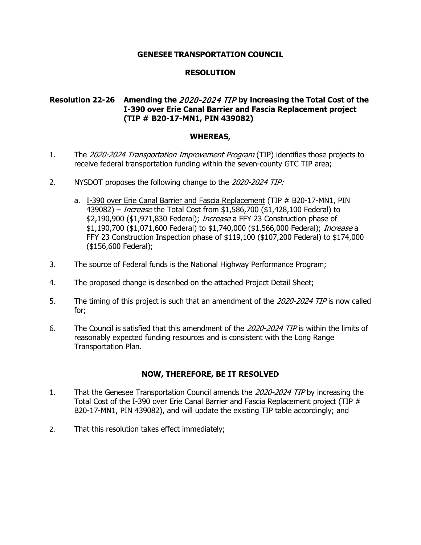# **RESOLUTION**

# **Resolution 22-26 Amending the** 2020-2024 TIP **by increasing the Total Cost of the I-390 over Erie Canal Barrier and Fascia Replacement project (TIP # B20-17-MN1, PIN 439082)**

### **WHEREAS,**

- 1. The 2020-2024 Transportation Improvement Program (TIP) identifies those projects to receive federal transportation funding within the seven-county GTC TIP area;
- 2. NYSDOT proposes the following change to the 2020-2024 TIP:
	- a. I-390 over Erie Canal Barrier and Fascia Replacement (TIP # B20-17-MN1, PIN 439082) – Increase the Total Cost from \$1,586,700 (\$1,428,100 Federal) to \$2,190,900 (\$1,971,830 Federal); *Increase* a FFY 23 Construction phase of \$1,190,700 (\$1,071,600 Federal) to \$1,740,000 (\$1,566,000 Federal); Increase a FFY 23 Construction Inspection phase of \$119,100 (\$107,200 Federal) to \$174,000 (\$156,600 Federal);
- 3. The source of Federal funds is the National Highway Performance Program;
- 4. The proposed change is described on the attached Project Detail Sheet;
- 5. The timing of this project is such that an amendment of the 2020-2024 TIP is now called for;
- 6. The Council is satisfied that this amendment of the 2020-2024 TIP is within the limits of reasonably expected funding resources and is consistent with the Long Range Transportation Plan.

- 1. That the Genesee Transportation Council amends the 2020-2024 TIP by increasing the Total Cost of the I-390 over Erie Canal Barrier and Fascia Replacement project (TIP # B20-17-MN1, PIN 439082), and will update the existing TIP table accordingly; and
- 2. That this resolution takes effect immediately;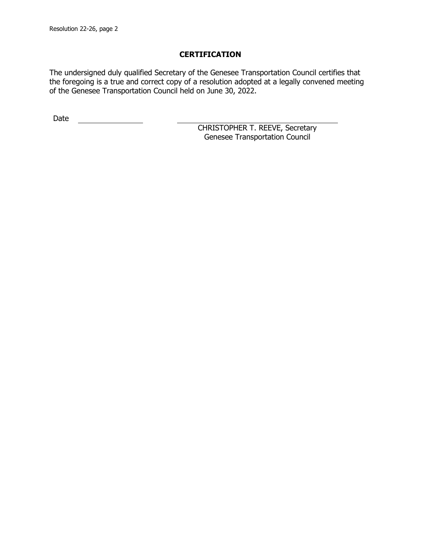The undersigned duly qualified Secretary of the Genesee Transportation Council certifies that the foregoing is a true and correct copy of a resolution adopted at a legally convened meeting of the Genesee Transportation Council held on June 30, 2022.

Date <u>\_\_\_\_\_\_\_\_\_\_\_\_\_\_</u>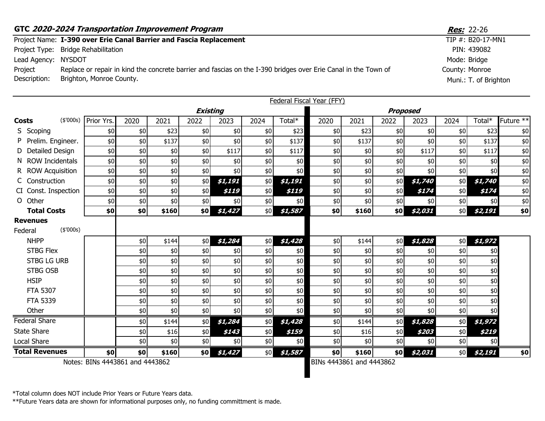|                     | GTC 2020-2024 Transportation Improvement Program                                                               | <b>Res:</b> 22-26     |
|---------------------|----------------------------------------------------------------------------------------------------------------|-----------------------|
|                     | Project Name: I-390 over Erie Canal Barrier and Fascia Replacement                                             | TIP #: B20-17-MN1     |
|                     | Project Type: Bridge Rehabilitation                                                                            | PIN: 439082           |
| Lead Agency: NYSDOT |                                                                                                                | Mode: Bridge          |
| Project             | Replace or repair in kind the concrete barrier and fascias on the I-390 bridges over Erie Canal in the Town of | County: Monroe        |
| Description:        | Brighton, Monroe County.                                                                                       | Muni.: T. of Brighton |

|                            |           |                                 |      |       |      |                 |       |         | Federal Fiscal Year (FFY) |       |                 |         |      |         |                        |
|----------------------------|-----------|---------------------------------|------|-------|------|-----------------|-------|---------|---------------------------|-------|-----------------|---------|------|---------|------------------------|
|                            |           |                                 |      |       |      | <b>Existing</b> |       |         |                           |       | <b>Proposed</b> |         |      |         |                        |
| Costs                      | (\$'000s) | Prior Yrs.                      | 2020 | 2021  | 2022 | 2023            | 2024  | Total*  | 2020                      | 2021  | 2022            | 2023    | 2024 | Total*  | Future $*\overline{*}$ |
| S Scoping                  |           | \$0                             | \$0  | \$23  | \$0  | \$0             | \$0   | \$23    | \$0                       | \$23  | \$0             | \$0     | \$0  | \$23    | \$0                    |
| Prelim. Engineer.          |           | \$0                             | \$0  | \$137 | \$0  | \$0             | \$0   | \$137   | \$0                       | \$137 | \$0             | \$0     | \$0  | \$137   | \$0                    |
| D Detailed Design          |           | \$0                             | \$0  | \$0   | \$0  | \$117           | \$0   | \$117   | \$0                       | \$0   | \$0             | \$117   | \$0  | \$117   | \$0                    |
| N ROW Incidentals          |           | \$0                             | \$0  | \$0   | \$0  | \$0             | \$0   | \$0     | \$0                       | \$0   | \$0             | \$0     | \$0  | \$0     | \$0                    |
| R ROW Acquisition          |           | \$0                             | \$0  | \$0   | \$0  | \$0             | \$0   | \$0     | \$0                       | \$0   | \$0             | \$0     | \$0  | \$0     | \$0                    |
| C Construction             |           | \$0                             | \$0  | \$0   | \$0  | \$1,191         | \$0   | \$1,191 | \$0                       | \$0   | \$0             | \$1,740 | \$0  | \$1,740 | \$0                    |
| CI Const. Inspection       |           | \$0                             | \$0  | \$0   | \$0  | \$119           | \$0   | \$119   | \$0                       | \$0   | \$0             | \$174   | \$0  | \$174   | \$0                    |
| O Other                    |           | \$0                             | \$0  | \$0   | \$0  | \$0             | \$0   | \$0     | \$0                       | \$0   | \$0             | \$0     | \$0  | \$0     | \$0                    |
| <b>Total Costs</b>         |           | \$0                             | \$0  | \$160 | \$0  | \$1,427         | \$0   | \$1,587 | \$0                       | \$160 | \$0             | \$2,031 | \$0  | \$2,191 | \$0                    |
| <b>Revenues</b><br>Federal | (\$'000s) |                                 |      |       |      |                 |       |         |                           |       |                 |         |      |         |                        |
| <b>NHPP</b>                |           |                                 | \$0  | \$144 | \$0  | \$1,284         | \$0   | \$1,428 | \$0                       | \$144 | \$0             | \$1,828 | \$0  | \$1,972 |                        |
| <b>STBG Flex</b>           |           |                                 | \$0  | \$0   | \$0  | \$0             | \$0   | \$0     | \$0                       | \$0   | \$0             | \$0     | \$0  | \$0     |                        |
| <b>STBG LG URB</b>         |           |                                 | \$0  | \$0   | \$0  | \$0             | $$0$$ | \$0     | \$0                       | \$0   | \$0             | \$0     | \$0  | \$0     |                        |
| <b>STBG OSB</b>            |           |                                 | \$0  | \$0   | \$0  | \$0             | \$0   | \$0     | \$0                       | \$0   | \$0             | \$0     | \$0  | \$0     |                        |
| <b>HSIP</b>                |           |                                 | \$0  | \$0   | \$0  | \$0             | \$0   | \$0     | \$0                       | \$0   | \$0             | \$0     | \$0  | \$0     |                        |
| <b>FTA 5307</b>            |           |                                 | \$0  | \$0   | \$0  | $$0$$           | $$0$$ | \$0     | \$0                       | \$0   | \$0             | $$0$$   | \$0  | \$0     |                        |
| <b>FTA 5339</b>            |           |                                 | \$0  | \$0   | \$0  | \$0             | \$0   | \$0     | \$0                       | \$0   | \$0             | \$0     | \$0  | \$0     |                        |
| Other                      |           |                                 | \$0  | \$0   | \$0  | \$0             | \$0   | \$0     | \$0                       | \$0   | \$0             | \$0     | \$0  | \$0     |                        |
| <b>Federal Share</b>       |           |                                 | \$0  | \$144 | \$0  | \$1,284         | \$0   | \$1,428 | \$0                       | \$144 | \$0             | \$1,828 | \$0  | \$1,972 |                        |
| <b>State Share</b>         |           |                                 | \$0  | \$16  | \$0  | \$143           | \$0   | \$159   | \$0                       | \$16  | \$0             | \$203   | \$0  | \$219   |                        |
| Local Share                |           |                                 | \$0  | \$0   | \$0  | \$0             | \$0   | \$0     | \$0                       | \$0   | \$0             | \$0     | \$0  | \$0     |                        |
| <b>Total Revenues</b>      |           | \$0                             | \$0  | \$160 | \$0  | \$1,427         | \$0   | \$1,587 | \$0                       | \$160 | \$0             | \$2,031 | \$0  | \$2,191 | \$0                    |
|                            |           | Notes: BINs 4443861 and 4443862 |      |       |      |                 |       |         | BINs 4443861 and 4443862  |       |                 |         |      |         |                        |

\*Total column does NOT include Prior Years or Future Years data.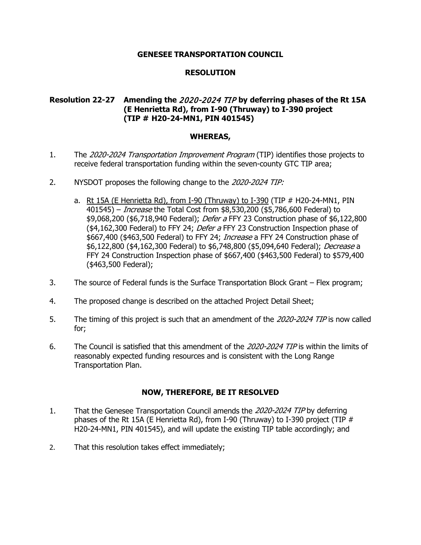# **RESOLUTION**

# **Resolution 22-27 Amending the** 2020-2024 TIP **by deferring phases of the Rt 15A (E Henrietta Rd), from I-90 (Thruway) to I-390 project (TIP # H20-24-MN1, PIN 401545)**

### **WHEREAS,**

- 1. The 2020-2024 Transportation Improvement Program (TIP) identifies those projects to receive federal transportation funding within the seven-county GTC TIP area;
- 2. NYSDOT proposes the following change to the 2020-2024 TIP:
	- a. Rt 15A (E Henrietta Rd), from I-90 (Thruway) to I-390 (TIP # H20-24-MN1, PIN 401545) – Increase the Total Cost from \$8,530,200 (\$5,786,600 Federal) to \$9,068,200 (\$6,718,940 Federal); *Defer a* FFY 23 Construction phase of \$6,122,800 (\$4,162,300 Federal) to FFY 24; Defer a FFY 23 Construction Inspection phase of \$667,400 (\$463,500 Federal) to FFY 24; *Increase* a FFY 24 Construction phase of \$6,122,800 (\$4,162,300 Federal) to \$6,748,800 (\$5,094,640 Federal); Decrease a FFY 24 Construction Inspection phase of \$667,400 (\$463,500 Federal) to \$579,400 (\$463,500 Federal);
- 3. The source of Federal funds is the Surface Transportation Block Grant Flex program;
- 4. The proposed change is described on the attached Project Detail Sheet;
- 5. The timing of this project is such that an amendment of the 2020-2024 TIP is now called for;
- 6. The Council is satisfied that this amendment of the 2020-2024 TIP is within the limits of reasonably expected funding resources and is consistent with the Long Range Transportation Plan.

- 1. That the Genesee Transportation Council amends the 2020-2024 TIP by deferring phases of the Rt 15A (E Henrietta Rd), from I-90 (Thruway) to I-390 project (TIP  $#$ H20-24-MN1, PIN 401545), and will update the existing TIP table accordingly; and
- 2. That this resolution takes effect immediately;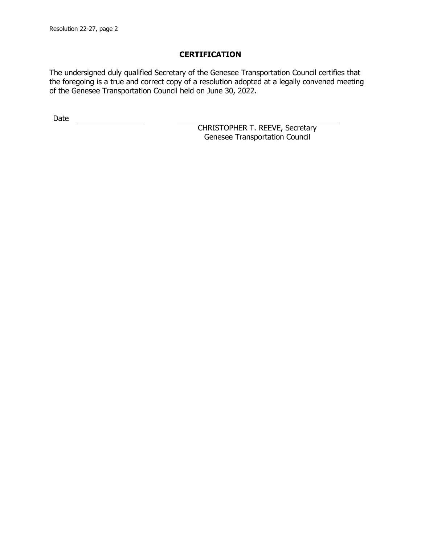The undersigned duly qualified Secretary of the Genesee Transportation Council certifies that the foregoing is a true and correct copy of a resolution adopted at a legally convened meeting of the Genesee Transportation Council held on June 30, 2022.

Date <u>\_\_\_\_\_\_\_\_\_\_\_\_\_\_</u>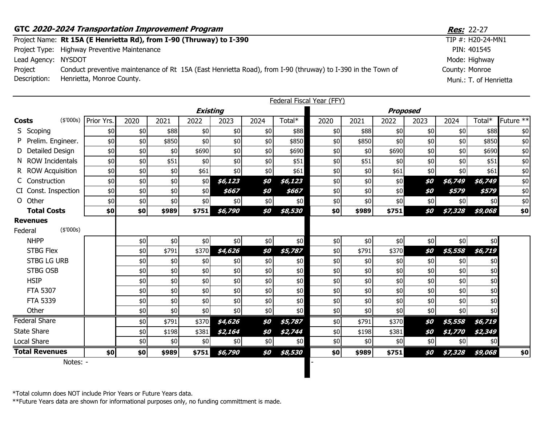|                     | GTC 2020-2024 Transportation Improvement Program                                                            | <b>Res:</b> 22-27 |
|---------------------|-------------------------------------------------------------------------------------------------------------|-------------------|
|                     | Project Name: Rt 15A (E Henrietta Rd), from I-90 (Thruway) to I-390                                         | TIP #: H20-24-MN1 |
|                     | Project Type: Highway Preventive Maintenance                                                                | PIN: 401545       |
| Lead Agency: NYSDOT |                                                                                                             | Mode: Highway     |
| Project             | Conduct preventive maintenance of Rt 15A (East Henrietta Road), from I-90 (thruway) to I-390 in the Town of | County: Monroe    |

Muni.: T. of Henrietta

Description: Henrietta, Monroe County.

|                                         |            |      |       |                 |         |      |         | <b>Federal Fiscal Year (FFY)</b> |       |                 |       |         |         |                        |
|-----------------------------------------|------------|------|-------|-----------------|---------|------|---------|----------------------------------|-------|-----------------|-------|---------|---------|------------------------|
|                                         |            |      |       | <b>Existing</b> |         |      |         |                                  |       | <b>Proposed</b> |       |         |         |                        |
| (\$'000s)<br>Costs                      | Prior Yrs. | 2020 | 2021  | 2022            | 2023    | 2024 | Total*  | 2020                             | 2021  | 2022            | 2023  | 2024    | Total*  | Future $*\overline{*}$ |
| S Scoping                               | \$0        | \$0  | \$88  | \$0             | \$0     | \$0  | \$88    | \$0                              | \$88  | \$0             | \$0   | \$0     | \$88    | \$0                    |
| Prelim. Engineer.                       | \$0        | \$0  | \$850 | \$0             | \$0     | \$0  | \$850   | \$0                              | \$850 | \$0             | \$0   | \$0     | \$850   | \$0                    |
| <b>Detailed Design</b>                  | \$0        | \$0  | \$0   | \$690           | \$0     | \$0  | \$690   | \$0                              | \$0   | \$690           | \$0   | \$0     | \$690   | \$0                    |
| N ROW Incidentals                       | \$0        | \$0  | \$51  | \$0             | \$0     | \$0  | \$51    | \$0                              | \$51  | \$0             | \$0   | \$0     | \$51    | \$0                    |
| R ROW Acquisition                       | \$0        | \$0  | \$0   | \$61            | \$0     | \$0  | \$61    | \$0                              | \$0   | \$61            | \$0   | \$0     | \$61    | \$0                    |
| C Construction                          | \$0        | \$0  | \$0   | \$0             | \$6,123 | \$0  | \$6,123 | \$0                              | \$0   | \$0             | \$0   | \$6,749 | \$6,749 | \$0                    |
| CI Const. Inspection                    | \$0        | \$0  | \$0   | \$0             | \$667   | \$0  | \$667   | \$0                              | \$0   | \$0             | \$0   | \$579   | \$579   | \$0                    |
| Other<br>$\Omega$                       | \$0        | \$0  | \$0   | \$0             | \$0     | \$0  | \$0     | \$0                              | \$0   | \$0             | \$0   | \$0     | \$0     | \$0                    |
| <b>Total Costs</b>                      | \$0        | \$0  | \$989 | \$751           | \$6,790 | \$0  | \$8,530 | \$0                              | \$989 | \$751           | \$0   | \$7,328 | \$9,068 | \$0                    |
| <b>Revenues</b><br>(\$'000s)<br>Federal |            |      |       |                 |         |      |         |                                  |       |                 |       |         |         |                        |
| <b>NHPP</b>                             |            | \$0  | \$0   | \$0             | \$0     | \$0  | \$0     | \$0                              | \$0   | \$0             | \$0   | \$0     | \$0     |                        |
| <b>STBG Flex</b>                        |            | \$0  | \$791 | \$370           | \$4,626 | \$0  | \$5,787 | \$0                              | \$791 | \$370           | \$0   | \$5,558 | \$6,719 |                        |
| <b>STBG LG URB</b>                      |            | \$0  | \$0   | \$0             | \$0     | \$0  | \$0     | \$0                              | \$0   | \$0             | \$0   | \$0     | \$0     |                        |
| <b>STBG OSB</b>                         |            | \$0  | \$0   | \$0             | \$0     | \$0  | \$0     | \$0                              | \$0   | \$0             | \$0   | \$0     | \$0     |                        |
| <b>HSIP</b>                             |            | \$0  | \$0   | \$0             | \$0     | \$0  | \$0     | \$0                              | \$0   | \$0             | \$0   | \$0     | $$0$    |                        |
| <b>FTA 5307</b>                         |            | \$0  | \$0   | \$0             | \$0     | \$0  | \$0     | \$0                              | \$0   | \$0             | \$0   | \$0     | \$0     |                        |
| <b>FTA 5339</b>                         |            | \$0  | \$0   | \$0             | $$0$$   | \$0  | \$0     | \$0                              | \$0   | \$0             | $$0$$ | \$0     | \$0     |                        |
| Other                                   |            | \$0  | \$0   | \$0             | \$0     | \$0  | \$0     | \$0                              | \$0   | \$0             | \$0   | \$0     | \$0     |                        |
| <b>Federal Share</b>                    |            | \$0  | \$791 | \$370           | \$4,626 | \$0  | \$5,787 | \$0                              | \$791 | \$370           | \$0   | \$5,558 | \$6,719 |                        |
| <b>State Share</b>                      |            | \$0  | \$198 | \$381           | \$2,164 | \$0  | \$2,744 | \$0                              | \$198 | \$381           | \$0   | \$1,770 | \$2,349 |                        |
| Local Share                             |            | \$0  | \$0   | \$0             | \$0     | \$0  | \$0     | \$0                              | \$0   | \$0             | \$0   | \$0     | \$0     |                        |
| <b>Total Revenues</b>                   | \$0        | \$0  | \$989 | \$751           | \$6,790 | \$0  | \$8,530 | \$0                              | \$989 | \$751           | \$0   | \$7,328 | \$9,068 | \$0                    |
| Notes: -                                |            |      |       |                 |         |      |         |                                  |       |                 |       |         |         |                        |

\*Total column does NOT include Prior Years or Future Years data.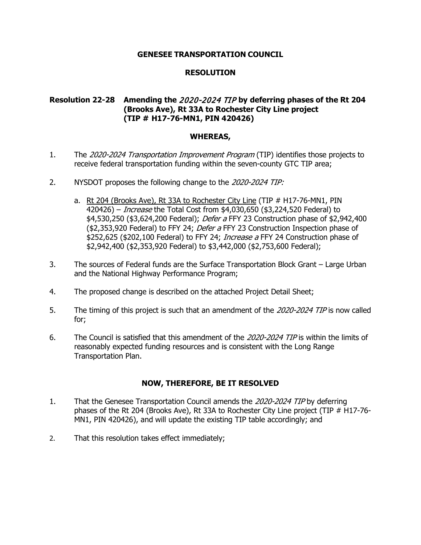# **RESOLUTION**

# **Resolution 22-28 Amending the** 2020-2024 TIP **by deferring phases of the Rt 204 (Brooks Ave), Rt 33A to Rochester City Line project (TIP # H17-76-MN1, PIN 420426)**

### **WHEREAS,**

- 1. The 2020-2024 Transportation Improvement Program (TIP) identifies those projects to receive federal transportation funding within the seven-county GTC TIP area;
- 2. NYSDOT proposes the following change to the 2020-2024 TIP:
	- a. Rt 204 (Brooks Ave), Rt 33A to Rochester City Line (TIP # H17-76-MN1, PIN 420426) – Increase the Total Cost from \$4,030,650 (\$3,224,520 Federal) to \$4,530,250 (\$3,624,200 Federal); *Defer a* FFY 23 Construction phase of \$2,942,400 (\$2,353,920 Federal) to FFY 24; Defer a FFY 23 Construction Inspection phase of \$252,625 (\$202,100 Federal) to FFY 24; *Increase a* FFY 24 Construction phase of \$2,942,400 (\$2,353,920 Federal) to \$3,442,000 (\$2,753,600 Federal);
- 3. The sources of Federal funds are the Surface Transportation Block Grant Large Urban and the National Highway Performance Program;
- 4. The proposed change is described on the attached Project Detail Sheet;
- 5. The timing of this project is such that an amendment of the 2020-2024 TIP is now called for;
- 6. The Council is satisfied that this amendment of the 2020-2024 TIP is within the limits of reasonably expected funding resources and is consistent with the Long Range Transportation Plan.

- 1. That the Genesee Transportation Council amends the 2020-2024 TIP by deferring phases of the Rt 204 (Brooks Ave), Rt 33A to Rochester City Line project (TIP # H17-76- MN1, PIN 420426), and will update the existing TIP table accordingly; and
- 2. That this resolution takes effect immediately;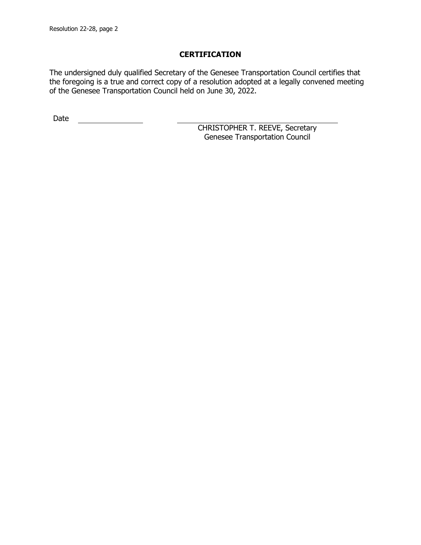The undersigned duly qualified Secretary of the Genesee Transportation Council certifies that the foregoing is a true and correct copy of a resolution adopted at a legally convened meeting of the Genesee Transportation Council held on June 30, 2022.

Date <u>\_\_\_\_\_\_\_\_\_\_\_\_\_\_</u>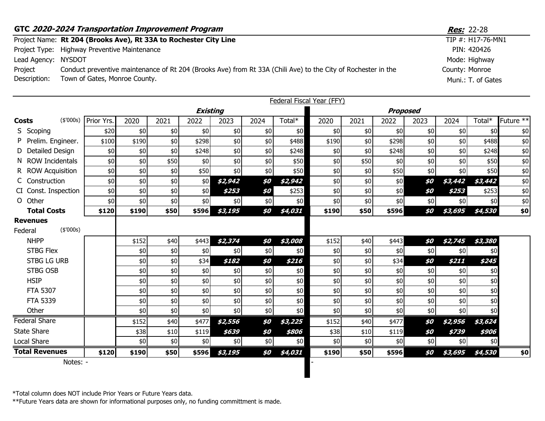|                     | GTC 2020-2024 Transportation Improvement Program                                                              | <b>Res:</b> 22-28  |
|---------------------|---------------------------------------------------------------------------------------------------------------|--------------------|
|                     | Project Name: Rt 204 (Brooks Ave), Rt 33A to Rochester City Line                                              | TIP #: H17-76-MN1  |
|                     | Project Type: Highway Preventive Maintenance                                                                  | PIN: 420426        |
| Lead Agency: NYSDOT |                                                                                                               | Mode: Highway      |
| Project             | Conduct preventive maintenance of Rt 204 (Brooks Ave) from Rt 33A (Chili Ave) to the City of Rochester in the | County: Monroe     |
| Description:        | Town of Gates, Monroe County.                                                                                 | Muni.: T. of Gates |

|              |                              |            |       |      |                 |         |      |         | <b>Federal Fiscal Year (FFY)</b> |      |                 |       |         |         |           |
|--------------|------------------------------|------------|-------|------|-----------------|---------|------|---------|----------------------------------|------|-----------------|-------|---------|---------|-----------|
|              |                              |            |       |      | <b>Existing</b> |         |      |         |                                  |      | <b>Proposed</b> |       |         |         |           |
| <b>Costs</b> | (\$'000s)                    | Prior Yrs. | 2020  | 2021 | 2022            | 2023    | 2024 | Total*  | 2020                             | 2021 | 2022            | 2023  | 2024    | Total*  | Future ** |
|              | S Scoping                    | \$20       | \$0   | \$0  | \$0             | \$0     | \$0  | \$0     | \$0                              | \$0  | \$0             | \$0   | \$0     | \$0     | \$0       |
|              | Prelim. Engineer.            | \$100      | \$190 | \$0  | \$298           | \$0     | \$0  | \$488   | \$190                            | \$0  | \$298           | $$0$$ | \$0     | \$488   | \$0       |
|              | Detailed Design              | \$0        | \$0   | \$0  | \$248           | \$0     | \$0  | \$248   | \$0                              | \$0  | \$248           | \$0   | \$0     | \$248   | \$0       |
|              | N ROW Incidentals            | \$0        | \$0   | \$50 | \$0             | \$0     | \$0  | \$50    | \$0                              | \$50 | \$0             | \$0   | \$0     | \$50    | \$0       |
|              | R ROW Acquisition            | \$0        | \$0   | \$0  | \$50            | \$0     | \$0  | \$50    | \$0                              | \$0  | \$50            | \$0   | \$0     | \$50    | \$0       |
|              | C Construction               | \$0        | \$0   | \$0  | \$0             | \$2,942 | \$0  | \$2,942 | \$0                              | \$0  | \$0             | \$0   | \$3,442 | \$3,442 | \$0       |
|              | CI Const. Inspection         | \$0        | \$0   | \$0  | \$0             | \$253   | \$0  | \$253   | \$0                              | \$0  | \$0             | \$0   | \$253   | \$253   | \$0       |
| $\Omega$     | Other                        | \$0        | \$0   | \$0  | \$0             | \$0     | \$0  | \$0     | \$0                              | \$0  | \$0             | \$0   | \$0     | \$0     | \$0       |
|              | <b>Total Costs</b>           | \$120      | \$190 | \$50 | \$596           | \$3,195 | \$0  | \$4,031 | \$190                            | \$50 | \$596           | \$0   | \$3,695 | \$4,530 | \$0       |
| Federal      | <b>Revenues</b><br>(\$'000s) |            |       |      |                 |         |      |         |                                  |      |                 |       |         |         |           |
|              | <b>NHPP</b>                  |            | \$152 | \$40 | \$443           | \$2,374 | \$0  | \$3,008 | \$152                            | \$40 | \$443           | \$0   | \$2,745 | \$3,380 |           |
|              | <b>STBG Flex</b>             |            | \$0   | \$0  | \$0             | \$0     | \$0  | \$0     | \$0                              | \$0  | \$0             | \$0   | \$0     | \$0     |           |
|              | <b>STBG LG URB</b>           |            | \$0   | \$0  | \$34            | \$182   | \$0  | \$216   | \$0                              | \$0  | \$34            | \$0   | \$211   | \$245   |           |
|              | <b>STBG OSB</b>              |            | \$0   | \$0  | \$0             | \$0     | \$0  | \$0     | \$0                              | \$0  | \$0             | $$0$$ | \$0     | \$0     |           |
|              | <b>HSIP</b>                  |            | \$0   | \$0  | \$0             | \$0     | \$0  | \$0     | \$0                              | \$0  | \$0             | \$0   | \$0     | \$0     |           |
|              | <b>FTA 5307</b>              |            | \$0   | \$0  | \$0             | \$0     | \$0  | \$0     | \$0                              | \$0  | \$0             | \$0   | \$0     | \$0     |           |
|              | <b>FTA 5339</b>              |            | \$0   | \$0  | \$0             | \$0     | \$0  | \$0     | \$0                              | \$0  | \$0             | \$0   | \$0     | \$0     |           |
|              | Other                        |            | \$0   | \$0  | \$0             | \$0     | \$0  | \$0     | \$0                              | \$0  | \$0             | $$0$$ | \$0     | \$0     |           |
|              | <b>Federal Share</b>         |            | \$152 | \$40 | \$477           | \$2,556 | \$0  | \$3,225 | \$152                            | \$40 | \$477           | \$0   | \$2,956 | \$3,624 |           |
|              | <b>State Share</b>           |            | \$38  | \$10 | \$119           | \$639   | \$0  | \$806   | \$38                             | \$10 | \$119           | \$0   | \$739   | \$906   |           |
|              | Local Share                  |            | \$0   | \$0  | \$0             | \$0     | \$0  | \$0     | \$0                              | \$0  | \$0             | \$0   | \$0     | \$0     |           |
|              | <b>Total Revenues</b>        | \$120      | \$190 | \$50 | \$596           | \$3,195 | \$0  | \$4,031 | \$190                            | \$50 | \$596           | \$0   | \$3,695 | \$4,530 | \$0       |
|              | Notes: -                     |            |       |      |                 |         |      |         |                                  |      |                 |       |         |         |           |

I

\*Total column does NOT include Prior Years or Future Years data.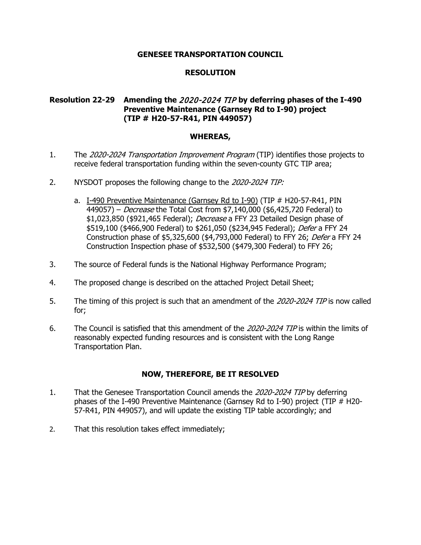# **RESOLUTION**

# **Resolution 22-29 Amending the** 2020-2024 TIP **by deferring phases of the I-490 Preventive Maintenance (Garnsey Rd to I-90) project (TIP # H20-57-R41, PIN 449057)**

### **WHEREAS,**

- 1. The 2020-2024 Transportation Improvement Program (TIP) identifies those projects to receive federal transportation funding within the seven-county GTC TIP area;
- 2. NYSDOT proposes the following change to the 2020-2024 TIP:
	- a. I-490 Preventive Maintenance (Garnsey Rd to I-90) (TIP # H20-57-R41, PIN 449057) – *Decrease* the Total Cost from \$7,140,000 (\$6,425,720 Federal) to \$1,023,850 (\$921,465 Federal); *Decrease* a FFY 23 Detailed Design phase of \$519,100 (\$466,900 Federal) to \$261,050 (\$234,945 Federal); Defer a FFY 24 Construction phase of \$5,325,600 (\$4,793,000 Federal) to FFY 26; Defer a FFY 24 Construction Inspection phase of \$532,500 (\$479,300 Federal) to FFY 26;
- 3. The source of Federal funds is the National Highway Performance Program;
- 4. The proposed change is described on the attached Project Detail Sheet;
- 5. The timing of this project is such that an amendment of the 2020-2024 TIP is now called for;
- 6. The Council is satisfied that this amendment of the 2020-2024 TIP is within the limits of reasonably expected funding resources and is consistent with the Long Range Transportation Plan.

- 1. That the Genesee Transportation Council amends the 2020-2024 TIP by deferring phases of the I-490 Preventive Maintenance (Garnsey Rd to I-90) project (TIP # H20- 57-R41, PIN 449057), and will update the existing TIP table accordingly; and
- 2. That this resolution takes effect immediately;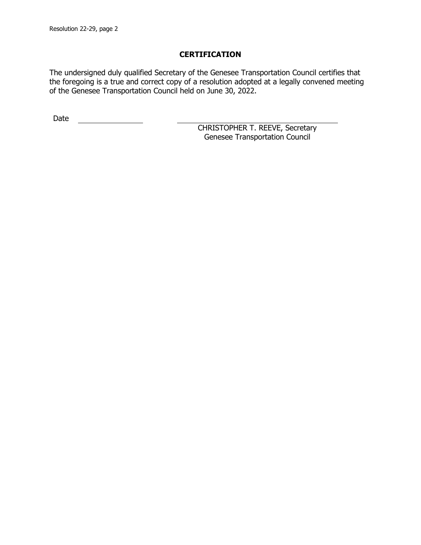The undersigned duly qualified Secretary of the Genesee Transportation Council certifies that the foregoing is a true and correct copy of a resolution adopted at a legally convened meeting of the Genesee Transportation Council held on June 30, 2022.

Date <u>\_\_\_\_\_\_\_\_\_\_\_\_\_\_</u>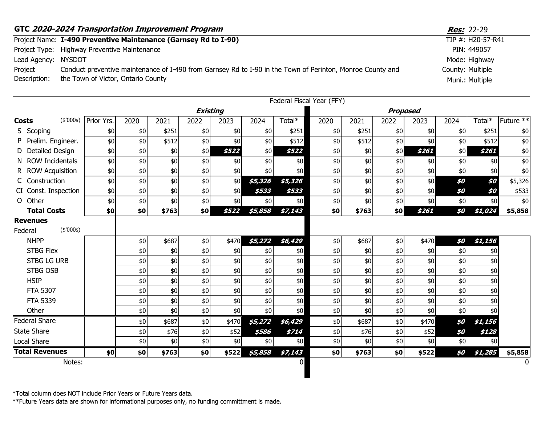|                         | GTC 2020-2024 Transportation Improvement Program                                                                                                 | <b>Res:</b> 22-29                   |
|-------------------------|--------------------------------------------------------------------------------------------------------------------------------------------------|-------------------------------------|
|                         | Project Name: I-490 Preventive Maintenance (Garnsey Rd to I-90)                                                                                  | TIP #: H20-57-R41                   |
|                         | Project Type: Highway Preventive Maintenance                                                                                                     | PIN: 449057                         |
| Lead Agency:            | NYSDOT                                                                                                                                           | Mode: Highway                       |
| Project<br>Description: | Conduct preventive maintenance of I-490 from Garnsey Rd to I-90 in the Town of Perinton, Monroe County and<br>the Town of Victor, Ontario County | County: Multiple<br>Muni.: Multiple |
|                         |                                                                                                                                                  |                                     |

|                                         |            |       |       |                 |       |         |         | <b>Federal Fiscal Year (FFY)</b> |       |                 |       |      |         |                      |
|-----------------------------------------|------------|-------|-------|-----------------|-------|---------|---------|----------------------------------|-------|-----------------|-------|------|---------|----------------------|
|                                         |            |       |       | <b>Existing</b> |       |         |         |                                  |       | <b>Proposed</b> |       |      |         |                      |
| (\$'000s)<br><b>Costs</b>               | Prior Yrs. | 2020  | 2021  | 2022            | 2023  | 2024    | Total*  | 2020                             | 2021  | 2022            | 2023  | 2024 | Total*  | Future <sup>**</sup> |
| S Scoping                               | \$0        | \$0   | \$251 | \$0             | \$0   | \$0     | \$251   | \$0                              | \$251 | \$0             | \$0   | \$0  | \$251   | \$0                  |
| P Prelim. Engineer.                     | \$0        | \$0   | \$512 | \$0             | \$0   | \$0     | \$512   | \$0                              | \$512 | \$0             | \$0   | \$0  | \$512   | \$0                  |
| D Detailed Design                       | \$0        | \$0   | \$0   | \$0             | \$522 | \$0     | \$522   | \$0                              | \$0   | \$0             | \$261 | \$0  | \$261   | \$0                  |
| N ROW Incidentals                       | \$0        | \$0   | \$0   | \$0             | \$0   | \$0     | \$0     | \$0                              | \$0   | \$0             | \$0   | \$0  | \$0     | \$0                  |
| R ROW Acquisition                       | \$0        | $$0$$ | \$0   | \$0             | \$0   | \$0     | \$0     | \$0                              | \$0   | \$0             | $$0$$ | \$0  | \$0     | \$0                  |
| C Construction                          | \$0        | $$0$$ | $$0$$ | \$0             | \$0   | \$5,326 | \$5,326 | $$0$$                            | \$0   | \$0             | \$0   | \$0  | \$0     | \$5,326              |
| CI Const. Inspection                    | \$0        | \$0   | \$0   | \$0             | \$0   | \$533   | \$533   | \$0                              | \$0   | \$0             | \$0   | \$0  | \$0     | \$533                |
| O Other                                 | \$0        | \$0   | \$0   | \$0             | \$0   | \$0     | \$0     | \$0                              | \$0   | \$0             | \$0   | \$0  | \$0     | \$0                  |
| <b>Total Costs</b>                      | \$0]       | \$0   | \$763 | \$0             | \$522 | \$5,858 | \$7,143 | \$0                              | \$763 | \$0             | \$261 | \$0  | \$1,024 | \$5,858              |
| <b>Revenues</b><br>(\$'000s)<br>Federal |            |       |       |                 |       |         |         |                                  |       |                 |       |      |         |                      |
| <b>NHPP</b>                             |            | \$0   | \$687 | \$0             | \$470 | \$5,272 | \$6,429 | \$0                              | \$687 | \$0             | \$470 | \$0  | \$1,156 |                      |
| <b>STBG Flex</b>                        |            | \$0   | \$0   | \$0             | \$0   | \$0     | \$0     | \$0                              | \$0   | \$0             | \$0   | \$0  | \$0     |                      |
| <b>STBG LG URB</b>                      |            | \$0   | \$0   | \$0             | $$0$$ | \$0     | \$0\$   | \$0                              | \$0   | \$0             | $$0$$ | \$0  | \$0     |                      |
| <b>STBG OSB</b>                         |            | \$0   | \$0   | \$0             | $$0$$ | \$0     | $$0$$   | \$0\$                            | \$0   | \$0             | $$0$$ | \$0  | \$0     |                      |
| <b>HSIP</b>                             |            | \$0   | \$0   | \$0             | \$0   | \$0     | \$0     | \$0                              | \$0   | \$0             | $$0$$ | \$0  | \$0     |                      |
| <b>FTA 5307</b>                         |            | \$0   | \$0   | \$0             | \$0   | \$0     | \$0\$   | \$0                              | \$0   | \$0             | $$0$$ | \$0  | \$0     |                      |
| <b>FTA 5339</b>                         |            | $$0$$ | \$0   | \$0             | \$0   | \$0     | $$0$$   | \$0\$                            | \$0   | \$0             | $$0$$ | \$0  | \$0     |                      |
| Other                                   |            | \$0   | \$0   | \$0             | \$0   | \$0     | \$0     | \$0                              | \$0   | \$0             | \$0   | \$0  | \$0     |                      |
| <b>Federal Share</b>                    |            | \$0   | \$687 | \$0             | \$470 | \$5,272 | \$6,429 | \$0                              | \$687 | \$0             | \$470 | \$0  | \$1,156 |                      |
| <b>State Share</b>                      |            | \$0   | \$76  | \$0             | \$52  | \$586   | \$714   | \$0                              | \$76  | \$0             | \$52  | \$0  | \$128   |                      |
| Local Share                             |            | \$0   | \$0   | \$0             | \$0   | \$0     | \$0     | \$0                              | \$0   | \$0             | \$0   | \$0  | \$0     |                      |
| <b>Total Revenues</b>                   | \$0]       | \$0   | \$763 | \$0             | \$522 | \$5,858 | \$7,143 | \$0                              | \$763 | \$0             | \$522 | \$0  | \$1,285 | \$5,858              |
| Notes:                                  |            |       |       |                 |       |         | 01      |                                  |       |                 |       |      |         |                      |

Ш

\*Total column does NOT include Prior Years or Future Years data.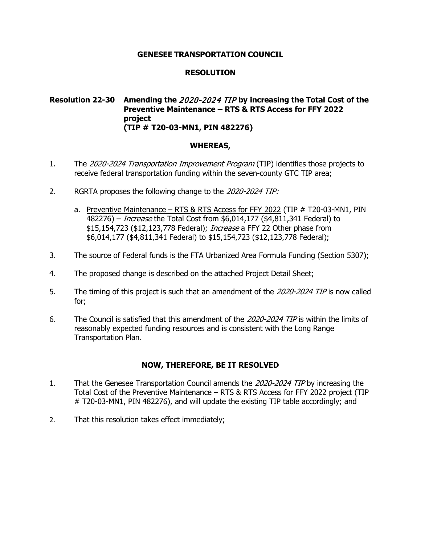# **RESOLUTION**

### **Resolution 22-30 Amending the** 2020-2024 TIP **by increasing the Total Cost of the Preventive Maintenance – RTS & RTS Access for FFY 2022 project (TIP # T20-03-MN1, PIN 482276)**

### **WHEREAS,**

- 1. The 2020-2024 Transportation Improvement Program (TIP) identifies those projects to receive federal transportation funding within the seven-county GTC TIP area;
- 2. RGRTA proposes the following change to the 2020-2024 TIP:
	- a. Preventive Maintenance RTS & RTS Access for FFY 2022 (TIP # T20-03-MN1, PIN 482276) – Increase the Total Cost from \$6,014,177 (\$4,811,341 Federal) to \$15,154,723 (\$12,123,778 Federal); *Increase* a FFY 22 Other phase from \$6,014,177 (\$4,811,341 Federal) to \$15,154,723 (\$12,123,778 Federal);
- 3. The source of Federal funds is the FTA Urbanized Area Formula Funding (Section 5307);
- 4. The proposed change is described on the attached Project Detail Sheet;
- 5. The timing of this project is such that an amendment of the 2020-2024 TIP is now called for;
- 6. The Council is satisfied that this amendment of the 2020-2024 TIP is within the limits of reasonably expected funding resources and is consistent with the Long Range Transportation Plan.

- 1. That the Genesee Transportation Council amends the 2020-2024 TIP by increasing the Total Cost of the Preventive Maintenance – RTS & RTS Access for FFY 2022 project (TIP # T20-03-MN1, PIN 482276), and will update the existing TIP table accordingly; and
- 2. That this resolution takes effect immediately;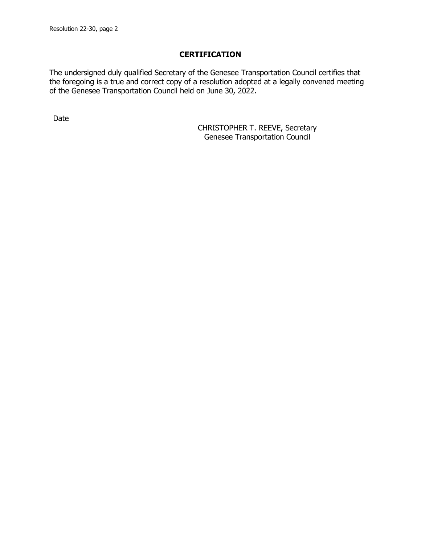The undersigned duly qualified Secretary of the Genesee Transportation Council certifies that the foregoing is a true and correct copy of a resolution adopted at a legally convened meeting of the Genesee Transportation Council held on June 30, 2022.

Date <u>\_\_\_\_\_\_\_\_\_\_\_\_\_\_</u>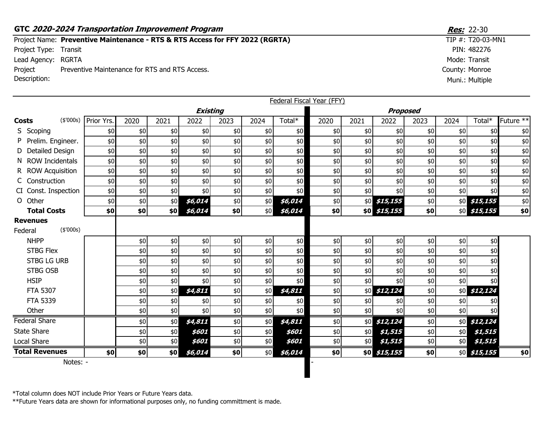### **GTC 2020-2024 Transportation Improvement Program <b>Resection** 10 and 2012 12:30 Project Name: Preventive Maintenance - RTS & RTS Access for FFY 2022 (RGRTA) Project Type: Transit Lead Agency: RGRTA County: Monroe Project Description: Preventive Maintenance for RTS and RTS Access.

|                            |                       |            |       |      |                 |       |       | <b>Federal Fiscal Year (FFY)</b> |       |      |                 |       |      |               |           |
|----------------------------|-----------------------|------------|-------|------|-----------------|-------|-------|----------------------------------|-------|------|-----------------|-------|------|---------------|-----------|
|                            |                       |            |       |      | <b>Existing</b> |       |       |                                  |       |      | <b>Proposed</b> |       |      |               |           |
| <b>Costs</b>               | (\$'000s)             | Prior Yrs. | 2020  | 2021 | 2022            | 2023  | 2024  | Total*                           | 2020  | 2021 | 2022            | 2023  | 2024 | Total*        | Future ** |
|                            | S Scoping             | \$0        | \$0   | \$0  | \$0             | \$0   | \$0   | \$0                              | \$0   | \$0  | \$0             | \$0   | \$0  | \$0           | \$0       |
|                            | P Prelim. Engineer.   | \$0        | $$0$$ | \$0  | \$0             | \$0   | \$0   | \$0                              | $$0$$ | \$0  | \$0             | \$0   | \$0  | \$0           | \$0       |
|                            | D Detailed Design     | \$0        | \$0   | \$0  | \$0             | \$0   | \$0   | \$0                              | \$0   | \$0  | \$0             | \$0   | \$0  | \$0           | \$0       |
|                            | N ROW Incidentals     | \$0        | \$0   | \$0  | \$0             | \$0   | \$0   | \$0                              | \$0   | \$0  | \$0             | \$0   | \$0  | \$0           | $$0$$     |
|                            | R ROW Acquisition     | \$0        | \$0   | \$0  | \$0             | \$0   | \$0   | \$0                              | \$0   | \$0  | \$0             | \$0   | \$0  | \$0           | \$0       |
|                            | C Construction        | \$0        | \$0   | \$0  | \$0             | \$0   | \$0   | \$0                              | $$0$$ | \$0  | \$0             | $$0$$ | \$0  | \$0           | $$0$      |
|                            | CI Const. Inspection  | \$0        | \$0   | \$0  | \$0             | \$0   | \$0   | \$0                              | \$0   | \$0  | \$0             | \$0   | \$0  | \$0           | $$0$      |
| O Other                    |                       | \$0        | $$0$$ | \$0  | \$6,014         | $$0$$ | \$0   | \$6,014                          | \$0\$ |      | $$0$ \$15,155   | \$0   |      | $$0$ \$15,155 | $\$0$     |
|                            | <b>Total Costs</b>    | \$0        | \$0   | \$0  | \$6,014         | \$0   | \$0   | \$6,014                          | \$0   |      | \$0 \$15,155    | \$0   |      | \$0 \$15,155  | \$0       |
| <b>Revenues</b><br>Federal | (\$'000s)             |            |       |      |                 |       |       |                                  |       |      |                 |       |      |               |           |
|                            | <b>NHPP</b>           |            | \$0   | \$0  | \$0             | \$0   | \$0   | \$0                              | \$0\$ | \$0  | \$0             | \$0   | \$0  | \$0           |           |
|                            | <b>STBG Flex</b>      |            | \$0   | \$0  | \$0             | $$0$$ | $$0$$ | \$0                              | $$0$$ | \$0  | \$0             | $$0$$ | \$0  | \$0           |           |
|                            | <b>STBG LG URB</b>    |            | \$0   | \$0  | \$0             | \$0   | \$0   | \$0                              | \$0   | \$0  | \$0             | \$0   | \$0  | \$0           |           |
|                            | <b>STBG OSB</b>       |            | \$0   | \$0  | \$0             | \$0   | \$0   | \$0                              | \$0\$ | \$0  | \$0             | \$0   | \$0  | \$0           |           |
|                            | <b>HSIP</b>           |            | \$0   | \$0  | \$0             | \$0   | \$0   | \$0                              | \$0\$ | \$0  | \$0             | \$0   | \$0  | \$0           |           |
|                            | <b>FTA 5307</b>       |            | \$0   | \$0  | \$4,811         | $$0$$ | \$0   | \$4,811                          | $$0$$ | \$0  | \$12,124        | \$0   |      | $$0$ \$12,124 |           |
|                            | <b>FTA 5339</b>       |            | \$0   | \$0  | \$0             | \$0   | \$0   | \$0                              | \$0   | \$0  | \$0             | \$0   | \$0  |               |           |
|                            | Other                 |            | \$0   | \$0  | \$0             | \$0   | \$0   | \$0                              | \$0   | \$0  | \$0             | \$0   | \$0  | \$0           |           |
|                            | Federal Share         |            | \$0   | \$0  | \$4,811         | \$0   | \$0   | \$4,811                          | \$0   | \$0  | \$12,124        | \$0   |      | $$0$ \$12,124 |           |
| <b>State Share</b>         |                       |            | \$0   | \$0  | \$601           | \$0   | \$0   | \$601                            | \$0   | \$0  | \$1,515         | \$0   | \$0  | \$1,515       |           |
| Local Share                |                       |            | \$0   | \$0  | \$601           | \$0   | \$0   | \$601                            | \$0   | \$0  | \$1,515         | \$0   | \$0  | \$1,515       |           |
|                            | <b>Total Revenues</b> | \$0        | \$0   | \$0  | \$6,014         | \$0   | \$0   | \$6,014                          | \$0   |      | \$0 \$15,155    | \$0   |      | \$0 \$15,155  | \$0       |
|                            | Notes: -              |            |       |      |                 |       |       |                                  |       |      |                 |       |      |               |           |

\*Total column does NOT include Prior Years or Future Years data.

\*\*Future Years data are shown for informational purposes only, no funding committment is made.

 $TIP #: T20-03-MN1$ PIN: 482276 Mode: Transit Muni.: Multiple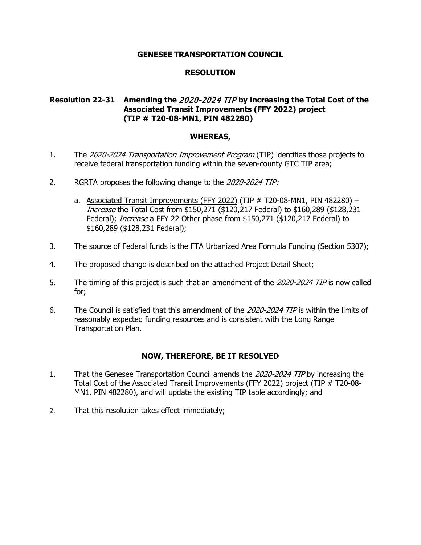# **RESOLUTION**

# **Resolution 22-31 Amending the** 2020-2024 TIP **by increasing the Total Cost of the Associated Transit Improvements (FFY 2022) project (TIP # T20-08-MN1, PIN 482280)**

### **WHEREAS,**

- 1. The 2020-2024 Transportation Improvement Program (TIP) identifies those projects to receive federal transportation funding within the seven-county GTC TIP area;
- 2. RGRTA proposes the following change to the 2020-2024 TIP:
	- a. Associated Transit Improvements (FFY 2022) (TIP  $#$  T20-08-MN1, PIN 482280) Increase the Total Cost from \$150,271 (\$120,217 Federal) to \$160,289 (\$128,231 Federal); *Increase* a FFY 22 Other phase from \$150,271 (\$120,217 Federal) to \$160,289 (\$128,231 Federal);
- 3. The source of Federal funds is the FTA Urbanized Area Formula Funding (Section 5307);
- 4. The proposed change is described on the attached Project Detail Sheet;
- 5. The timing of this project is such that an amendment of the 2020-2024 TIP is now called for;
- 6. The Council is satisfied that this amendment of the 2020-2024 TIP is within the limits of reasonably expected funding resources and is consistent with the Long Range Transportation Plan.

- 1. That the Genesee Transportation Council amends the 2020-2024 TIP by increasing the Total Cost of the Associated Transit Improvements (FFY 2022) project (TIP # T20-08- MN1, PIN 482280), and will update the existing TIP table accordingly; and
- 2. That this resolution takes effect immediately;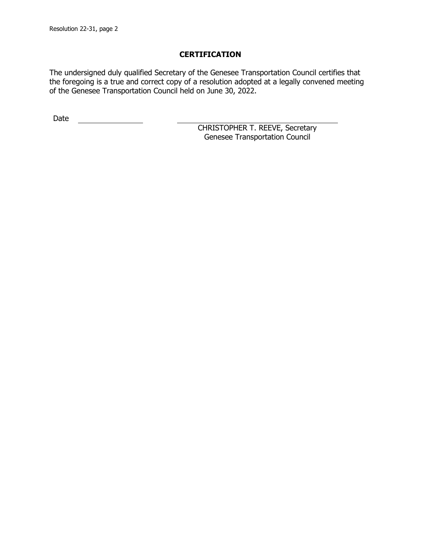The undersigned duly qualified Secretary of the Genesee Transportation Council certifies that the foregoing is a true and correct copy of a resolution adopted at a legally convened meeting of the Genesee Transportation Council held on June 30, 2022.

Date <u>\_\_\_\_\_\_\_\_\_\_\_\_\_\_</u>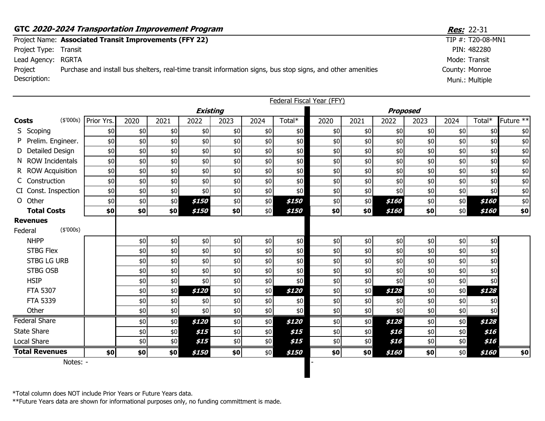|                       | GTC 2020-2024 Transportation Improvement Program                                                            | <b>Res:</b> 22-31    |
|-----------------------|-------------------------------------------------------------------------------------------------------------|----------------------|
|                       | Project Name: Associated Transit Improvements (FFY 22)                                                      | TIP $#$ : T20-08-MN1 |
| Project Type: Transit |                                                                                                             | PIN: 482280          |
| Lead Agency: RGRTA    |                                                                                                             | Mode: Transit        |
| Project               | Purchase and install bus shelters, real-time transit information signs, bus stop signs, and other amenities | County: Monroe       |
| Description:          |                                                                                                             | Muni.: Multiple      |
|                       |                                                                                                             |                      |

|                            |                       |            |      |      |                 |       |      |        | Federal Fiscal Year (FFY) |      |       |                 |      |        |           |
|----------------------------|-----------------------|------------|------|------|-----------------|-------|------|--------|---------------------------|------|-------|-----------------|------|--------|-----------|
|                            |                       |            |      |      | <b>Existing</b> |       |      |        |                           |      |       | <b>Proposed</b> |      |        |           |
| <b>Costs</b>               | (\$'000s)             | Prior Yrs. | 2020 | 2021 | 2022            | 2023  | 2024 | Total* | 2020                      | 2021 | 2022  | 2023            | 2024 | Total* | Future ** |
| S Scoping                  |                       | \$0        | \$0  | \$0  | \$0             | \$0   | \$0  | \$0    | \$0                       | \$0  | \$0   | \$0             | \$0  | \$0    | $$0$$     |
|                            | Prelim. Engineer.     | \$0        | \$0  | \$0  | \$0             | \$0   | \$0  | \$0    | \$0                       | \$0  | \$0   | \$0             | \$0  | \$0    | $\$0$     |
|                            | D Detailed Design     | \$0        | \$0  | \$0  | \$0             | \$0   | \$0  | \$0    | \$0                       | \$0  | \$0   | \$0             | \$0  | \$0    | $\$0$     |
|                            | N ROW Incidentals     | \$0        | \$0  | \$0  | \$0             | \$0   | \$0  | \$0    | \$0                       | \$0  | \$0   | \$0             | \$0  | \$0    | $$0$$     |
|                            | R ROW Acquisition     | \$0        | \$0  | \$0  | \$0             | $$0$$ | \$0  | \$0    | \$0                       | \$0  | \$0   | \$0             | \$0  | \$0    | $\$0$     |
|                            | C Construction        | \$0        | \$0  | \$0  | \$0             | \$0   | \$0  | \$0    | \$0                       | \$0  | \$0   | \$0             | \$0  | \$0    | $$0$$     |
|                            | CI Const. Inspection  | \$0        | \$0  | \$0  | \$0             | \$0   | \$0  | \$0    | \$0                       | \$0  | \$0   | \$0             | \$0  | \$0    | $$0$$     |
| O Other                    |                       | \$0        | \$0  | \$0  | \$150           | $$0$$ | \$0  | \$150  | \$0                       | \$0  | \$160 | \$0             | \$0  | \$160  | \$0       |
|                            | <b>Total Costs</b>    | \$0        | \$0  | \$0  | \$150           | \$0   | \$0  | \$150  | \$0                       | \$0  | \$160 | \$0             | \$0  | \$160  | \$0       |
| <b>Revenues</b><br>Federal | (\$'000s)             |            |      |      |                 |       |      |        |                           |      |       |                 |      |        |           |
| <b>NHPP</b>                |                       |            | \$0  | \$0  | \$0             | \$0   | \$0  | \$0    | \$0\$                     | \$0  | \$0   | $$0$$           | \$0  | \$0    |           |
|                            | <b>STBG Flex</b>      |            | \$0  | \$0  | \$0             | \$0   | \$0  | \$0    | \$0                       | \$0  | \$0   | \$0             | \$0  | \$0    |           |
|                            | <b>STBG LG URB</b>    |            | \$0  | \$0  | \$0             | \$0   | \$0  | \$0    | \$0                       | \$0  | \$0   | \$0             | \$0  | \$0    |           |
|                            | <b>STBG OSB</b>       |            | \$0  | \$0  | \$0             | \$0   | \$0  | \$0    | \$0                       | \$0  | \$0   | \$0             | \$0  | \$0    |           |
| <b>HSIP</b>                |                       |            | \$0  | \$0  | \$0             | \$0   | \$0  | \$0    | \$0                       | \$0  | \$0   | \$0             | \$0  | \$0    |           |
|                            | FTA 5307              |            | \$0  | \$0  | \$120           | $$0$$ | \$0  | \$120  | \$0                       | \$0  | \$128 | \$0             | \$0  | \$128  |           |
|                            | <b>FTA 5339</b>       |            | \$0  | \$0  | \$0             | \$0   | \$0  | \$0    | \$0                       | \$0  | \$0   | \$0             | \$0  | \$0    |           |
| Other                      |                       |            | \$0  | \$0  | \$0             | \$0   | \$0  | \$0    | \$0                       | \$0  | \$0   | \$0             | \$0  | \$0    |           |
| <b>Federal Share</b>       |                       |            | \$0  | \$0  | \$120           | \$0   | \$0  | \$120  | \$0                       | \$0  | \$128 | \$0             | \$0  | \$128  |           |
| <b>State Share</b>         |                       |            | \$0  | \$0  | \$15            | \$0   | \$0  | \$15   | \$0                       | \$0  | \$16  | \$0             | \$0  | \$16   |           |
| Local Share                |                       |            | \$0  | \$0  | \$15            | \$0   | \$0  | \$15   | \$0                       | \$0  | \$16  | \$0             | \$0  | \$16   |           |
|                            | <b>Total Revenues</b> | \$0        | \$0  | \$0  | \$150           | \$0   | \$0  | \$150  | \$0                       | \$0  | \$160 | \$0             | \$0  | \$160  | \$0       |
|                            | Notes: -              |            |      |      |                 |       |      |        |                           |      |       |                 |      |        |           |

\*Total column does NOT include Prior Years or Future Years data.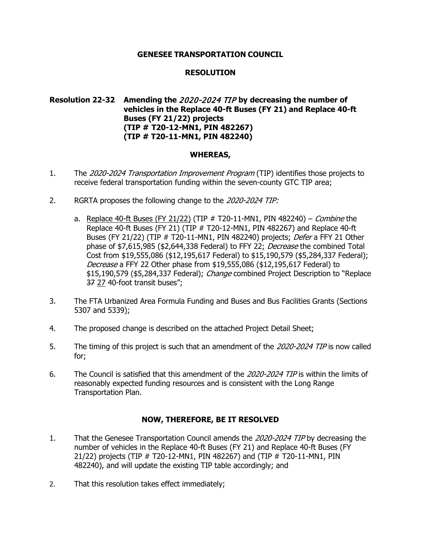## **RESOLUTION**

# **Resolution 22-32 Amending the** 2020-2024 TIP **by decreasing the number of vehicles in the Replace 40-ft Buses (FY 21) and Replace 40-ft Buses (FY 21/22) projects (TIP # T20-12-MN1, PIN 482267) (TIP # T20-11-MN1, PIN 482240)**

### **WHEREAS,**

- 1. The 2020-2024 Transportation Improvement Program (TIP) identifies those projects to receive federal transportation funding within the seven-county GTC TIP area;
- 2. RGRTA proposes the following change to the 2020-2024 TIP:
	- a. Replace 40-ft Buses (FY 21/22) (TIP  $#$  T20-11-MN1, PIN 482240) *Combine* the Replace 40-ft Buses (FY 21) (TIP # T20-12-MN1, PIN 482267) and Replace 40-ft Buses (FY 21/22) (TIP # T20-11-MN1, PIN 482240) projects; Defer a FFY 21 Other phase of \$7,615,985 (\$2,644,338 Federal) to FFY 22; Decrease the combined Total Cost from \$19,555,086 (\$12,195,617 Federal) to \$15,190,579 (\$5,284,337 Federal); Decrease a FFY 22 Other phase from \$19,555,086 (\$12,195,617 Federal) to \$15,190,579 (\$5,284,337 Federal); Change combined Project Description to "Replace 37 27 40-foot transit buses";
- 3. The FTA Urbanized Area Formula Funding and Buses and Bus Facilities Grants (Sections 5307 and 5339);
- 4. The proposed change is described on the attached Project Detail Sheet;
- 5. The timing of this project is such that an amendment of the 2020-2024 TIP is now called for;
- 6. The Council is satisfied that this amendment of the 2020-2024 TIP is within the limits of reasonably expected funding resources and is consistent with the Long Range Transportation Plan.

- 1. That the Genesee Transportation Council amends the 2020-2024 TIP by decreasing the number of vehicles in the Replace 40-ft Buses (FY 21) and Replace 40-ft Buses (FY 21/22) projects (TIP # T20-12-MN1, PIN 482267) and (TIP # T20-11-MN1, PIN 482240), and will update the existing TIP table accordingly; and
- 2. That this resolution takes effect immediately;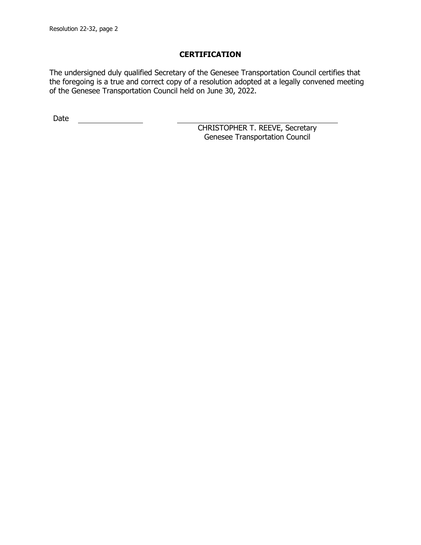The undersigned duly qualified Secretary of the Genesee Transportation Council certifies that the foregoing is a true and correct copy of a resolution adopted at a legally convened meeting of the Genesee Transportation Council held on June 30, 2022.

Date <u>\_\_\_\_\_\_\_\_\_\_\_\_\_\_</u>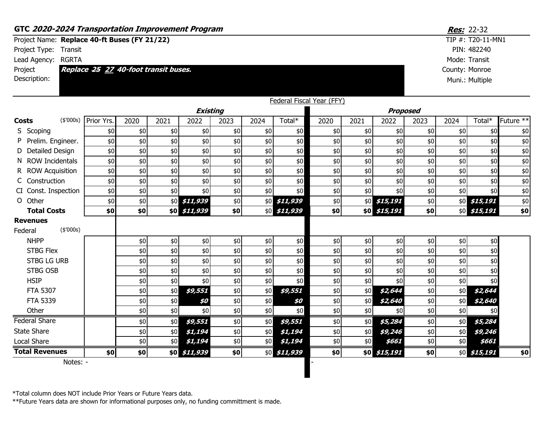|                       | GTC 2020-2024 Transportation Improvement Program |                                      |      |      |              |                 |      |                        |                           |      |               |                 |                | Res: 22-32        |                      |
|-----------------------|--------------------------------------------------|--------------------------------------|------|------|--------------|-----------------|------|------------------------|---------------------------|------|---------------|-----------------|----------------|-------------------|----------------------|
|                       | Project Name: Replace 40-ft Buses (FY 21/22)     |                                      |      |      |              |                 |      |                        |                           |      |               |                 |                | TIP #: T20-11-MN1 |                      |
|                       | Project Type: Transit                            |                                      |      |      |              |                 |      |                        |                           |      |               |                 |                | PIN: 482240       |                      |
|                       | Lead Agency: RGRTA                               |                                      |      |      |              |                 |      |                        |                           |      |               |                 |                | Mode: Transit     |                      |
| Project               |                                                  | Replace 25 27 40-foot transit buses. |      |      |              |                 |      |                        |                           |      |               |                 | County: Monroe |                   |                      |
| Description:          |                                                  |                                      |      |      |              |                 |      |                        |                           |      |               |                 |                | Muni.: Multiple   |                      |
|                       |                                                  |                                      |      |      |              |                 |      |                        |                           |      |               |                 |                |                   |                      |
|                       |                                                  |                                      |      |      |              |                 |      |                        | Federal Fiscal Year (FFY) |      |               |                 |                |                   |                      |
|                       |                                                  |                                      |      |      |              | <b>Existing</b> |      |                        |                           |      |               | <b>Proposed</b> |                |                   |                      |
| <b>Costs</b>          |                                                  | (\$'000s) Prior Yrs.                 | 2020 | 2021 | 2022         | 2023            | 2024 | Total*                 | 2020                      | 2021 | 2022          | 2023            | 2024           | Total*            | Future <sup>**</sup> |
| S Scoping             |                                                  | \$0                                  | \$0  | \$0  | \$0          | \$0             | \$0  | \$0                    | \$0                       | \$0  | \$0           | \$0             | \$0            | \$0               | \$0                  |
|                       | Prelim. Engineer.                                | \$0                                  | \$0  | \$0  | \$0          | \$0             | \$0  | $$0$$                  | \$0                       | \$0  | \$0           | \$0             | \$0            | \$0               | $$0$$                |
|                       | D Detailed Design                                | \$0                                  | \$0  | \$0  | \$0          | \$0             | \$0  | \$0                    | \$0                       | \$0  | \$0           | \$0             | \$0            | \$0               | $$0$$                |
|                       | N ROW Incidentals                                | \$0                                  | \$0  | \$0  | \$0          | \$0             | \$0  | \$0                    | \$0                       | \$0  | \$0           | \$0             | \$0            | \$0               | \$0                  |
|                       | R ROW Acquisition                                | \$0                                  | \$0  | \$0  | \$0          | \$0             | \$0  | \$0                    | \$0                       | \$0  | \$0           | \$0             | \$0            | \$0               | $$0$$                |
| Construction          |                                                  | \$0                                  | \$0  | \$0  | \$0          | \$0             | \$0  | \$0                    | \$0                       | \$0  | \$0           | \$0             | \$0            | \$0               | $$0$$                |
|                       | CI Const. Inspection                             | \$0                                  | \$0  | \$0  | \$0          | \$0             | \$0  | \$0                    | \$0                       | \$0  | \$0           | \$0             | \$0            | \$0               | $$0$$                |
| O Other               |                                                  | \$0                                  | \$0  |      | \$0 \$11,939 | \$0             |      | \$0 \$11,939           | \$0                       |      | $$0$ \$15,191 | \$0             |                | \$0 \$15,191      | $$0$$                |
|                       | <b>Total Costs</b>                               | \$0                                  | \$0  |      | \$0 \$11,939 | \$0             |      | $$0$ \$11,939          | \$0                       |      | \$0 \$15,191  | \$0             |                | $$0$ \$15,191     | \$0                  |
| <b>Revenues</b>       |                                                  |                                      |      |      |              |                 |      |                        |                           |      |               |                 |                |                   |                      |
| Federal               | (\$'000s)                                        |                                      |      |      |              |                 |      |                        |                           |      |               |                 |                |                   |                      |
| <b>NHPP</b>           |                                                  |                                      | \$0  | \$0  | \$0          | $$0$$           | \$0  | $$0$$                  | \$0                       | \$0  | \$0           | $$0$$           | \$0            | \$0               |                      |
| <b>STBG Flex</b>      |                                                  |                                      | \$0  | \$0  | \$0          | \$0             | \$0  | \$0\$                  | \$0                       | \$0  | \$0           | \$0             | \$0            | \$0               |                      |
|                       | <b>STBG LG URB</b>                               |                                      | \$0  | \$0  | \$0          | \$0             | \$0  | \$0                    | \$0                       | \$0  | \$0           | \$0             | \$0            | \$0               |                      |
| <b>STBG OSB</b>       |                                                  |                                      | \$0  | \$0  | \$0          | \$0             | \$0  | \$0                    | \$0                       | \$0  | \$0           | \$0             | \$0            | \$0               |                      |
| <b>HSIP</b>           |                                                  |                                      | \$0  | \$0  | \$0          | \$0             | \$0  | \$0\$                  | \$0                       | \$0  | \$0           | \$0             | \$0            | \$0               |                      |
| <b>FTA 5307</b>       |                                                  |                                      | \$0  | \$0  | \$9,551      | \$0             | \$0  | \$9,551                | \$0                       | \$0  | \$2,644       | \$0             | \$0            | \$2,644           |                      |
| <b>FTA 5339</b>       |                                                  |                                      | \$0  | \$0  | \$0          | \$0             | \$0  | \$0                    | \$0                       | \$0  | \$2,640       | \$0             | \$0            | \$2,640           |                      |
| Other                 |                                                  |                                      | \$0  | \$0  | \$0          | \$0             | \$0  | \$0                    | \$0                       | \$0  | \$0           | \$0             | \$0            | \$0               |                      |
| Federal Share         |                                                  |                                      | \$0  | \$0  | \$9,551      | \$0             | \$0  | \$9,551                | \$0                       | \$0  | \$5,284       | \$0             | \$0            | \$5,284           |                      |
| <b>State Share</b>    |                                                  |                                      | \$0  | \$0  | \$1,194      | \$0             | \$0  | \$1,194                | \$0                       | \$0  | \$9,246       | \$0             | \$0            | \$9,246           |                      |
| Local Share           |                                                  |                                      | \$0  | \$0  | \$1,194      | \$0             | \$0  | \$1,194                | \$0                       | \$0  | \$661         | \$0             | \$0            | \$661             |                      |
| <b>Total Revenues</b> |                                                  | \$0                                  | \$0  |      | \$0 \$11,939 | \$0             |      | $$0 \overline $11,939$ | \$0                       |      | \$0 \$15,191  | \$0             |                | \$0 \$15,191      | \$0                  |
|                       | Notes: -                                         |                                      |      |      |              |                 |      |                        |                           |      |               |                 |                |                   |                      |

\*Total column does NOT include Prior Years or Future Years data.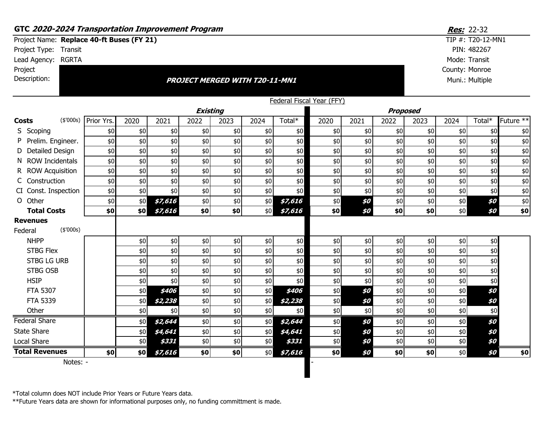| GTC 2020-2024 Transportation Improvement Program                   |                   |            |      |         |                 |                                       |      |         |                           |      |                 |      |                | <b>Res:</b> 22-32 |                      |
|--------------------------------------------------------------------|-------------------|------------|------|---------|-----------------|---------------------------------------|------|---------|---------------------------|------|-----------------|------|----------------|-------------------|----------------------|
| Project Name: Replace 40-ft Buses (FY 21)<br>Project Type: Transit |                   |            |      |         |                 |                                       |      |         |                           |      |                 |      |                | TIP #: T20-12-MN1 |                      |
|                                                                    |                   |            |      |         |                 |                                       |      |         |                           |      |                 |      |                | PIN: 482267       |                      |
| Lead Agency: RGRTA                                                 |                   |            |      |         |                 |                                       |      |         |                           |      |                 |      |                | Mode: Transit     |                      |
| Project                                                            |                   |            |      |         |                 |                                       |      |         |                           |      |                 |      | County: Monroe |                   |                      |
| Description:                                                       |                   |            |      |         |                 | <b>PROJECT MERGED WITH T20-11-MN1</b> |      |         |                           |      |                 |      |                | Muni.: Multiple   |                      |
|                                                                    |                   |            |      |         |                 |                                       |      |         |                           |      |                 |      |                |                   |                      |
|                                                                    |                   |            |      |         | <b>Existing</b> |                                       |      |         | Federal Fiscal Year (FFY) |      | <b>Proposed</b> |      |                |                   |                      |
| <b>Costs</b>                                                       | (\$'000s)         | Prior Yrs. | 2020 | 2021    | 2022            | 2023                                  | 2024 | Total*  | 2020                      | 2021 | 2022            | 2023 | 2024           | Total*            | Future <sup>**</sup> |
| S Scoping                                                          |                   | \$0        | \$0  | \$0     | \$0             | \$0                                   | \$0  | \$0     | \$0                       | \$0  | \$0             | \$0  | \$0            | \$0               | \$0                  |
|                                                                    | Prelim. Engineer. | \$0        | \$0  | \$0     | \$0             | \$0                                   | \$0  | \$0     | \$0                       | \$0  | \$0             | \$0  | \$0            | \$0               | \$0                  |
| D Detailed Design                                                  |                   | \$0        | \$0  | \$0     | \$0             | \$0                                   | \$0  | \$0     | \$0                       | \$0  | \$0             | \$0  | \$0            | \$0               | \$0                  |
| N ROW Incidentals                                                  |                   | \$0        | \$0  | \$0     | \$0             | \$0                                   | \$0  | \$0     | \$0                       | \$0  | \$0             | \$0  | \$0            | \$0               | \$0                  |
| R ROW Acquisition                                                  |                   | \$0        | \$0  | \$0     | \$0             | \$0                                   | \$0  | \$0     | \$0                       | \$0  | \$0             | \$0  | \$0            | \$0               | \$0                  |
| C Construction                                                     |                   | \$0        | \$0  | \$0     | \$0             | \$0                                   | \$0  | $$0$$   | \$0                       | \$0  | \$0             | \$0  | \$0            | \$0               | \$0                  |
| CI Const. Inspection                                               |                   | \$0        | \$0  | \$0     | \$0             | \$0                                   | \$0  | \$0     | \$0                       | \$0  | \$0             | \$0  | \$0            | \$0               | \$0                  |
| O Other                                                            |                   | \$0        | \$0  | \$7,616 | \$0             | \$0                                   | \$0  | \$7,616 | \$0\$                     | \$0  | \$0             | \$0  | \$0            | \$0               | \$0                  |
| <b>Total Costs</b>                                                 |                   | \$0        | \$0  | \$7,616 | \$0             | \$0                                   | \$0  | \$7,616 | \$0                       | \$0  | \$0             | \$0  | \$0            | \$0               | \$0                  |
| <b>Revenues</b>                                                    |                   |            |      |         |                 |                                       |      |         |                           |      |                 |      |                |                   |                      |
| Federal                                                            | (\$'000s)         |            |      |         |                 |                                       |      |         |                           |      |                 |      |                |                   |                      |
| <b>NHPP</b>                                                        |                   |            | \$0  | $$0$$   | \$0             | $$0$$                                 | \$0  | \$0     | \$0\$                     | \$0  | \$0             | \$0  | \$0            | \$0               |                      |
| <b>STBG Flex</b>                                                   |                   |            | \$0  | \$0     | \$0             | \$0                                   | \$0  | \$0     | \$0                       | \$0  | \$0             | \$0  | \$0            | \$0               |                      |
| <b>STBG LG URB</b>                                                 |                   |            | \$0  | \$0     | \$0             | \$0                                   | \$0  | \$0     | \$0                       | \$0  | \$0             | \$0  | \$0            | \$0               |                      |
| <b>STBG OSB</b>                                                    |                   |            | \$0  | \$0     | \$0             | $$0$$                                 | \$0  | \$0     | \$0                       | \$0  | \$0             | \$0  | \$0            | \$0               |                      |
| <b>HSIP</b>                                                        |                   |            | \$0  | \$0     | \$0             | $$0$$                                 | \$0  | \$0     | \$0                       | \$0  | \$0             | \$0  | \$0            | \$0               |                      |
| <b>FTA 5307</b>                                                    |                   |            | \$0  | \$406   | \$0             | \$0                                   | \$0  | \$406   | $$0$$                     | \$0  | \$0             | \$0  | \$0            | \$0               |                      |
| FTA 5339                                                           |                   |            | \$0  | \$2,238 | \$0             | \$0                                   | \$0  | \$2,238 | \$0\$                     | \$0  | \$0             | \$0  | \$0            | \$0               |                      |
| Other                                                              |                   |            | \$0  | \$0     | \$0             | \$0                                   | \$0  | \$0     | \$0                       | \$0  | \$0             | \$0  | \$0            | \$0               |                      |
| <b>Federal Share</b>                                               |                   |            | \$0  | \$2,644 | \$0             | \$0                                   | \$0  | \$2,644 | \$0                       | \$0  | \$0             | \$0  | \$0            | \$0               |                      |
| <b>State Share</b>                                                 |                   |            | \$0  | \$4,641 | \$0             | \$0                                   | \$0  | \$4,641 | $$0$$                     | \$0  | \$0             | \$0  | \$0            | \$0               |                      |
| <b>Local Share</b>                                                 |                   |            | \$0  | \$331   | \$0             | \$0                                   | \$0  | \$331   | \$0\$                     | \$0  | \$0             | \$0  | \$0            | \$0               |                      |
| <b>Total Revenues</b>                                              |                   | \$0        | \$0  | \$7,616 | \$0             | \$0                                   | \$0  | \$7,616 | \$0                       | \$0  | \$0             | \$0  | \$0            | \$0               | \$0                  |
|                                                                    | Notes: -          |            |      |         |                 |                                       |      |         |                           |      |                 |      |                |                   |                      |

\*Total column does NOT include Prior Years or Future Years data.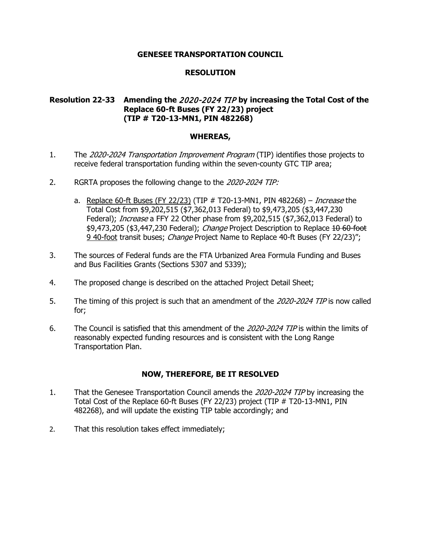## **RESOLUTION**

# **Resolution 22-33 Amending the** 2020-2024 TIP **by increasing the Total Cost of the Replace 60-ft Buses (FY 22/23) project (TIP # T20-13-MN1, PIN 482268)**

### **WHEREAS,**

- 1. The 2020-2024 Transportation Improvement Program (TIP) identifies those projects to receive federal transportation funding within the seven-county GTC TIP area;
- 2. RGRTA proposes the following change to the 2020-2024 TIP:
	- a. Replace 60-ft Buses (FY 22/23) (TIP  $#$  T20-13-MN1, PIN 482268) *Increase* the Total Cost from \$9,202,515 (\$7,362,013 Federal) to \$9,473,205 (\$3,447,230 Federal); *Increase* a FFY 22 Other phase from \$9,202,515 (\$7,362,013 Federal) to \$9,473,205 (\$3,447,230 Federal); *Change* Project Description to Replace 10 60 foot 9 40-foot transit buses; *Change* Project Name to Replace 40-ft Buses (FY 22/23)";
- 3. The sources of Federal funds are the FTA Urbanized Area Formula Funding and Buses and Bus Facilities Grants (Sections 5307 and 5339);
- 4. The proposed change is described on the attached Project Detail Sheet;
- 5. The timing of this project is such that an amendment of the 2020-2024 TIP is now called for;
- 6. The Council is satisfied that this amendment of the 2020-2024 TIP is within the limits of reasonably expected funding resources and is consistent with the Long Range Transportation Plan.

- 1. That the Genesee Transportation Council amends the 2020-2024 TIP by increasing the Total Cost of the Replace 60-ft Buses (FY 22/23) project (TIP # T20-13-MN1, PIN 482268), and will update the existing TIP table accordingly; and
- 2. That this resolution takes effect immediately;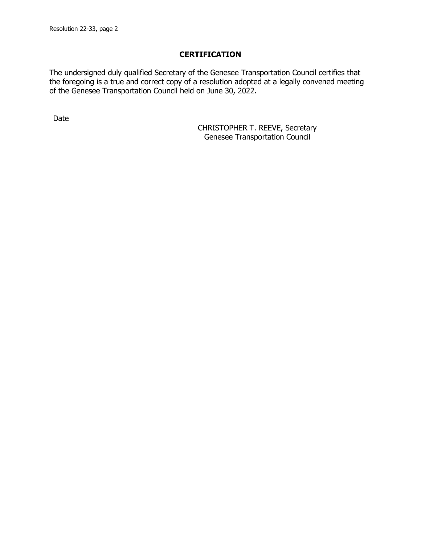The undersigned duly qualified Secretary of the Genesee Transportation Council certifies that the foregoing is a true and correct copy of a resolution adopted at a legally convened meeting of the Genesee Transportation Council held on June 30, 2022.

Date <u>\_\_\_\_\_\_\_\_\_\_\_\_\_\_</u>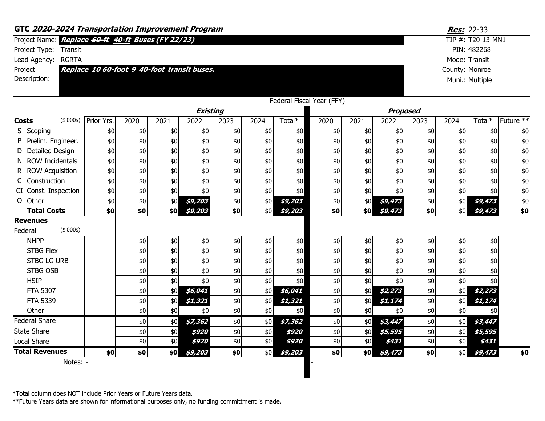|                                    | GTC 2020-2024 Transportation Improvement Program   |                                             |       |      |         |      |       |         |                           |       |         |                | Res: 22-33 |                   |               |  |  |
|------------------------------------|----------------------------------------------------|---------------------------------------------|-------|------|---------|------|-------|---------|---------------------------|-------|---------|----------------|------------|-------------------|---------------|--|--|
|                                    | Project Name: Replace 60-ft 40-ft Buses (FY 22/23) |                                             |       |      |         |      |       |         |                           |       |         |                |            | TIP #: T20-13-MN1 |               |  |  |
| Project Type:                      | Transit                                            |                                             |       |      |         |      |       |         |                           |       |         |                |            | PIN: 482268       |               |  |  |
|                                    | Lead Agency: RGRTA                                 |                                             |       |      |         |      |       |         |                           |       |         |                |            | Mode: Transit     |               |  |  |
| Project                            |                                                    | Replace 10 60-foot 9 40-foot transit buses. |       |      |         |      |       |         |                           |       |         | County: Monroe |            |                   |               |  |  |
| Description:                       |                                                    |                                             |       |      |         |      |       |         |                           |       |         |                |            | Muni.: Multiple   |               |  |  |
|                                    |                                                    |                                             |       |      |         |      |       |         |                           |       |         |                |            |                   |               |  |  |
|                                    |                                                    |                                             |       |      |         |      |       |         | Federal Fiscal Year (FFY) |       |         |                |            |                   |               |  |  |
| <b>Existing</b><br><b>Proposed</b> |                                                    |                                             |       |      |         |      |       |         |                           |       |         |                |            |                   |               |  |  |
| <b>Costs</b>                       | (\$'000s)                                          | Prior Yrs.                                  | 2020  | 2021 | 2022    | 2023 | 2024  | Total*  | 2020                      | 2021  | 2022    | 2023           | 2024       | Total*            | Future **     |  |  |
| S Scoping                          |                                                    | \$0                                         | \$0   | \$0  | \$0     | \$0  | \$0   | \$0     | \$0                       | \$0   | \$0     | \$0            | \$0        | \$0               | \$0           |  |  |
|                                    | Prelim. Engineer.                                  | \$0                                         | \$0   | \$0  | \$0     | \$0  | \$0   | \$0     | \$0                       | \$0\$ | \$0     | \$0            | \$0        | \$0               | $$0$$         |  |  |
|                                    | Detailed Design                                    | \$0                                         | \$0   | \$0  | \$0     | \$0  | \$0   | \$0     | \$0                       | \$0\$ | \$0     | \$0            | \$0        | \$0               | $$0$$         |  |  |
| N.                                 | <b>ROW Incidentals</b>                             | \$0                                         | \$0   | \$0  | \$0     | \$0  | \$0   | \$0     | \$0                       | \$0   | \$0     | \$0            | \$0        | \$0               | \$0           |  |  |
|                                    | R ROW Acquisition                                  | \$0                                         | \$0   | \$0  | \$0     | \$0  | \$0   | \$0     | \$0\$                     | \$0   | \$0     | \$0            | \$0        | \$0               | $$0$$         |  |  |
|                                    | Construction                                       | \$0                                         | \$0   | \$0  | \$0     | \$0  | \$0   | \$0\$   | \$0                       | \$0\$ | \$0     | \$0            | \$0        | \$0               | $\frac{1}{6}$ |  |  |
|                                    | CI Const. Inspection                               | \$0                                         | \$0   | \$0  | \$0     | \$0  | \$0   | \$0     | $$0$$                     | \$0   | \$0     | $$0$$          | \$0        | \$0               | $$0$$         |  |  |
| O Other                            |                                                    | \$0                                         | \$0   | \$0  | \$9,203 | \$0  | \$0   | \$9,203 | \$0                       | \$0   | \$9,473 | \$0            | \$0        | \$9,473           | $$0$$         |  |  |
|                                    | <b>Total Costs</b>                                 | \$0                                         | \$0   | \$0] | \$9,203 | \$0  | \$0   | \$9,203 | \$0                       | \$0   | \$9,473 | \$0            | \$0        | \$9,473           | \$0           |  |  |
| <b>Revenues</b>                    |                                                    |                                             |       |      |         |      |       |         |                           |       |         |                |            |                   |               |  |  |
| Federal                            | (\$'000s)                                          |                                             |       |      |         |      |       |         |                           |       |         |                |            |                   |               |  |  |
| <b>NHPP</b>                        |                                                    |                                             | \$0   | \$0  | \$0     | \$0  | \$0   | \$0     | \$0                       | \$0   | \$0     | $$0$$          | \$0        | \$0               |               |  |  |
|                                    | <b>STBG Flex</b>                                   |                                             | \$0   | \$0  | \$0     | \$0  | \$0   | \$0     | \$0                       | \$0\$ | \$0     | \$0            | \$0        | \$0               |               |  |  |
|                                    | <b>STBG LG URB</b>                                 |                                             | \$0   | \$0  | \$0     | \$0  | \$0   | \$0     | \$0                       | \$0   | \$0     | \$0            | \$0        | \$0               |               |  |  |
|                                    | <b>STBG OSB</b>                                    |                                             | \$0   | \$0  | \$0     | \$0  | \$0   | \$0     | \$0                       | \$0   | \$0     | \$0            | \$0        | \$0               |               |  |  |
| <b>HSIP</b>                        |                                                    |                                             | \$0   | \$0  | \$0     | \$0  | $$0$$ | \$0     | \$0                       | \$0\$ | \$0     | \$0            | \$0        | \$0               |               |  |  |
|                                    | <b>FTA 5307</b>                                    |                                             | \$0   | \$0  | \$6,041 | \$0  | $$0$$ | \$6,041 | \$0                       | \$0   | \$2,273 | \$0            | \$0        | \$2,273           |               |  |  |
|                                    | <b>FTA 5339</b>                                    |                                             | \$0   | \$0  | \$1,321 | \$0  | \$0   | \$1,321 | \$0                       | \$0   | \$1,174 | \$0            | \$0        | \$1,174           |               |  |  |
| Other                              |                                                    |                                             | \$0   | \$0  | \$0     | \$0  | \$0   | \$0     | \$0                       | \$0   | \$0     | \$0            | \$0        | \$0               |               |  |  |
| <b>Federal Share</b>               |                                                    |                                             | $$0$$ | \$0  | \$7,362 | \$0  | \$0   | \$7,362 | \$0                       | \$0   | \$3,447 | \$0            | \$0        | \$3,447           |               |  |  |
| <b>State Share</b>                 |                                                    |                                             | \$0   | \$0  | \$920   | \$0  | \$0   | \$920   | \$0                       | \$0   | \$5,595 | \$0            | \$0        | \$5,595           |               |  |  |
| Local Share                        |                                                    |                                             | \$0   | \$0  | \$920   | \$0  | \$0   | \$920   | \$0                       | \$0   | \$431   | \$0            | \$0        | \$431             |               |  |  |
| <b>Total Revenues</b>              |                                                    | \$0                                         | \$0   | \$0  | \$9,203 | \$0  | \$0   | \$9,203 | \$0                       | \$0   | \$9,473 | \$0            | \$0        | \$9,473           | \$0           |  |  |
|                                    | Notes: -                                           |                                             |       |      |         |      |       |         |                           |       |         |                |            |                   |               |  |  |

\*Total column does NOT include Prior Years or Future Years data.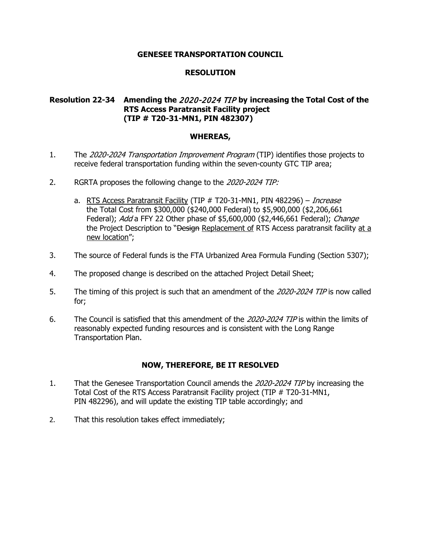## **RESOLUTION**

# **Resolution 22-34 Amending the** 2020-2024 TIP **by increasing the Total Cost of the RTS Access Paratransit Facility project (TIP # T20-31-MN1, PIN 482307)**

### **WHEREAS,**

- 1. The 2020-2024 Transportation Improvement Program (TIP) identifies those projects to receive federal transportation funding within the seven-county GTC TIP area;
- 2. RGRTA proposes the following change to the 2020-2024 TIP:
	- a. RTS Access Paratransit Facility (TIP # T20-31-MN1, PIN 482296) Increase the Total Cost from \$300,000 (\$240,000 Federal) to \$5,900,000 (\$2,206,661 Federal); Add a FFY 22 Other phase of \$5,600,000 (\$2,446,661 Federal); Change the Project Description to "Design Replacement of RTS Access paratransit facility at a new location";
- 3. The source of Federal funds is the FTA Urbanized Area Formula Funding (Section 5307);
- 4. The proposed change is described on the attached Project Detail Sheet;
- 5. The timing of this project is such that an amendment of the 2020-2024 TIP is now called for;
- 6. The Council is satisfied that this amendment of the 2020-2024 TIP is within the limits of reasonably expected funding resources and is consistent with the Long Range Transportation Plan.

- 1. That the Genesee Transportation Council amends the 2020-2024 TIP by increasing the Total Cost of the RTS Access Paratransit Facility project (TIP # T20-31-MN1, PIN 482296), and will update the existing TIP table accordingly; and
- 2. That this resolution takes effect immediately;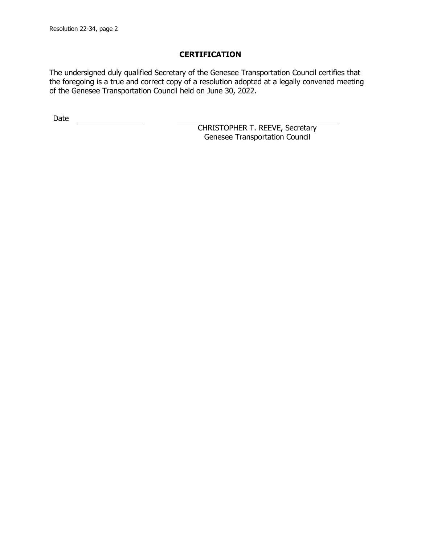The undersigned duly qualified Secretary of the Genesee Transportation Council certifies that the foregoing is a true and correct copy of a resolution adopted at a legally convened meeting of the Genesee Transportation Council held on June 30, 2022.

Date <u>\_\_\_\_\_\_\_\_\_\_\_\_\_\_</u>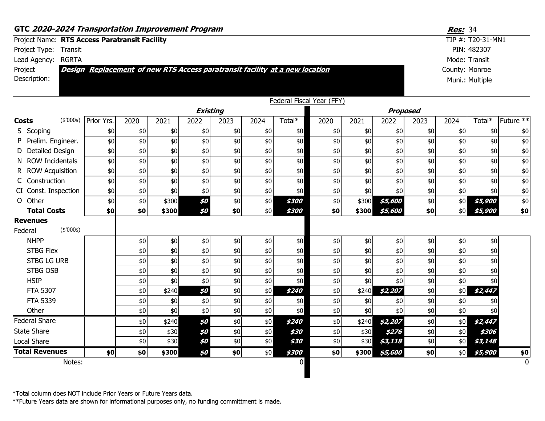| GTC 2020-2024 Transportation Improvement Program                                              |            |       |                |                 |      |       |                |                           |        |                 |      | Res: 34 |                   |             |
|-----------------------------------------------------------------------------------------------|------------|-------|----------------|-----------------|------|-------|----------------|---------------------------|--------|-----------------|------|---------|-------------------|-------------|
| Project Name: RTS Access Paratransit Facility                                                 |            |       |                |                 |      |       |                |                           |        |                 |      |         | TIP #: T20-31-MN1 |             |
| Project Type: Transit                                                                         |            |       |                |                 |      |       |                |                           |        |                 |      |         | PIN: 482307       |             |
| Lead Agency: RGRTA                                                                            |            |       |                |                 |      |       |                |                           |        |                 |      |         | Mode: Transit     |             |
| <b>Đesign</b> Replacement of new RTS Access paratransit facility at a new location<br>Project |            |       | County: Monroe |                 |      |       |                |                           |        |                 |      |         |                   |             |
| Description:                                                                                  |            |       |                |                 |      |       |                |                           |        |                 |      |         | Muni.: Multiple   |             |
|                                                                                               |            |       |                |                 |      |       |                |                           |        |                 |      |         |                   |             |
|                                                                                               |            |       |                |                 |      |       |                | Federal Fiscal Year (FFY) |        |                 |      |         |                   |             |
|                                                                                               |            |       |                | <b>Existing</b> |      |       |                |                           |        | <b>Proposed</b> |      |         |                   |             |
| (\$000s)<br><b>Costs</b>                                                                      | Prior Yrs. | 2020  | 2021           | 2022            | 2023 | 2024  | Total*         | 2020                      | 2021   | 2022            | 2023 | 2024    | Total*            | Future **   |
| S Scoping                                                                                     | \$0        | $$0$$ | \$0            | \$0             | \$0  | $$0$$ | \$0            | \$0                       | \$0    | \$0             | \$0  | \$0     | \$0               | \$0         |
| P Prelim. Engineer.                                                                           | \$0        | \$0   | \$0            | \$0             | \$0  | \$0   | \$0            | \$0                       | \$0    | \$0             | \$0  | \$0     | \$0               | \$0         |
| D Detailed Design                                                                             | \$0        | \$0   | \$0            | \$0             | \$0  | \$0   | \$0            | \$0                       | \$0    | \$0             | \$0  | \$0     | \$0               | \$0         |
| N ROW Incidentals                                                                             | \$0        | \$0   | \$0            | \$0             | \$0  | \$0   | \$0            | \$0                       | \$0    | \$0             | \$0  | \$0     | \$0               | $$0$        |
| R ROW Acquisition                                                                             | \$0        | \$0   | \$0            | \$0             | \$0  | \$0   | \$0            | \$0                       | \$0    | \$0             | \$0  | \$0     | \$0               | \$0         |
| C Construction                                                                                | \$0        | \$0   | \$0            | \$0             | \$0  | \$0   | \$0            | \$0                       | \$0    | \$0             | \$0  | \$0     | \$0               | \$0         |
| CI Const. Inspection                                                                          | \$0        | \$0   | \$0            | \$0             | \$0  | \$0   | \$0            | \$0                       | \$0    | \$0             | \$0  | \$0     | \$0               | $$0$$       |
| O Other                                                                                       | \$0        | \$0   | \$300          | \$0             | \$0  | \$0   | \$300          | \$0                       | \$300  | \$5,600         | \$0  | \$0     | \$5,900           | $\$0$       |
| <b>Total Costs</b>                                                                            | \$0        | \$0   | \$300          | \$0             | \$0  | \$0   | \$300          | \$0                       | \$300  | \$5,600         | \$0  | \$0     | \$5,900           | \$0\$       |
| <b>Revenues</b><br>(\$000s)<br>Federal                                                        |            |       |                |                 |      |       |                |                           |        |                 |      |         |                   |             |
| <b>NHPP</b>                                                                                   |            | \$0   | \$0            | \$0             | \$0  | \$0   | \$0            | \$0                       | \$0    | \$0             | \$0  | \$0     | \$0               |             |
| <b>STBG Flex</b>                                                                              |            | \$0   | \$0            | \$0             | \$0  | \$0   | \$0            | \$0                       | \$0    | \$0             | \$0  | \$0     | \$0               |             |
| <b>STBG LG URB</b>                                                                            |            | \$0   | \$0            | \$0             | \$0  | \$0   | \$0            | \$0                       | \$0    | \$0             | \$0  | \$0     | \$0               |             |
| <b>STBG OSB</b>                                                                               |            | \$0   | \$0            | \$0             | \$0  | \$0   | \$0            | \$0                       | \$0    | \$0             | \$0  | \$0\$   | \$0               |             |
| <b>HSIP</b>                                                                                   |            | \$0   | \$0            | \$0             | \$0  | \$0   | \$0            | \$0                       | \$0    | \$0             | \$0  | \$0     | \$0               |             |
| <b>FTA 5307</b>                                                                               |            | \$0   | \$240          | \$0             | \$0  | \$0   | \$240          | \$0                       | \$240  | \$2,207         | \$0  | \$0     | \$2,447           |             |
| FTA 5339                                                                                      |            | \$0   | \$0            | \$0             | \$0  | $$0$$ | \$0            | \$0                       | \$0    | \$0             | \$0  | \$0     | \$0               |             |
| Other                                                                                         |            | \$0   | \$0            | \$0             | \$0  | \$0   | \$0            | \$0                       | \$0    | \$0             | \$0  | \$0     | \$0               |             |
| <b>Federal Share</b>                                                                          |            | \$0   | \$240          | \$0             | \$0  | $$0$$ | \$240          | \$0                       | \$240] | \$2,207         | \$0  | \$0     | \$2,447           |             |
| <b>State Share</b>                                                                            |            | \$0   | \$30           | \$0             | \$0  | \$0   | \$30           | \$0                       | \$30   | \$276           | \$0  | \$0     | \$306             |             |
| Local Share                                                                                   |            | \$0   | \$30           | \$0             | \$0  | \$0   | \$30           | \$0                       | \$30   | \$3,118         | \$0  | \$0     | \$3,148           |             |
| <b>Total Revenues</b>                                                                         | \$0        | \$0   | \$300          | \$0             | \$0  | \$0   | \$300          | \$0                       | \$300  | \$5,600         | \$0  | \$0     | \$5,900           | \$0         |
| Notes:                                                                                        |            |       |                |                 |      |       | $\overline{0}$ |                           |        |                 |      |         |                   | $\mathbf 0$ |
|                                                                                               |            |       |                |                 |      |       |                |                           |        |                 |      |         |                   |             |

\*Total column does NOT include Prior Years or Future Years data.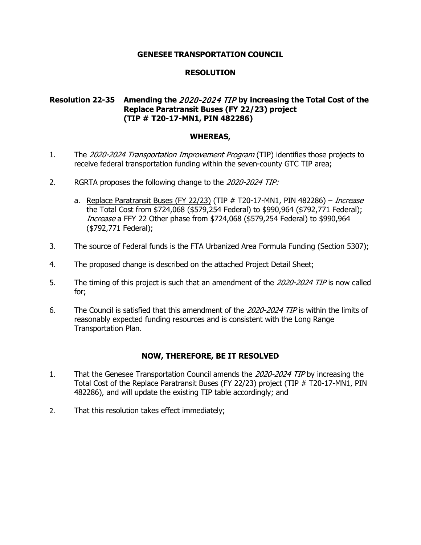## **RESOLUTION**

# **Resolution 22-35 Amending the** 2020-2024 TIP **by increasing the Total Cost of the Replace Paratransit Buses (FY 22/23) project (TIP # T20-17-MN1, PIN 482286)**

### **WHEREAS,**

- 1. The 2020-2024 Transportation Improvement Program (TIP) identifies those projects to receive federal transportation funding within the seven-county GTC TIP area;
- 2. RGRTA proposes the following change to the 2020-2024 TIP:
	- a. Replace Paratransit Buses (FY 22/23) (TIP  $#$  T20-17-MN1, PIN 482286) Increase the Total Cost from \$724,068 (\$579,254 Federal) to \$990,964 (\$792,771 Federal); Increase a FFY 22 Other phase from \$724,068 (\$579,254 Federal) to \$990,964 (\$792,771 Federal);
- 3. The source of Federal funds is the FTA Urbanized Area Formula Funding (Section 5307);
- 4. The proposed change is described on the attached Project Detail Sheet;
- 5. The timing of this project is such that an amendment of the 2020-2024 TIP is now called for;
- 6. The Council is satisfied that this amendment of the 2020-2024 TIP is within the limits of reasonably expected funding resources and is consistent with the Long Range Transportation Plan.

- 1. That the Genesee Transportation Council amends the 2020-2024 TIP by increasing the Total Cost of the Replace Paratransit Buses (FY 22/23) project (TIP # T20-17-MN1, PIN 482286), and will update the existing TIP table accordingly; and
- 2. That this resolution takes effect immediately;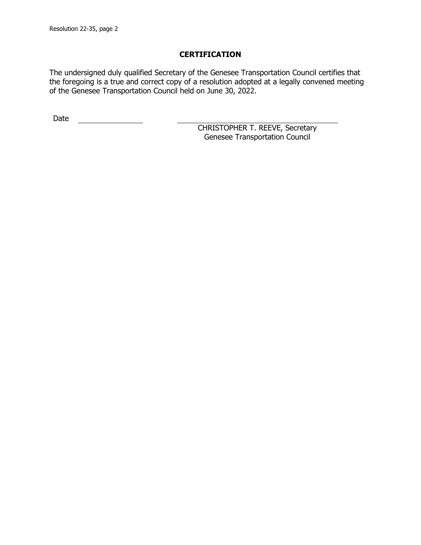The undersigned duly qualified Secretary of the Genesee Transportation Council certifies that the foregoing is a true and correct copy of a resolution adopted at a legally convened meeting of the Genesee Transportation Council held on June 30, 2022.

Date <u>\_\_\_\_\_\_\_\_\_\_\_\_\_\_</u>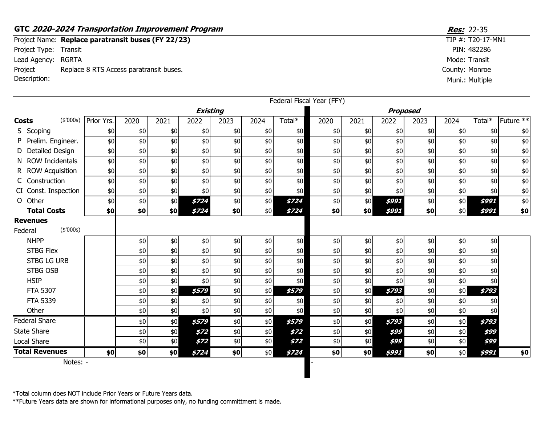# **GTC 2020-2024 Transportation Improvement Program <b>Resection** 100 and 22-35

Project Name: Replace paratransit buses (FY 22/23) Project Type: Transit Lead Agency: RGRTA Project Description: Replace 8 RTS Access paratransit buses.

|                       |                      |                      |      |       |                 |       |      |        | Federal Fiscal Year (FFY) |      |                 |      |       |        |                      |
|-----------------------|----------------------|----------------------|------|-------|-----------------|-------|------|--------|---------------------------|------|-----------------|------|-------|--------|----------------------|
|                       |                      |                      |      |       | <b>Existing</b> |       |      |        |                           |      | <b>Proposed</b> |      |       |        |                      |
| <b>Costs</b>          |                      | (\$'000s) Prior Yrs. | 2020 | 2021  | 2022            | 2023  | 2024 | Total* | 2020                      | 2021 | 2022            | 2023 | 2024  | Total* | Future <sup>**</sup> |
| S Scoping             |                      | \$0                  | \$0  | \$0   | \$0             | \$0   | \$0  | \$0    | \$0                       | \$0  | \$0             | \$0  | \$0   | \$0    | \$0                  |
|                       | P Prelim. Engineer.  | \$0                  | \$0  | \$0\$ | \$0             | \$0\$ | \$0  | \$0    | $$0$$                     | \$0  | \$0             | \$0  | \$0   | \$0    | \$0                  |
|                       | D Detailed Design    | \$0                  | \$0  | \$0   | \$0             | \$0   | \$0  | \$0    | \$0                       | \$0  | \$0             | \$0  | \$0   | \$0    | \$0                  |
|                       | N ROW Incidentals    | \$0                  | \$0  | \$0   | \$0             | \$0   | \$0  | \$0    | \$0                       | \$0  | \$0             | \$0  | \$0   | \$0    | \$0                  |
|                       | R ROW Acquisition    | \$0                  | \$0  | \$0   | \$0             | \$0   | \$0  | $$0$$  | \$0                       | \$0  | \$0             | \$0  | \$0   | \$0    | \$0                  |
| C Construction        |                      | \$0                  | \$0  | \$0   | \$0             | \$0   | \$0  | \$0    | \$0                       | \$0  | \$0             | \$0  | \$0   | \$0    | \$0                  |
|                       | CI Const. Inspection | \$0                  | \$0  | \$0   | \$0             | \$0   | \$0  | \$0    | \$0                       | \$0  | \$0             | \$0  | \$0   | \$0    | \$0                  |
| O Other               |                      | \$0                  | \$0  | \$0   | \$724           | \$0   | \$0  | \$724  | \$0                       | \$0  | \$991           | \$0  | \$0   | \$991  | \$0                  |
|                       | <b>Total Costs</b>   | \$0                  | \$0  | \$0   | \$724           | \$0   | \$0  | \$724  | \$0                       | \$0  | \$991           | \$0  | \$0   | \$991  | \$0                  |
| <b>Revenues</b>       |                      |                      |      |       |                 |       |      |        |                           |      |                 |      |       |        |                      |
| Federal               | (\$'000s)            |                      |      |       |                 |       |      |        |                           |      |                 |      |       |        |                      |
| <b>NHPP</b>           |                      |                      | \$0  | \$0   | \$0             | \$0   | \$0  | \$0    | \$0                       | \$0  | \$0             | \$0  | \$0   | \$0    |                      |
| <b>STBG Flex</b>      |                      |                      | \$0  | \$0   | \$0             | \$0   | \$0  | \$0    | $$0$$                     | \$0  | \$0             | \$0  | \$0   | \$0    |                      |
|                       | <b>STBG LG URB</b>   |                      | \$0  | \$0   | \$0             | \$0   | \$0  | \$0    | \$0                       | \$0  | \$0             | \$0  | \$0   | \$0    |                      |
|                       | <b>STBG OSB</b>      |                      | \$0  | \$0   | \$0             | \$0   | \$0  | \$0    | \$0                       | \$0  | \$0             | \$0  | \$0\$ | \$0    |                      |
| <b>HSIP</b>           |                      |                      | \$0  | \$0   | \$0             | \$0   | \$0  | \$0    | \$0                       | \$0  | \$0             | \$0  | \$0   | \$0    |                      |
| <b>FTA 5307</b>       |                      |                      | \$0  | \$0   | \$579           | \$0   | \$0  | \$579  | \$0                       | \$0  | \$793           | \$0  | \$0   | \$793  |                      |
| <b>FTA 5339</b>       |                      |                      | \$0  | \$0   | \$0             | \$0   | \$0  | \$0    | \$0                       | \$0  | \$0             | \$0  | \$0   | \$0    |                      |
| Other                 |                      |                      | \$0  | \$0   | \$0             | \$0   | \$0  | \$0    | \$0                       | \$0  | \$0             | \$0  | \$0   | \$0    |                      |
| <b>Federal Share</b>  |                      |                      | \$0  | \$0   | \$579           | \$0   | \$0  | \$579  | \$0                       | \$0  | \$793           | \$0  | \$0   | \$793  |                      |
| State Share           |                      |                      | \$0  | \$0   | \$72            | \$0   | \$0  | \$72   | \$0                       | \$0  | \$99            | \$0  | \$0   | \$99   |                      |
| Local Share           |                      |                      | \$0  | \$0   | \$72            | \$0   | \$0  | \$72   | \$0                       | \$0  | \$99            | \$0  | \$0   | \$99   |                      |
| <b>Total Revenues</b> |                      | \$0]                 | \$0  | \$0   | \$724           | \$0   | \$0  | \$724  | \$0                       | \$0  | \$991           | \$0  | \$0   | \$991  | \$0                  |
|                       | Notes: -             |                      |      |       |                 |       |      |        |                           |      |                 |      |       |        |                      |

\*Total column does NOT include Prior Years or Future Years data.

\*\*Future Years data are shown for informational purposes only, no funding committment is made.

County: Monroe  $TIP #: T20-17-MN1$ PIN: 482286 Mode: Transit Muni.: Multiple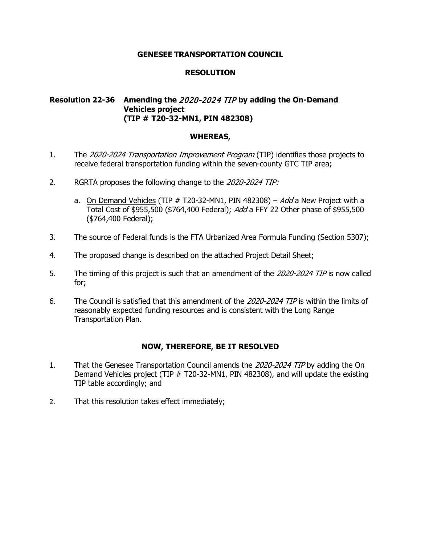### **RESOLUTION**

# **Resolution 22-36 Amending the** 2020-2024 TIP **by adding the On-Demand Vehicles project (TIP # T20-32-MN1, PIN 482308)**

### **WHEREAS,**

- 1. The 2020-2024 Transportation Improvement Program (TIP) identifies those projects to receive federal transportation funding within the seven-county GTC TIP area;
- 2. RGRTA proposes the following change to the 2020-2024 TIP:
	- a. On Demand Vehicles (TIP  $#$  T20-32-MN1, PIN 482308) Add a New Project with a Total Cost of \$955,500 (\$764,400 Federal); Add a FFY 22 Other phase of \$955,500 (\$764,400 Federal);
- 3. The source of Federal funds is the FTA Urbanized Area Formula Funding (Section 5307);
- 4. The proposed change is described on the attached Project Detail Sheet;
- 5. The timing of this project is such that an amendment of the 2020-2024 TIP is now called for;
- 6. The Council is satisfied that this amendment of the 2020-2024 TIP is within the limits of reasonably expected funding resources and is consistent with the Long Range Transportation Plan.

- 1. That the Genesee Transportation Council amends the 2020-2024 TIP by adding the On Demand Vehicles project (TIP # T20-32-MN1, PIN 482308), and will update the existing TIP table accordingly; and
- 2. That this resolution takes effect immediately;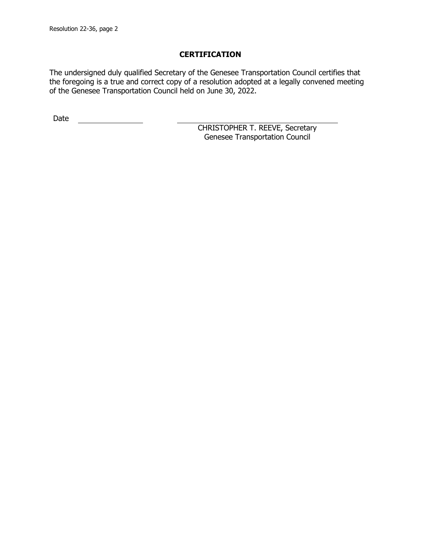The undersigned duly qualified Secretary of the Genesee Transportation Council certifies that the foregoing is a true and correct copy of a resolution adopted at a legally convened meeting of the Genesee Transportation Council held on June 30, 2022.

Date <u>\_\_\_\_\_\_\_\_\_\_\_\_\_\_</u>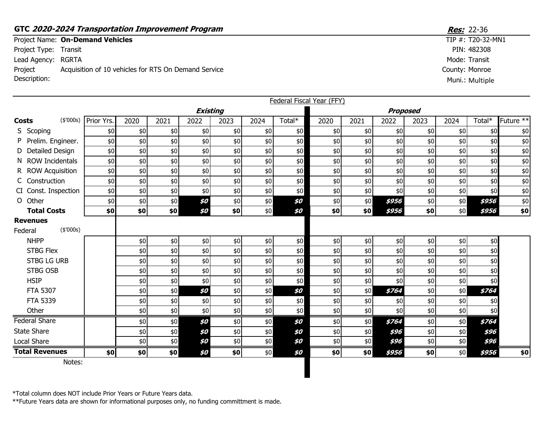# **GTC 2020-2024 Transportation Improvement Program <b>Resection** 2010 12:36

Project Name: On-Demand Vehicles Project Type: Transit Lead Agency: RGRTA

Project Description: Acquisition of 10 vehicles for RTS On Demand Service

|                       |                      |       |      |                 |       |                 | Federal Fiscal Year (FFY) |       |       |       |       |      |        |           |
|-----------------------|----------------------|-------|------|-----------------|-------|-----------------|---------------------------|-------|-------|-------|-------|------|--------|-----------|
|                       |                      |       |      | <b>Existing</b> |       | <b>Proposed</b> |                           |       |       |       |       |      |        |           |
| <b>Costs</b>          | (\$'000s) Prior Yrs. | 2020  | 2021 | 2022            | 2023  | 2024            | Total*                    | 2020  | 2021  | 2022  | 2023  | 2024 | Total* | Future ** |
| S Scoping             | \$0                  | \$0   | \$0  | \$0             | \$0   | \$0             | \$0                       | \$0   | \$0   | \$0   | \$0   | \$0  | \$0    | \$0       |
| P Prelim. Engineer.   | \$0                  | $$0$$ | \$0  | \$0             | \$0   | \$0             | \$0                       | $$0$$ | \$0   | \$0   | $$0$$ | \$0  | \$0    | $\$0$     |
| D Detailed Design     | \$0                  | $$0$$ | \$0  | \$0             | \$0   | \$0             | $$0$$                     | $$0$$ | \$0   | \$0   | \$0   | \$0  | \$0    | $\$0$     |
| N ROW Incidentals     | \$0                  | $$0$$ | \$0  | \$0             | \$0   | \$0             | \$0                       | \$0   | \$0   | \$0   | \$0   | \$0  | \$0    | $\$0$     |
| R ROW Acquisition     | \$0                  | \$0   | \$0  | \$0             | \$0   | \$0             | \$0                       | \$0   | \$0   | \$0   | \$0   | \$0  | \$0    | $$0$$     |
| C Construction        | \$0                  | \$0   | \$0  | \$0             | \$0   | \$0             | \$0                       | \$0   | \$0   | \$0   | \$0   | \$0  | \$0    | $\$0$     |
| CI Const. Inspection  | \$0                  | \$0   | \$0  | \$0             | \$0   | \$0             | \$0                       | \$0   | \$0   | \$0   | \$0   | \$0  | \$0    | \$0       |
| O Other               | \$0                  | $$0$$ | \$0  | \$0             | \$0   | $$0$$           | \$0                       | $$0$$ | \$0   | \$956 | $$0$$ | \$0  | \$956  | $\$0$     |
| <b>Total Costs</b>    | \$0                  | \$0   | \$0  | \$0             | \$0   | \$0             | \$0                       | \$0   | \$0   | \$956 | \$0   | \$0  | \$956  | \$0       |
| <b>Revenues</b>       |                      |       |      |                 |       |                 |                           |       |       |       |       |      |        |           |
| (\$'000s)<br>Federal  |                      |       |      |                 |       |                 |                           |       |       |       |       |      |        |           |
| <b>NHPP</b>           |                      | \$0   | \$0  | \$0             | \$0   | \$0             | \$0                       | \$0   | \$0   | \$0   | \$0   | \$0  | \$0    |           |
| <b>STBG Flex</b>      |                      | \$0   | \$0  | \$0             | \$0   | \$0             | \$0                       | $$0$$ | \$0   | \$0   | $$0$$ | \$0  | \$0    |           |
| <b>STBG LG URB</b>    |                      | \$0   | \$0  | \$0             | \$0   | \$0             | \$0                       | \$0   | \$0   | \$0   | $$0$$ | \$0  | \$0    |           |
| STBG OSB              |                      | \$0   | \$0  | \$0             | \$0   | \$0             | \$0\$                     | \$0   | \$0   | \$0   | \$0\$ | \$0  | \$0    |           |
| <b>HSIP</b>           |                      | \$0   | \$0  | \$0             | $$0$$ | \$0             | \$0                       | \$0   | \$0   | \$0   | \$0\$ | \$0  | \$0    |           |
| <b>FTA 5307</b>       |                      | \$0   | \$0  | \$0             | $$0$$ | \$0             | \$0                       | \$0   | \$0   | \$764 | \$0\$ | \$0  | \$764  |           |
| <b>FTA 5339</b>       |                      | \$0   | \$0  | \$0             | \$0   | \$0             | \$0                       | \$0   | \$0   | \$0   | \$0   | \$0  | \$0    |           |
| Other                 |                      | \$0   | \$0  | \$0             | \$0   | \$0             | \$0                       | \$0   | \$0   | \$0   | \$0\$ | \$0  | \$0    |           |
| Federal Share         |                      | \$0   | \$0  | \$0             | \$0   | \$0             | \$0                       | \$0   | \$0   | \$764 | \$0   | \$0  | \$764  |           |
| <b>State Share</b>    |                      | \$0   | \$0  | \$0             | $$0$$ | $$0\,$          | \$0                       | $$0$$ | $$0$$ | \$96  | $$0$$ | \$0  | \$96   |           |
| <b>Local Share</b>    |                      | $$0$$ | \$0  | \$0             | $$0$$ | $$0$$           | \$0                       | \$0   | \$0   | \$96  | \$0   | \$0  | \$96   |           |
| <b>Total Revenues</b> | \$0                  | \$0   | \$0  | \$0             | \$0   | \$0             | \$0                       | \$0   | \$0   | \$956 | \$0   | \$0  | \$956  | \$0       |
|                       |                      |       |      |                 |       |                 |                           |       |       |       |       |      |        |           |

Notes:

\*Total column does NOT include Prior Years or Future Years data.

\*\*Future Years data are shown for informational purposes only, no funding committment is made.

County: Monroe  $TIP #: T20-32-MN1$ PIN: 482308 Mode: Transit Muni.: Multiple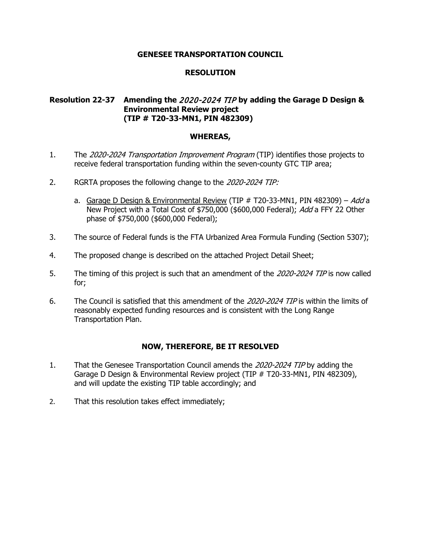## **RESOLUTION**

# **Resolution 22-37 Amending the** 2020-2024 TIP **by adding the Garage D Design & Environmental Review project (TIP # T20-33-MN1, PIN 482309)**

### **WHEREAS,**

- 1. The 2020-2024 Transportation Improvement Program (TIP) identifies those projects to receive federal transportation funding within the seven-county GTC TIP area;
- 2. RGRTA proposes the following change to the 2020-2024 TIP:
	- a. Garage D Design & Environmental Review (TIP  $#$  T20-33-MN1, PIN 482309) Add a New Project with a Total Cost of \$750,000 (\$600,000 Federal); Add a FFY 22 Other phase of \$750,000 (\$600,000 Federal);
- 3. The source of Federal funds is the FTA Urbanized Area Formula Funding (Section 5307);
- 4. The proposed change is described on the attached Project Detail Sheet;
- 5. The timing of this project is such that an amendment of the 2020-2024 TIP is now called for;
- 6. The Council is satisfied that this amendment of the 2020-2024 TIP is within the limits of reasonably expected funding resources and is consistent with the Long Range Transportation Plan.

- 1. That the Genesee Transportation Council amends the 2020-2024 TIP by adding the Garage D Design & Environmental Review project (TIP # T20-33-MN1, PIN 482309), and will update the existing TIP table accordingly; and
- 2. That this resolution takes effect immediately;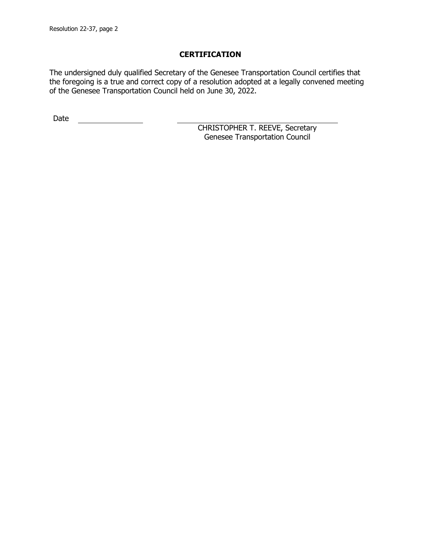The undersigned duly qualified Secretary of the Genesee Transportation Council certifies that the foregoing is a true and correct copy of a resolution adopted at a legally convened meeting of the Genesee Transportation Council held on June 30, 2022.

Date <u>\_\_\_\_\_\_\_\_\_\_\_\_\_\_</u>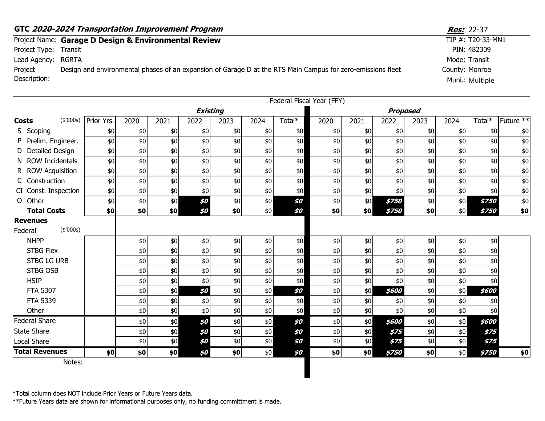|                       | GTC 2020-2024 Transportation Improvement Program                                                            | <b>Res:</b> 22-37    |
|-----------------------|-------------------------------------------------------------------------------------------------------------|----------------------|
|                       | Project Name: Garage D Design & Environmental Review                                                        | TIP $#$ : T20-33-MN1 |
| Project Type: Transit |                                                                                                             | PIN: 482309          |
| Lead Agency: RGRTA    |                                                                                                             | Mode: Transit        |
| Project               | Design and environmental phases of an expansion of Garage D at the RTS Main Campus for zero-emissions fleet | County: Monroe       |
| Description:          |                                                                                                             | Muni.: Multiple      |

|              |                                         |                      |       |      |                 |       |       |        | Federal Fiscal Year (FFY) |       |                     |       |      |        |                      |
|--------------|-----------------------------------------|----------------------|-------|------|-----------------|-------|-------|--------|---------------------------|-------|---------------------|-------|------|--------|----------------------|
|              |                                         |                      |       |      | <b>Existing</b> |       |       |        |                           |       | <b>Proposed</b>     |       |      |        |                      |
| <b>Costs</b> |                                         | (\$'000s) Prior Yrs. | 2020  | 2021 | 2022            | 2023  | 2024  | Total* | 2020                      | 2021  | 2022                | 2023  | 2024 | Total* | Future <sup>**</sup> |
|              | S Scoping                               | \$0                  | \$0   | \$0  | \$0             | \$0   | \$0   | \$0    | \$0                       | \$0   | \$0                 | \$0   | \$0  | \$0    | \$0                  |
|              | P Prelim. Engineer.                     | \$0                  | \$0   | \$0  | \$0             | \$0   | \$0   | \$0    | \$0                       | $$0$$ | \$0                 | \$0   | \$0  | \$0    | \$0                  |
|              | D Detailed Design                       | \$0                  | \$0   | \$0  | \$0             | \$0   | \$0   | \$0    | \$0                       | \$0   | \$0                 | \$0   | \$0  | \$0    | \$0                  |
|              | N ROW Incidentals                       | \$0                  | \$0   | \$0  | \$0             | \$0   | \$0   | \$0    | \$0                       | \$0   | \$0                 | \$0   | \$0  | \$0    | $$0$$                |
|              | R ROW Acquisition                       | \$0                  | \$0   | \$0  | \$0             | \$0   | \$0   | \$0    | \$0                       | $$0$$ | $$0$$               | $$0$$ | \$0  | \$0    | \$0                  |
|              | C Construction                          | \$0                  | \$0   | \$0  | \$0             | \$0   | \$0   | \$0    | \$0                       | \$0   | \$0                 | \$0   | \$0  | \$0    | \$0                  |
|              | CI Const. Inspection                    | \$0                  | \$0   | \$0  | \$0             | \$0   | \$0   | \$0    | \$0                       | \$0   | \$0                 | \$0   | \$0  | \$0    | $$0$$                |
|              | O Other                                 | \$0                  | \$0   | \$0  | \$0             | \$0   | \$0   | \$0    | \$0\$                     | \$0   | \$750               | \$0   | \$0  | \$750  | \$0                  |
|              | <b>Total Costs</b>                      | \$0                  | \$0   | \$0] | \$0             | \$0   | \$0   | \$0    | \$0                       | \$0   | \$750               | \$0   | \$0  | \$750  | \$0                  |
|              | <b>Revenues</b><br>(\$'000s)<br>Federal |                      |       |      |                 |       |       |        |                           |       |                     |       |      |        |                      |
|              | <b>NHPP</b>                             |                      | \$0   | \$0  | \$0             | \$0   | \$0   | \$0    | \$0\$                     | \$0   | \$0                 | \$0   | \$0  | \$0    |                      |
|              | <b>STBG Flex</b>                        |                      | $$0$$ | \$0  | \$0             | \$0   | $$0$$ | \$0    | $$0$$                     | \$0   | \$0                 | $$0$$ | \$0  | \$0    |                      |
|              | <b>STBG LG URB</b>                      |                      | \$0   | \$0  | \$0             | $$0$$ | \$0   | \$0    | \$0                       | \$0   | \$0                 | $$0$$ | \$0  | $$0$$  |                      |
|              | <b>STBG OSB</b>                         |                      | \$0   | \$0  | \$0             | \$0   | \$0   | \$0    | \$0                       | \$0   | \$0                 | \$0   | \$0  | \$0    |                      |
|              | <b>HSIP</b>                             |                      | \$0   | \$0  | \$0             | \$0   | \$0   | \$0    | \$0\$                     | \$0   | \$0                 | $$0$$ | \$0  | \$0    |                      |
|              | <b>FTA 5307</b>                         |                      | \$0   | \$0  | \$0             | \$0   | \$0   | \$0    | \$0                       | \$0   | \$600               | \$0   | \$0  | \$600  |                      |
|              | <b>FTA 5339</b>                         |                      | \$0   | \$0  | $$0$$           | \$0   | \$0   | \$0    | \$0\$                     | \$0   | \$0                 | \$0   | \$0  | \$0    |                      |
|              | Other                                   |                      | \$0   | \$0  | \$0             | \$0   | \$0   | \$0    | \$0                       | \$0   | \$0                 | \$0   | \$0  | \$0    |                      |
|              | <b>Federal Share</b>                    |                      | \$0   | \$0  | \$0             | \$0   | \$0   | \$0    | \$0\$                     | \$0   | \$600               | \$0\$ | \$0  | \$600  |                      |
|              | State Share                             |                      | \$0   | \$0  | \$0             | \$0   | \$0   | \$0    | \$0                       | \$0   | \$75                | \$0   | \$0  | \$75   |                      |
|              | Local Share                             |                      | \$0   | \$0  | \$0             | \$0   | $$0$$ | \$0    | \$0                       | \$0\$ | \$75                | \$0   | \$0  | \$75   |                      |
|              | <b>Total Revenues</b>                   | \$0                  | \$0   | \$0  | \$0             | \$0   | \$0   | \$0    | \$0                       | \$0   | <i><b>\$750</b></i> | \$0   | \$0  | \$750  | \$0                  |
|              | Notes:                                  |                      |       |      |                 |       |       |        |                           |       |                     |       |      |        |                      |

\*Total column does NOT include Prior Years or Future Years data.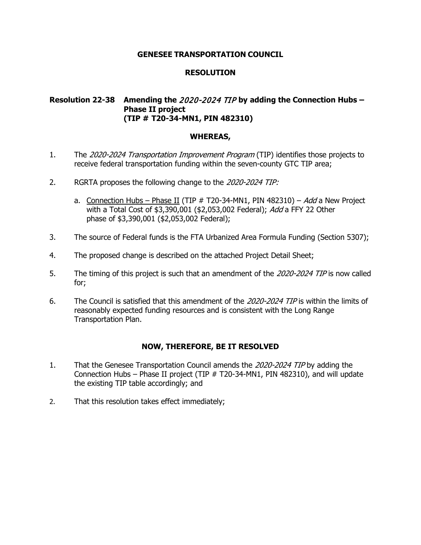# **RESOLUTION**

# **Resolution 22-38 Amending the** 2020-2024 TIP **by adding the Connection Hubs – Phase II project (TIP # T20-34-MN1, PIN 482310)**

### **WHEREAS,**

- 1. The 2020-2024 Transportation Improvement Program (TIP) identifies those projects to receive federal transportation funding within the seven-county GTC TIP area;
- 2. RGRTA proposes the following change to the 2020-2024 TIP:
	- a. Connection Hubs Phase II (TIP  $#$  T20-34-MN1, PIN 482310) Add a New Project with a Total Cost of \$3,390,001 (\$2,053,002 Federal); Add a FFY 22 Other phase of \$3,390,001 (\$2,053,002 Federal);
- 3. The source of Federal funds is the FTA Urbanized Area Formula Funding (Section 5307);
- 4. The proposed change is described on the attached Project Detail Sheet;
- 5. The timing of this project is such that an amendment of the 2020-2024 TIP is now called for;
- 6. The Council is satisfied that this amendment of the 2020-2024 TIP is within the limits of reasonably expected funding resources and is consistent with the Long Range Transportation Plan.

- 1. That the Genesee Transportation Council amends the 2020-2024 TIP by adding the Connection Hubs – Phase II project (TIP # T20-34-MN1, PIN 482310), and will update the existing TIP table accordingly; and
- 2. That this resolution takes effect immediately;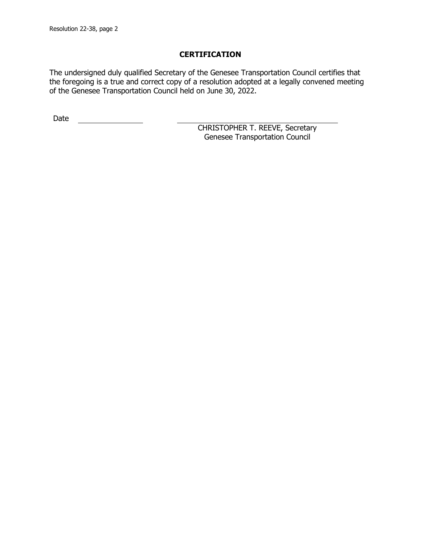The undersigned duly qualified Secretary of the Genesee Transportation Council certifies that the foregoing is a true and correct copy of a resolution adopted at a legally convened meeting of the Genesee Transportation Council held on June 30, 2022.

Date <u>\_\_\_\_\_\_\_\_\_\_\_\_\_\_</u>